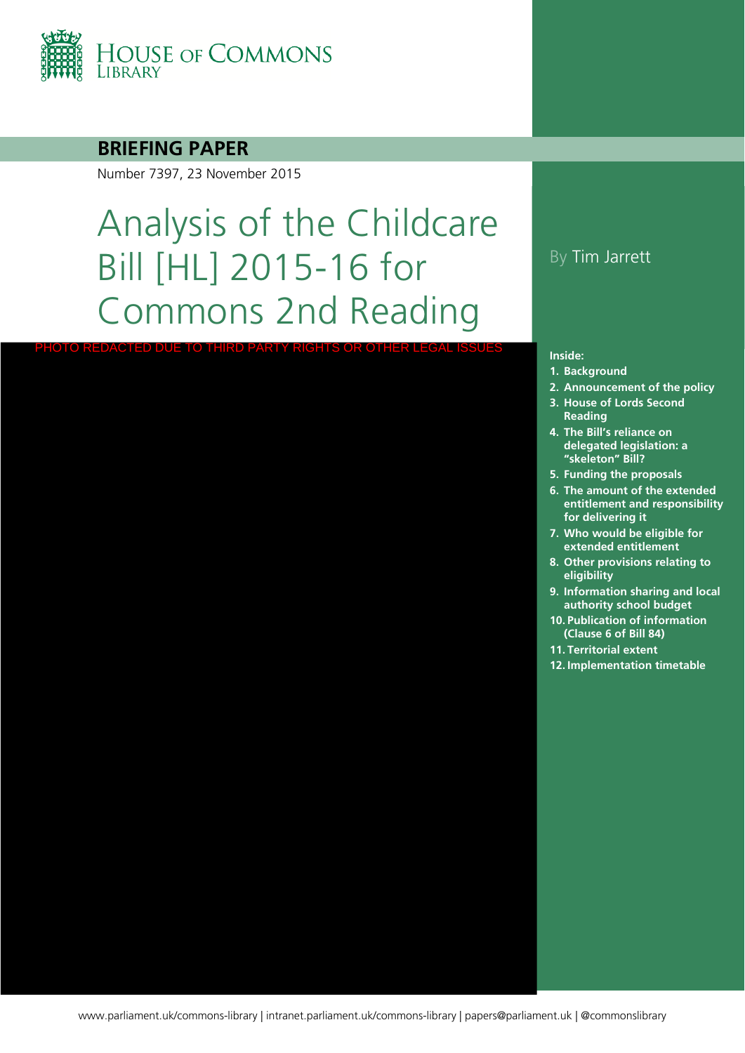

#### **BRIEFING PAPER**

Number 7397, 23 November 2015

# Analysis of the Childcare Bill [HL] 2015-16 for Commons 2nd Reading

PHOTO REDACTED DUE TO THIRD PARTY RIGHTS OR OTHER LEGAL ISSUES

#### By Tim Jarrett

#### **Inside:**

- **1. [Background](#page-5-0)**
- **2. [Announcement of the policy](#page-7-0)**
- **3. House of Lords Second Reading**
- **4. The Bill's reliance on delegated legislation: a "skeleton" Bill?**
- **5. [Funding the proposals](#page-18-0)**
- **6. The amount of the extended entitlement and responsibility for delivering it**
- **7. Who would be eligible for extended entitlement**
- **8. Other provisions relating to eligibility**
- **9. Information sharing and local authority school budget**
- **10. Publication of information (Clause 6 of Bill 84)**
- **11. [Territorial extent](#page-50-0)**
- **12. [Implementation timetable](#page-51-0)**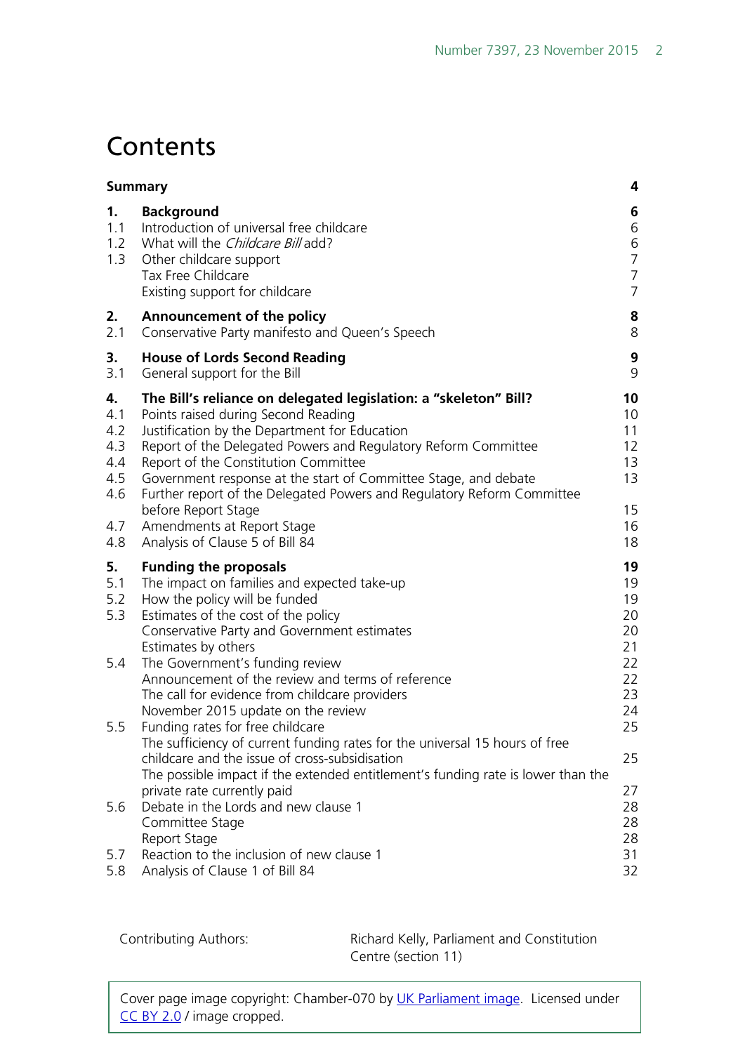## **Contents**

|                                                            | <b>Summary</b>                                                                                                                                                                                                                                                                                                                                                                                                                                                                                          | 4                                                                              |
|------------------------------------------------------------|---------------------------------------------------------------------------------------------------------------------------------------------------------------------------------------------------------------------------------------------------------------------------------------------------------------------------------------------------------------------------------------------------------------------------------------------------------------------------------------------------------|--------------------------------------------------------------------------------|
| 1.<br>1.1<br>1.2<br>1.3                                    | <b>Background</b><br>Introduction of universal free childcare<br>What will the <i>Childcare Bill</i> add?<br>Other childcare support<br>Tax Free Childcare<br>Existing support for childcare                                                                                                                                                                                                                                                                                                            | 6<br>6<br>6<br>$\overline{7}$<br>$\overline{7}$<br>$\overline{7}$              |
| 2.<br>2.1                                                  | Announcement of the policy<br>Conservative Party manifesto and Queen's Speech                                                                                                                                                                                                                                                                                                                                                                                                                           | 8<br>8                                                                         |
| 3.<br>3.1                                                  | <b>House of Lords Second Reading</b><br>General support for the Bill                                                                                                                                                                                                                                                                                                                                                                                                                                    | 9<br>9                                                                         |
| 4.<br>4.1<br>4.2<br>4.3<br>4.4<br>4.5<br>4.6<br>4.7<br>4.8 | The Bill's reliance on delegated legislation: a "skeleton" Bill?<br>Points raised during Second Reading<br>Justification by the Department for Education<br>Report of the Delegated Powers and Regulatory Reform Committee<br>Report of the Constitution Committee<br>Government response at the start of Committee Stage, and debate<br>Further report of the Delegated Powers and Regulatory Reform Committee<br>before Report Stage<br>Amendments at Report Stage<br>Analysis of Clause 5 of Bill 84 | 10<br>10 <sup>°</sup><br>11<br>$12 \overline{ }$<br>13<br>13<br>15<br>16<br>18 |
| 5.<br>5.1<br>5.2<br>5.3                                    | <b>Funding the proposals</b><br>The impact on families and expected take-up<br>How the policy will be funded<br>Estimates of the cost of the policy<br>Conservative Party and Government estimates<br>Estimates by others                                                                                                                                                                                                                                                                               | 19<br>19<br>19<br>20<br>20<br>21                                               |
| 5.4<br>5.5                                                 | The Government's funding review<br>Announcement of the review and terms of reference<br>The call for evidence from childcare providers<br>November 2015 update on the review<br>Funding rates for free childcare                                                                                                                                                                                                                                                                                        | 22<br>22<br>23<br>24<br>25                                                     |
|                                                            | The sufficiency of current funding rates for the universal 15 hours of free<br>childcare and the issue of cross-subsidisation<br>The possible impact if the extended entitlement's funding rate is lower than the                                                                                                                                                                                                                                                                                       | 25                                                                             |
| 5.6                                                        | private rate currently paid<br>Debate in the Lords and new clause 1<br>Committee Stage<br>Report Stage                                                                                                                                                                                                                                                                                                                                                                                                  | 27<br>28<br>28<br>28                                                           |
| 5.7<br>5.8                                                 | Reaction to the inclusion of new clause 1<br>Analysis of Clause 1 of Bill 84                                                                                                                                                                                                                                                                                                                                                                                                                            | 31<br>32                                                                       |

Contributing Authors: Richard Kelly, Parliament and Constitution Centre (section 11)

Cover page image copyright: Chamber-070 by [UK Parliament image.](https://www.flickr.com/photos/uk_parliament/) Licensed under [CC BY 2.0](https://creativecommons.org/licenses/by-nc/2.0/) / image cropped.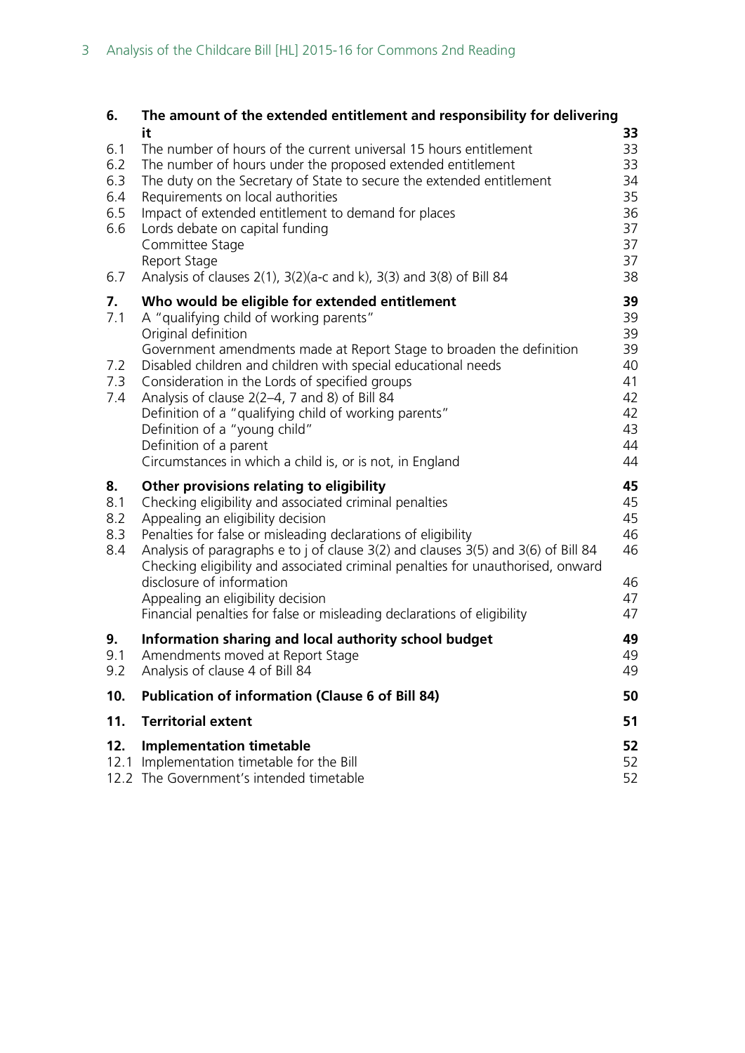| 6.                                            | The amount of the extended entitlement and responsibility for delivering                                                                                                                                                                                                                                                                                                                                                                                                                                                                     |                                                                |
|-----------------------------------------------|----------------------------------------------------------------------------------------------------------------------------------------------------------------------------------------------------------------------------------------------------------------------------------------------------------------------------------------------------------------------------------------------------------------------------------------------------------------------------------------------------------------------------------------------|----------------------------------------------------------------|
| 6.1<br>6.2<br>6.3<br>6.4<br>6.5<br>6.6<br>6.7 | it<br>The number of hours of the current universal 15 hours entitlement<br>The number of hours under the proposed extended entitlement<br>The duty on the Secretary of State to secure the extended entitlement<br>Requirements on local authorities<br>Impact of extended entitlement to demand for places<br>Lords debate on capital funding<br>Committee Stage<br>Report Stage<br>Analysis of clauses $2(1)$ , $3(2)(a-c$ and k), $3(3)$ and $3(8)$ of Bill 84                                                                            | 33<br>33<br>33<br>34<br>35<br>36<br>37<br>37<br>37<br>38       |
| 7.<br>7.1<br>7.2<br>7.3<br>7.4                | Who would be eligible for extended entitlement<br>A "qualifying child of working parents"<br>Original definition<br>Government amendments made at Report Stage to broaden the definition<br>Disabled children and children with special educational needs<br>Consideration in the Lords of specified groups<br>Analysis of clause 2(2-4, 7 and 8) of Bill 84<br>Definition of a "qualifying child of working parents"<br>Definition of a "young child"<br>Definition of a parent<br>Circumstances in which a child is, or is not, in England | 39<br>39<br>39<br>39<br>40<br>41<br>42<br>42<br>43<br>44<br>44 |
| 8.<br>8.1<br>8.2<br>8.3<br>8.4                | Other provisions relating to eligibility<br>Checking eligibility and associated criminal penalties<br>Appealing an eligibility decision<br>Penalties for false or misleading declarations of eligibility<br>Analysis of paragraphs e to j of clause 3(2) and clauses 3(5) and 3(6) of Bill 84<br>Checking eligibility and associated criminal penalties for unauthorised, onward<br>disclosure of information<br>Appealing an eligibility decision<br>Financial penalties for false or misleading declarations of eligibility                | 45<br>45<br>45<br>46<br>46<br>46<br>47<br>47                   |
| 9.<br>9.1<br>9.2                              | Information sharing and local authority school budget<br>Amendments moved at Report Stage<br>Analysis of clause 4 of Bill 84                                                                                                                                                                                                                                                                                                                                                                                                                 | 49<br>49<br>49                                                 |
| 10.                                           | <b>Publication of information (Clause 6 of Bill 84)</b>                                                                                                                                                                                                                                                                                                                                                                                                                                                                                      | 50                                                             |
| 11.                                           | <b>Territorial extent</b>                                                                                                                                                                                                                                                                                                                                                                                                                                                                                                                    | 51                                                             |
| 12.<br>12.1                                   | <b>Implementation timetable</b><br>Implementation timetable for the Bill<br>12.2 The Government's intended timetable                                                                                                                                                                                                                                                                                                                                                                                                                         | 52<br>52<br>52                                                 |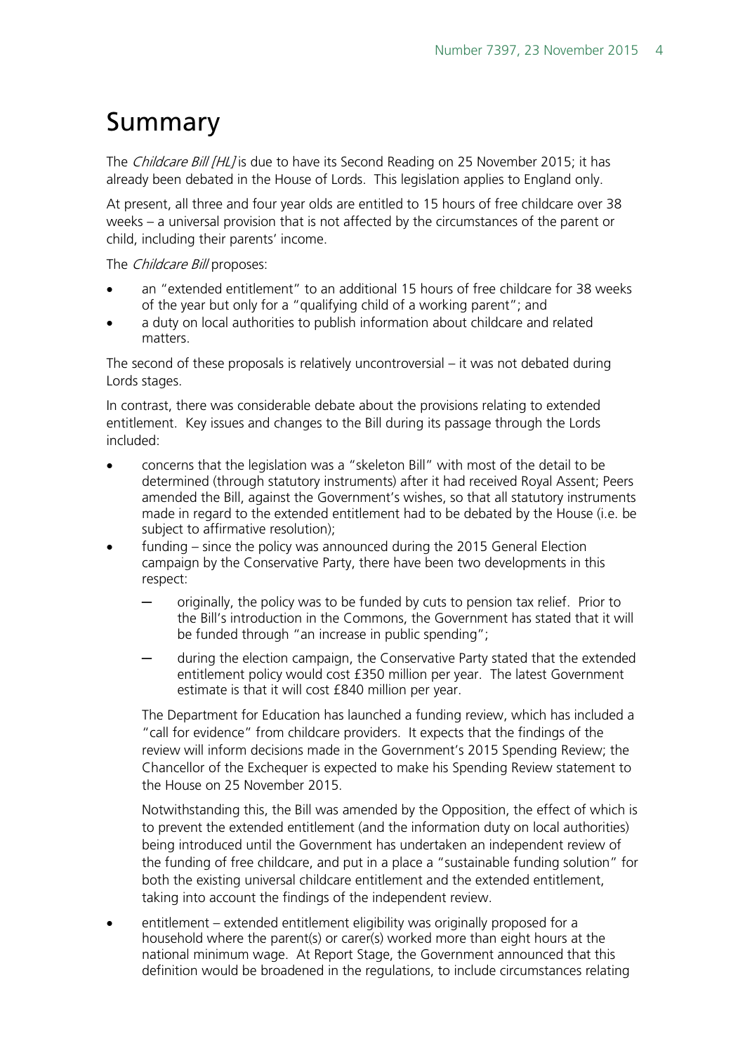## <span id="page-3-0"></span>Summary

The *Childcare Bill [HL]* is due to have its Second Reading on 25 November 2015; it has already been debated in the House of Lords. This legislation applies to England only.

At present, all three and four year olds are entitled to 15 hours of free childcare over 38 weeks – a universal provision that is not affected by the circumstances of the parent or child, including their parents' income.

The *Childcare Bill* proposes:

- an "extended entitlement" to an additional 15 hours of free childcare for 38 weeks of the year but only for a "qualifying child of a working parent"; and
- a duty on local authorities to publish information about childcare and related matters.

The second of these proposals is relatively uncontroversial – it was not debated during Lords stages.

In contrast, there was considerable debate about the provisions relating to extended entitlement. Key issues and changes to the Bill during its passage through the Lords included:

- concerns that the legislation was a "skeleton Bill" with most of the detail to be determined (through statutory instruments) after it had received Royal Assent; Peers amended the Bill, against the Government's wishes, so that all statutory instruments made in regard to the extended entitlement had to be debated by the House (i.e. be subject to affirmative resolution);
- funding since the policy was announced during the 2015 General Election campaign by the Conservative Party, there have been two developments in this respect:
	- originally, the policy was to be funded by cuts to pension tax relief. Prior to the Bill's introduction in the Commons, the Government has stated that it will be funded through "an increase in public spending";
	- during the election campaign, the Conservative Party stated that the extended entitlement policy would cost £350 million per year. The latest Government estimate is that it will cost £840 million per year.

The Department for Education has launched a funding review, which has included a "call for evidence" from childcare providers. It expects that the findings of the review will inform decisions made in the Government's 2015 Spending Review; the Chancellor of the Exchequer is expected to make his Spending Review statement to the House on 25 November 2015.

Notwithstanding this, the Bill was amended by the Opposition, the effect of which is to prevent the extended entitlement (and the information duty on local authorities) being introduced until the Government has undertaken an independent review of the funding of free childcare, and put in a place a "sustainable funding solution" for both the existing universal childcare entitlement and the extended entitlement, taking into account the findings of the independent review.

• entitlement – extended entitlement eligibility was originally proposed for a household where the parent(s) or carer(s) worked more than eight hours at the national minimum wage. At Report Stage, the Government announced that this definition would be broadened in the regulations, to include circumstances relating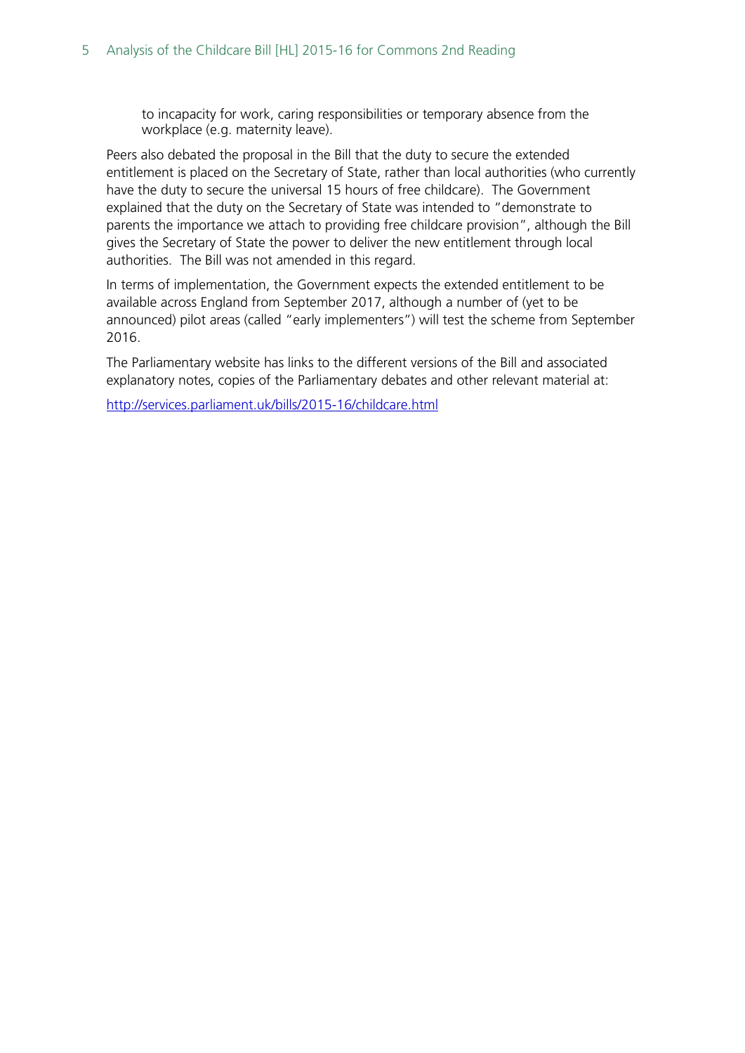to incapacity for work, caring responsibilities or temporary absence from the workplace (e.g. maternity leave).

Peers also debated the proposal in the Bill that the duty to secure the extended entitlement is placed on the Secretary of State, rather than local authorities (who currently have the duty to secure the universal 15 hours of free childcare). The Government explained that the duty on the Secretary of State was intended to "demonstrate to parents the importance we attach to providing free childcare provision", although the Bill gives the Secretary of State the power to deliver the new entitlement through local authorities. The Bill was not amended in this regard.

In terms of implementation, the Government expects the extended entitlement to be available across England from September 2017, although a number of (yet to be announced) pilot areas (called "early implementers") will test the scheme from September 2016.

The Parliamentary website has links to the different versions of the Bill and associated explanatory notes, copies of the Parliamentary debates and other relevant material at:

<http://services.parliament.uk/bills/2015-16/childcare.html>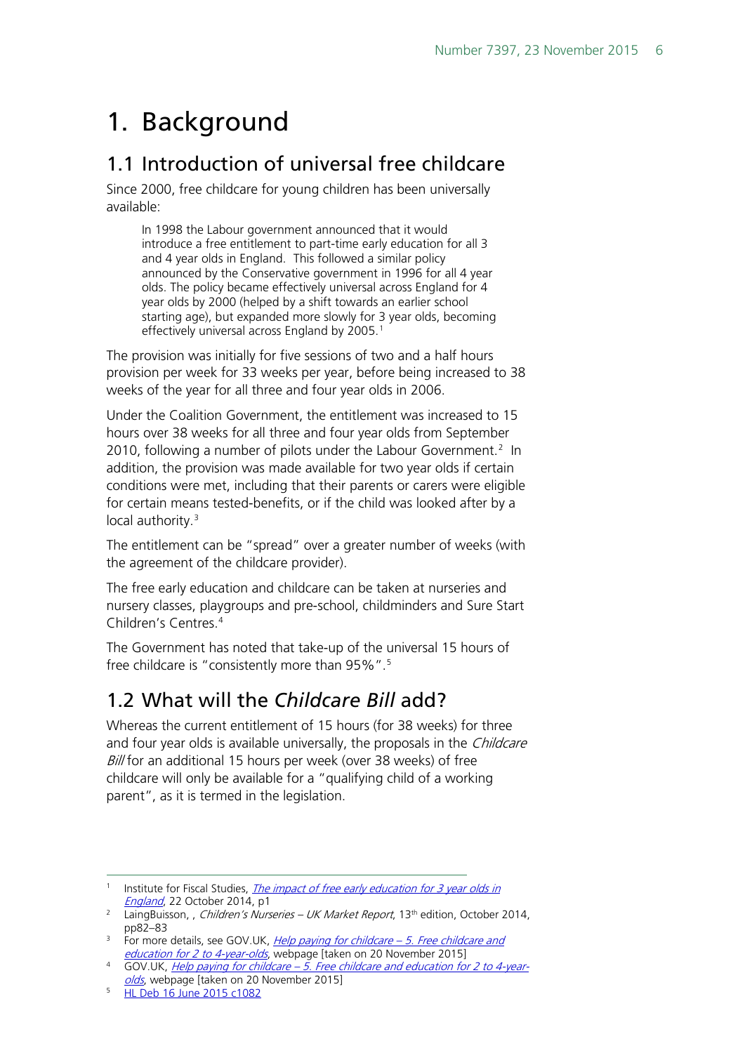## <span id="page-5-0"></span>1. Background

## <span id="page-5-1"></span>1.1 Introduction of universal free childcare

Since 2000, free childcare for young children has been universally available:

In 1998 the Labour government announced that it would introduce a free entitlement to part-time early education for all 3 and 4 year olds in England. This followed a similar policy announced by the Conservative government in 1996 for all 4 year olds. The policy became effectively universal across England for 4 year olds by 2000 (helped by a shift towards an earlier school starting age), but expanded more slowly for 3 year olds, becoming effectively universal across England by 2005.<sup>[1](#page-5-3)</sup>

The provision was initially for five sessions of two and a half hours provision per week for 33 weeks per year, before being increased to 38 weeks of the year for all three and four year olds in 2006.

Under the Coalition Government, the entitlement was increased to 15 hours over 38 weeks for all three and four year olds from September [2](#page-5-4)010, following a number of pilots under the Labour Government.<sup>2</sup> In addition, the provision was made available for two year olds if certain conditions were met, including that their parents or carers were eligible for certain means tested-benefits, or if the child was looked after by a local authority.<sup>[3](#page-5-5)</sup>

The entitlement can be "spread" over a greater number of weeks (with the agreement of the childcare provider).

The free early education and childcare can be taken at nurseries and nursery classes, playgroups and pre-school, childminders and Sure Start Children's Centres<sup>[4](#page-5-6)</sup>

The Government has noted that take-up of the universal 15 hours of free childcare is "consistently more than 95%".[5](#page-5-7)

### <span id="page-5-2"></span>1.2 What will the *Childcare Bill* add?

Whereas the current entitlement of 15 hours (for 38 weeks) for three and four year olds is available universally, the proposals in the *Childcare* Bill for an additional 15 hours per week (over 38 weeks) of free childcare will only be available for a "qualifying child of a working parent", as it is termed in the legislation.

<span id="page-5-3"></span><sup>&</sup>lt;sup>1</sup> Institute for Fiscal Studies, The impact of free early education for 3 year olds in [England](http://www.ifs.org.uk/uploads/publications/docs/MISOC%20Childcare%20briefing%20paper.pdf), 22 October 2014, p1

<span id="page-5-4"></span><sup>&</sup>lt;sup>2</sup> LaingBuisson, , *Children's Nurseries – UK Market Report*, 13<sup>th</sup> edition, October 2014, pp82–83

<span id="page-5-5"></span><sup>&</sup>lt;sup>3</sup> For more details, see GOV.UK, *[Help paying for childcare –](https://www.gov.uk/help-with-childcare-costs/free-childcare-and-education-for-2-to-4-year-olds) 5. Free childcare and* [education for 2 to 4-year-olds](https://www.gov.uk/help-with-childcare-costs/free-childcare-and-education-for-2-to-4-year-olds), webpage [taken on 20 November 2015]

<span id="page-5-6"></span><sup>&</sup>lt;sup>4</sup> GOV.UK, *Help paying for childcare – [5. Free childcare and education for 2 to 4-year](https://www.gov.uk/help-with-childcare-costs/free-childcare-and-education-for-2-to-4-year-olds)*[olds](https://www.gov.uk/help-with-childcare-costs/free-childcare-and-education-for-2-to-4-year-olds), webpage [taken on 20 November 2015]

<span id="page-5-7"></span><sup>5</sup> [HL Deb 16 June 2015 c1082](http://www.publications.parliament.uk/pa/ld201516/ldhansrd/text/150616-0001.htm#15061659000409)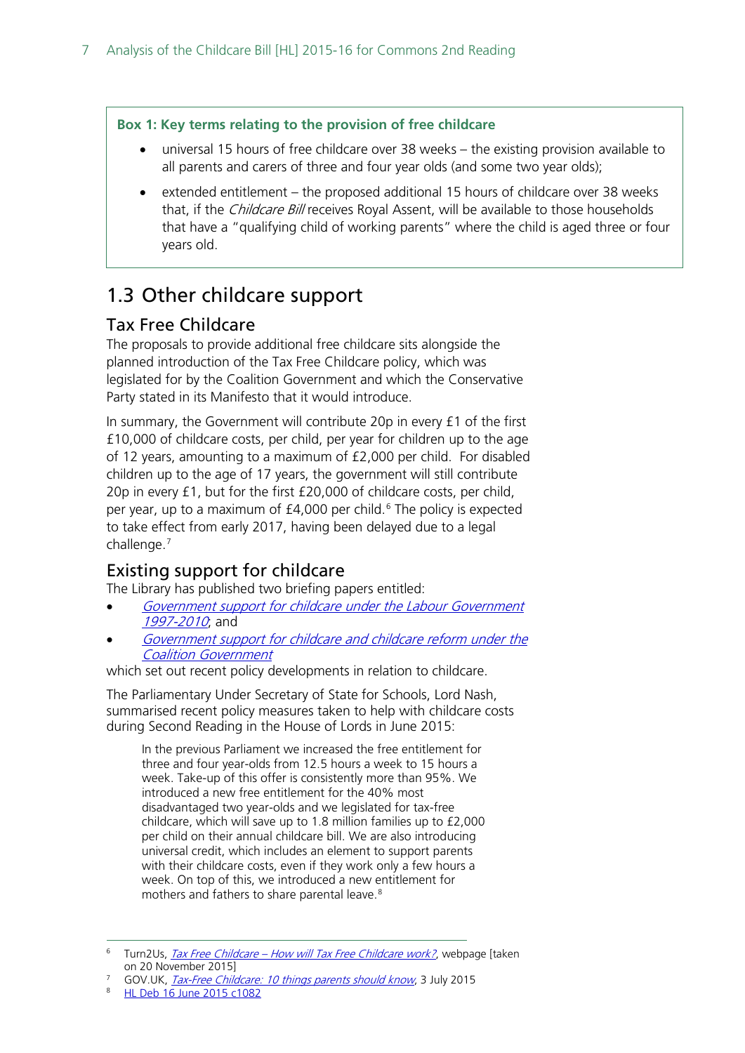#### **Box 1: Key terms relating to the provision of free childcare**

- universal 15 hours of free childcare over 38 weeks the existing provision available to all parents and carers of three and four year olds (and some two year olds);
- extended entitlement the proposed additional 15 hours of childcare over 38 weeks that, if the *Childcare Bill* receives Royal Assent, will be available to those households that have a "qualifying child of working parents" where the child is aged three or four years old.

### <span id="page-6-0"></span>1.3 Other childcare support

#### <span id="page-6-1"></span>Tax Free Childcare

The proposals to provide additional free childcare sits alongside the planned introduction of the Tax Free Childcare policy, which was legislated for by the Coalition Government and which the Conservative Party stated in its Manifesto that it would introduce.

In summary, the Government will contribute 20p in every £1 of the first £10,000 of childcare costs, per child, per year for children up to the age of 12 years, amounting to a maximum of £2,000 per child. For disabled children up to the age of 17 years, the government will still contribute 20p in every £1, but for the first £20,000 of childcare costs, per child, per year, up to a maximum of  $£4,000$  per child.<sup>[6](#page-6-3)</sup> The policy is expected to take effect from early 2017, having been delayed due to a legal challenge. [7](#page-6-4)

#### <span id="page-6-2"></span>Existing support for childcare

The Library has published two briefing papers entitled:

- Government support for childcare under the Labour Government [1997-2010](http://researchbriefings.parliament.uk/ResearchBriefing/Summary/SN06382); and
- [Government support for childcare and childcare reform under the](http://researchbriefings.parliament.uk/ResearchBriefing/Summary/SN06807)  [Coalition Government](http://researchbriefings.parliament.uk/ResearchBriefing/Summary/SN06807)

which set out recent policy developments in relation to childcare.

The Parliamentary Under Secretary of State for Schools, Lord Nash, summarised recent policy measures taken to help with childcare costs during Second Reading in the House of Lords in June 2015:

In the previous Parliament we increased the free entitlement for three and four year-olds from 12.5 hours a week to 15 hours a week. Take-up of this offer is consistently more than 95%. We introduced a new free entitlement for the 40% most disadvantaged two year-olds and we legislated for tax-free childcare, which will save up to 1.8 million families up to £2,000 per child on their annual childcare bill. We are also introducing universal credit, which includes an element to support parents with their childcare costs, even if they work only a few hours a week. On top of this, we introduced a new entitlement for mothers and fathers to share parental leave.[8](#page-6-5)

<span id="page-6-3"></span>Turn2Us, Tax Free Childcare - [How will Tax Free Childcare work?](https://www.turn2us.org.uk/Benefit-guides/Tax-Free-Childcare/How-will-Tax-Free-Childcare-work), webpage [taken on 20 November 2015]

<span id="page-6-4"></span>GOV.UK, [Tax-Free Childcare: 10 things parents should know](https://www.gov.uk/government/news/tax-free-childcare-10-things-parents-should-know), 3 July 2015

<span id="page-6-5"></span><sup>8</sup> [HL Deb 16 June 2015 c1082](http://www.publications.parliament.uk/pa/ld201516/ldhansrd/text/150616-0001.htm#15061659000409)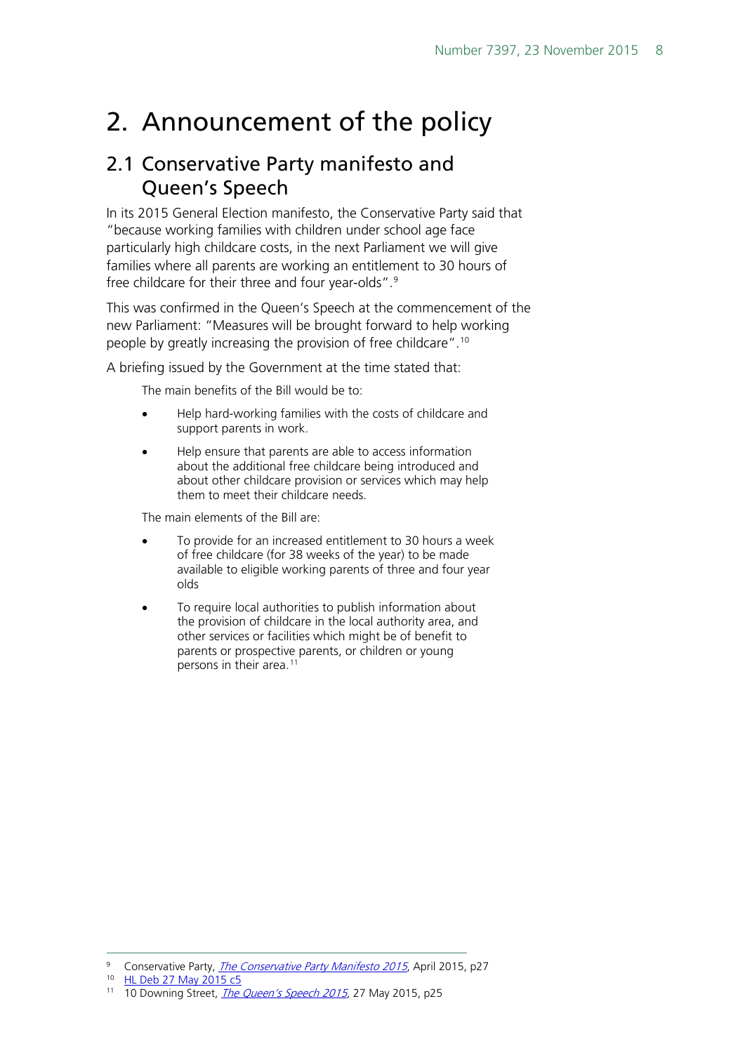## <span id="page-7-0"></span>2. Announcement of the policy

### <span id="page-7-1"></span>2.1 Conservative Party manifesto and Queen's Speech

In its 2015 General Election manifesto, the Conservative Party said that "because working families with children under school age face particularly high childcare costs, in the next Parliament we will give families where all parents are working an entitlement to 30 hours of free childcare for their three and four year-olds".<sup>[9](#page-7-2)</sup>

This was confirmed in the Queen's Speech at the commencement of the new Parliament: "Measures will be brought forward to help working people by greatly increasing the provision of free childcare". [10](#page-7-3)

A briefing issued by the Government at the time stated that:

The main benefits of the Bill would be to:

- Help hard-working families with the costs of childcare and support parents in work.
- Help ensure that parents are able to access information about the additional free childcare being introduced and about other childcare provision or services which may help them to meet their childcare needs.

The main elements of the Bill are:

- To provide for an increased entitlement to 30 hours a week of free childcare (for 38 weeks of the year) to be made available to eligible working parents of three and four year olds
- To require local authorities to publish information about the provision of childcare in the local authority area, and other services or facilities which might be of benefit to parents or prospective parents, or children or young persons in their area.<sup>[11](#page-7-4)</sup>

<span id="page-7-4"></span><span id="page-7-3"></span><sup>10</sup> [HL Deb 27 May 2015 c5](http://www.publications.parliament.uk/pa/ld201516/ldhansrd/text/150527-0001.htm#15052714000178)

<span id="page-7-2"></span><sup>&</sup>lt;sup>9</sup> Conservative Party, *[The Conservative Party Manifesto 2015](https://s3-eu-west-1.amazonaws.com/manifesto2015/ConservativeManifesto2015.pdf)*, April 2015, p27

<sup>&</sup>lt;sup>11</sup> 10 Downing Street, *[The Queen's Speech 2015](https://www.gov.uk/government/uploads/system/uploads/attachment_data/file/430149/QS_lobby_pack_FINAL_NEW_2.pdf)*, 27 May 2015, p25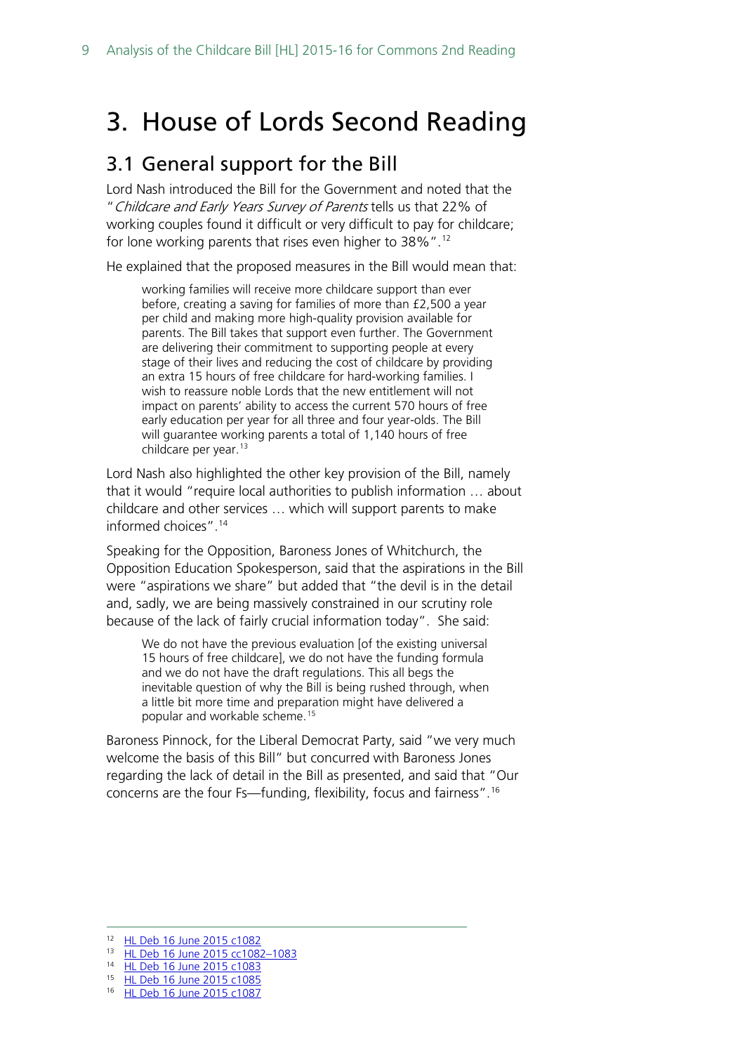## <span id="page-8-0"></span>3. House of Lords Second Reading

#### <span id="page-8-1"></span>3.1 General support for the Bill

Lord Nash introduced the Bill for the Government and noted that the "Childcare and Early Years Survey of Parents tells us that 22% of working couples found it difficult or very difficult to pay for childcare; for lone working parents that rises even higher to 38%".<sup>[12](#page-8-2)</sup>

He explained that the proposed measures in the Bill would mean that:

working families will receive more childcare support than ever before, creating a saving for families of more than £2,500 a year per child and making more high-quality provision available for parents. The Bill takes that support even further. The Government are delivering their commitment to supporting people at every stage of their lives and reducing the cost of childcare by providing an extra 15 hours of free childcare for hard-working families. I wish to reassure noble Lords that the new entitlement will not impact on parents' ability to access the current 570 hours of free early education per year for all three and four year-olds. The Bill will guarantee working parents a total of 1,140 hours of free childcare per year.[13](#page-8-3)

Lord Nash also highlighted the other key provision of the Bill, namely that it would "require local authorities to publish information … about childcare and other services … which will support parents to make informed choices". [14](#page-8-4)

Speaking for the Opposition, Baroness Jones of Whitchurch, the Opposition Education Spokesperson, said that the aspirations in the Bill were "aspirations we share" but added that "the devil is in the detail and, sadly, we are being massively constrained in our scrutiny role because of the lack of fairly crucial information today". She said:

We do not have the previous evaluation [of the existing universal 15 hours of free childcare], we do not have the funding formula and we do not have the draft regulations. This all begs the inevitable question of why the Bill is being rushed through, when a little bit more time and preparation might have delivered a popular and workable scheme.[15](#page-8-5)

Baroness Pinnock, for the Liberal Democrat Party, said "we very much welcome the basis of this Bill" but concurred with Baroness Jones regarding the lack of detail in the Bill as presented, and said that "Our concerns are the four Fs—funding, flexibility, focus and fairness".[16](#page-8-6)

<span id="page-8-3"></span><span id="page-8-2"></span><sup>12</sup> [HL Deb 16 June 2015 c1082](http://www.publications.parliament.uk/pa/ld201516/ldhansrd/text/150616-0001.htm#15061659000409)

<sup>13</sup> HL Deb 16 June 2015 cc1082-1083

<sup>14</sup> [HL Deb 16 June 2015 c1083](http://www.publications.parliament.uk/pa/ld201516/ldhansrd/text/150616-0001.htm#15061659000409)

<span id="page-8-5"></span><span id="page-8-4"></span><sup>15</sup> [HL Deb 16 June 2015 c1085](http://www.publications.parliament.uk/pa/ld201516/ldhansrd/text/150616-0001.htm#15061659000409)

<span id="page-8-6"></span><sup>16</sup> [HL Deb 16 June 2015 c1087](http://www.publications.parliament.uk/pa/ld201516/ldhansrd/text/150616-0001.htm#15061659000409)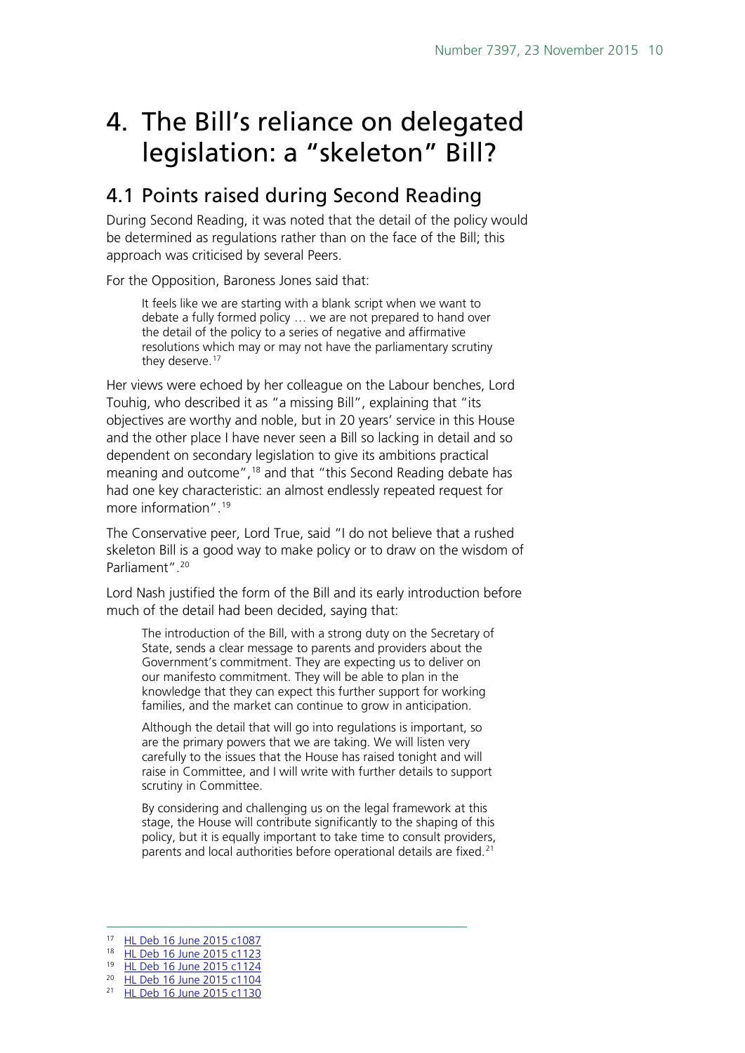## <span id="page-9-0"></span>4. The Bill's reliance on delegated legislation: a "skeleton" Bill?

## <span id="page-9-1"></span>4.1 Points raised during Second Reading

During Second Reading, it was noted that the detail of the policy would be determined as regulations rather than on the face of the Bill; this approach was criticised by several Peers.

For the Opposition, Baroness Jones said that:

It feels like we are starting with a blank script when we want to debate a fully formed policy … we are not prepared to hand over the detail of the policy to a series of negative and affirmative resolutions which may or may not have the parliamentary scrutiny they deserve. [17](#page-9-2) 

Her views were echoed by her colleague on the Labour benches, Lord Touhig, who described it as "a missing Bill", explaining that "its objectives are worthy and noble, but in 20 years' service in this House and the other place I have never seen a Bill so lacking in detail and so dependent on secondary legislation to give its ambitions practical meaning and outcome",<sup>[18](#page-9-3)</sup> and that "this Second Reading debate has had one key characteristic: an almost endlessly repeated request for more information".[19](#page-9-4)

The Conservative peer, Lord True, said "I do not believe that a rushed skeleton Bill is a good way to make policy or to draw on the wisdom of Parliament".<sup>[20](#page-9-5)</sup>

Lord Nash justified the form of the Bill and its early introduction before much of the detail had been decided, saying that:

The introduction of the Bill, with a strong duty on the Secretary of State, sends a clear message to parents and providers about the Government's commitment. They are expecting us to deliver on our manifesto commitment. They will be able to plan in the knowledge that they can expect this further support for working families, and the market can continue to grow in anticipation.

Although the detail that will go into regulations is important, so are the primary powers that we are taking. We will listen very carefully to the issues that the House has raised tonight and will raise in Committee, and I will write with further details to support scrutiny in Committee.

By considering and challenging us on the legal framework at this stage, the House will contribute significantly to the shaping of this policy, but it is equally important to take time to consult providers, parents and local authorities before operational details are fixed.<sup>[21](#page-9-6)</sup>

<span id="page-9-3"></span><span id="page-9-2"></span> <sup>17</sup> [HL Deb 16 June 2015 c1087](http://www.publications.parliament.uk/pa/ld201516/ldhansrd/text/150616-0001.htm#15061659000409)

<sup>18</sup> [HL Deb 16 June 2015 c1123](http://www.publications.parliament.uk/pa/ld201516/ldhansrd/text/150616-0002.htm)

<sup>19</sup> [HL Deb 16 June 2015 c1124](http://www.publications.parliament.uk/pa/ld201516/ldhansrd/text/150616-0002.htm)

<span id="page-9-4"></span><sup>20</sup> [HL Deb 16 June 2015 c1104](http://www.publications.parliament.uk/pa/ld201516/ldhansrd/text/150616-0001.htm#15061659000409)

<span id="page-9-6"></span><span id="page-9-5"></span><sup>&</sup>lt;sup>21</sup> [HL Deb 16 June 2015 c1130](http://www.publications.parliament.uk/pa/ld201516/ldhansrd/text/150616-0002.htm)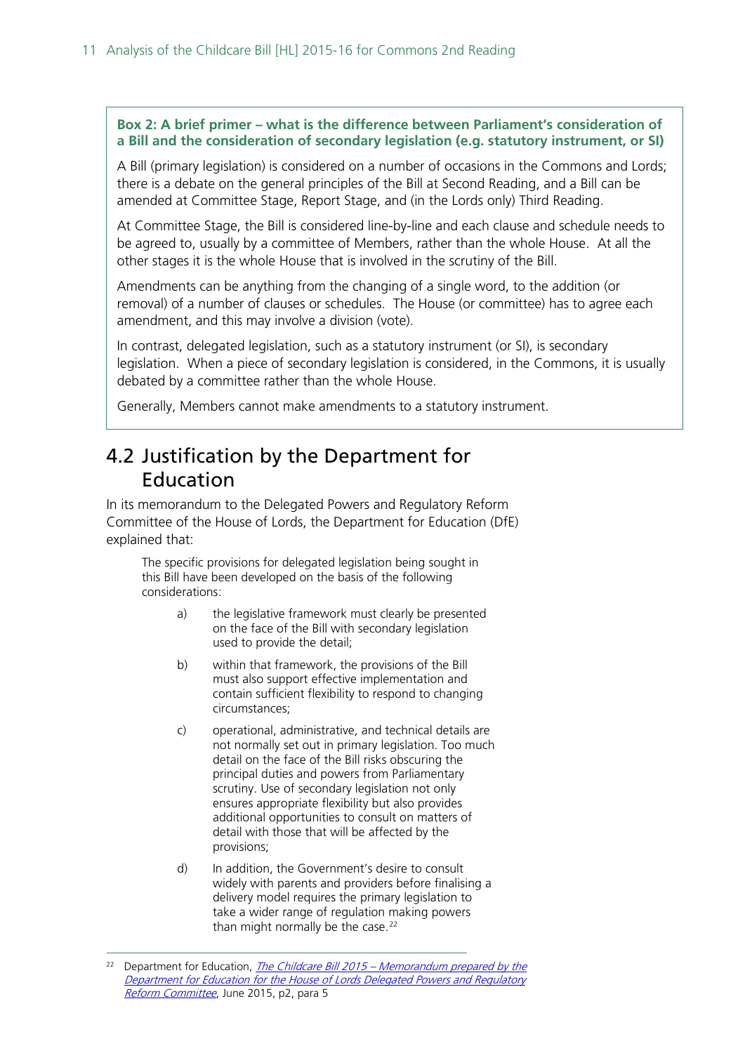#### **Box 2: A brief primer – what is the difference between Parliament's consideration of a Bill and the consideration of secondary legislation (e.g. statutory instrument, or SI)**

A Bill (primary legislation) is considered on a number of occasions in the Commons and Lords; there is a debate on the general principles of the Bill at Second Reading, and a Bill can be amended at Committee Stage, Report Stage, and (in the Lords only) Third Reading.

At Committee Stage, the Bill is considered line-by-line and each clause and schedule needs to be agreed to, usually by a committee of Members, rather than the whole House. At all the other stages it is the whole House that is involved in the scrutiny of the Bill.

Amendments can be anything from the changing of a single word, to the addition (or removal) of a number of clauses or schedules. The House (or committee) has to agree each amendment, and this may involve a division (vote).

In contrast, delegated legislation, such as a statutory instrument (or SI), is secondary legislation. When a piece of secondary legislation is considered, in the Commons, it is usually debated by a committee rather than the whole House.

Generally, Members cannot make amendments to a statutory instrument.

### <span id="page-10-0"></span>4.2 Justification by the Department for Education

In its memorandum to the Delegated Powers and Regulatory Reform Committee of the House of Lords, the Department for Education (DfE) explained that:

The specific provisions for delegated legislation being sought in this Bill have been developed on the basis of the following considerations:

- a) the legislative framework must clearly be presented on the face of the Bill with secondary legislation used to provide the detail;
- b) within that framework, the provisions of the Bill must also support effective implementation and contain sufficient flexibility to respond to changing circumstances;
- c) operational, administrative, and technical details are not normally set out in primary legislation. Too much detail on the face of the Bill risks obscuring the principal duties and powers from Parliamentary scrutiny. Use of secondary legislation not only ensures appropriate flexibility but also provides additional opportunities to consult on matters of detail with those that will be affected by the provisions;
- d) In addition, the Government's desire to consult widely with parents and providers before finalising a delivery model requires the primary legislation to take a wider range of regulation making powers than might normally be the case. $22$

<span id="page-10-1"></span><sup>&</sup>lt;sup>22</sup> Department for Education, *The Childcare Bill 2015 – Memorandum prepared by the* [Department for Education for the House of Lords Delegated Powers and Regulatory](http://www.parliament.uk/documents/DPRR/2015-16/Bills/Childcare/11-Childcare-DP-Memo.pdf)  [Reform Committee](http://www.parliament.uk/documents/DPRR/2015-16/Bills/Childcare/11-Childcare-DP-Memo.pdf), June 2015, p2, para 5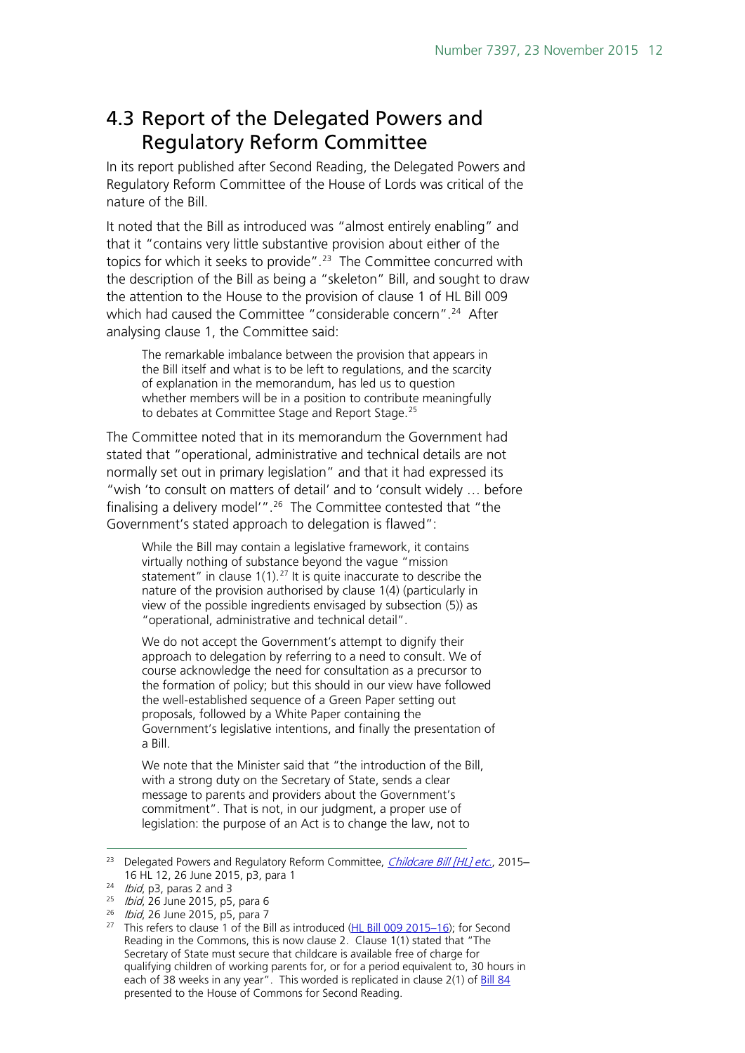## <span id="page-11-0"></span>4.3 Report of the Delegated Powers and Regulatory Reform Committee

In its report published after Second Reading, the Delegated Powers and Regulatory Reform Committee of the House of Lords was critical of the nature of the Bill.

It noted that the Bill as introduced was "almost entirely enabling" and that it "contains very little substantive provision about either of the topics for which it seeks to provide".<sup>[23](#page-11-1)</sup> The Committee concurred with the description of the Bill as being a "skeleton" Bill, and sought to draw the attention to the House to the provision of clause 1 of HL Bill 009 which had caused the Committee "considerable concern".<sup>[24](#page-11-2)</sup> After analysing clause 1, the Committee said:

The remarkable imbalance between the provision that appears in the Bill itself and what is to be left to regulations, and the scarcity of explanation in the memorandum, has led us to question whether members will be in a position to contribute meaningfully to debates at Committee Stage and Report Stage.<sup>[25](#page-11-3)</sup>

The Committee noted that in its memorandum the Government had stated that "operational, administrative and technical details are not normally set out in primary legislation" and that it had expressed its "wish 'to consult on matters of detail' and to 'consult widely … before finalising a delivery model'". [26](#page-11-4) The Committee contested that "the Government's stated approach to delegation is flawed":

While the Bill may contain a legislative framework, it contains virtually nothing of substance beyond the vague "mission statement" in clause  $1(1)$ .<sup>[27](#page-11-5)</sup> It is quite inaccurate to describe the nature of the provision authorised by clause 1(4) (particularly in view of the possible ingredients envisaged by subsection (5)) as "operational, administrative and technical detail".

We do not accept the Government's attempt to dignify their approach to delegation by referring to a need to consult. We of course acknowledge the need for consultation as a precursor to the formation of policy; but this should in our view have followed the well-established sequence of a Green Paper setting out proposals, followed by a White Paper containing the Government's legislative intentions, and finally the presentation of a Bill.

We note that the Minister said that "the introduction of the Bill, with a strong duty on the Secretary of State, sends a clear message to parents and providers about the Government's commitment". That is not, in our judgment, a proper use of legislation: the purpose of an Act is to change the law, not to

<span id="page-11-1"></span><sup>&</sup>lt;sup>23</sup> Delegated Powers and Regulatory Reform Committee, *[Childcare Bill \[HL\] etc.](http://www.publications.parliament.uk/pa/ld201516/ldselect/lddelreg/12/12.pdf)*, 2015-16 HL 12, 26 June 2015, p3, para 1<br><sup>24</sup> *Ibid*, p3, paras 2 and 3

<span id="page-11-3"></span><span id="page-11-2"></span> $25$  *Ibid*, 26 June 2015, p5, para 6

<span id="page-11-4"></span><sup>&</sup>lt;sup>26</sup> *Ibid*, 26 June 2015, p5, para 7

<span id="page-11-5"></span><sup>&</sup>lt;sup>27</sup> This refers to clause 1 of the Bill as introduced ( $HL$  Bill 009 2015–16); for Second Reading in the Commons, this is now clause 2. Clause 1(1) stated that "The Secretary of State must secure that childcare is available free of charge for qualifying children of working parents for, or for a period equivalent to, 30 hours in each of 38 weeks in any year". This worded is replicated in clause 2(1) of [Bill 84](http://www.publications.parliament.uk/pa/bills/cbill/2015-2016/0084/cbill_2015-20160084_en_2.htm#pb1-l1g2) presented to the House of Commons for Second Reading.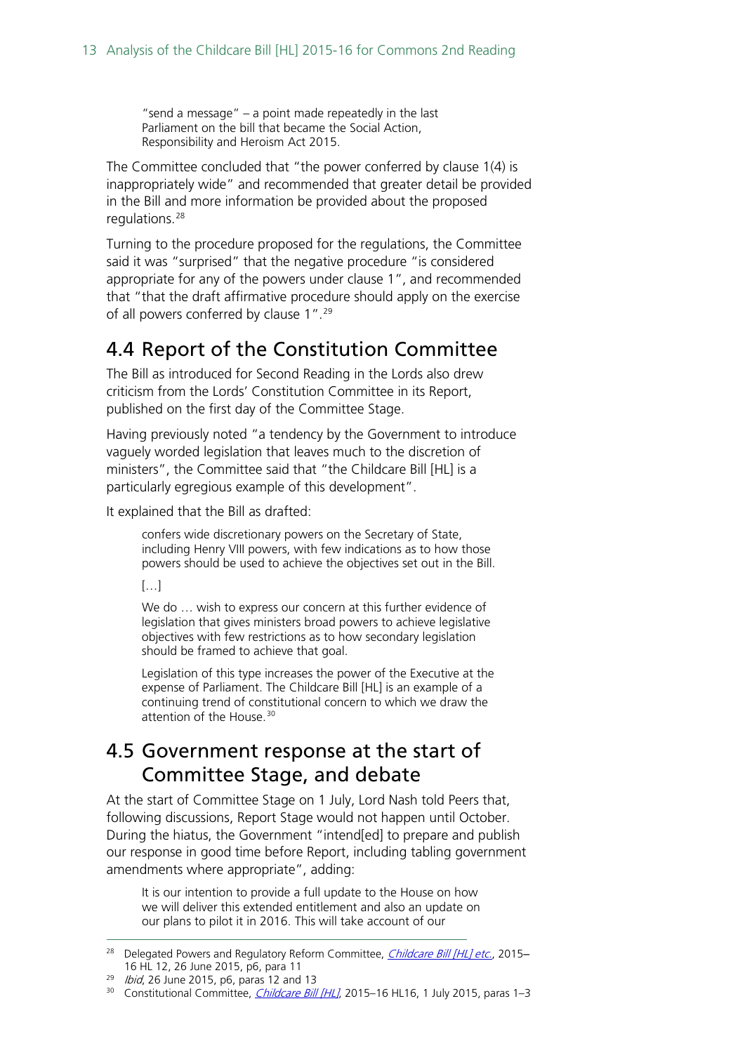"send a message" – a point made repeatedly in the last Parliament on the bill that became the Social Action, Responsibility and Heroism Act 2015.

The Committee concluded that "the power conferred by clause 1(4) is inappropriately wide" and recommended that greater detail be provided in the Bill and more information be provided about the proposed regulations.<sup>28</sup>

Turning to the procedure proposed for the regulations, the Committee said it was "surprised" that the negative procedure "is considered appropriate for any of the powers under clause 1", and recommended that "that the draft affirmative procedure should apply on the exercise of all powers conferred by clause 1". [29](#page-12-3) 

### <span id="page-12-0"></span>4.4 Report of the Constitution Committee

The Bill as introduced for Second Reading in the Lords also drew criticism from the Lords' Constitution Committee in its Report, published on the first day of the Committee Stage.

Having previously noted "a tendency by the Government to introduce vaguely worded legislation that leaves much to the discretion of ministers", the Committee said that "the Childcare Bill [HL] is a particularly egregious example of this development".

It explained that the Bill as drafted:

confers wide discretionary powers on the Secretary of State, including Henry VIII powers, with few indications as to how those powers should be used to achieve the objectives set out in the Bill.

 $[...]$ 

We do … wish to express our concern at this further evidence of legislation that gives ministers broad powers to achieve legislative objectives with few restrictions as to how secondary legislation should be framed to achieve that goal.

Legislation of this type increases the power of the Executive at the expense of Parliament. The Childcare Bill [HL] is an example of a continuing trend of constitutional concern to which we draw the attention of the House.<sup>[30](#page-12-4)</sup>

#### <span id="page-12-1"></span>4.5 Government response at the start of Committee Stage, and debate

At the start of Committee Stage on 1 July, Lord Nash told Peers that, following discussions, Report Stage would not happen until October. During the hiatus, the Government "intend[ed] to prepare and publish our response in good time before Report, including tabling government amendments where appropriate", adding:

It is our intention to provide a full update to the House on how we will deliver this extended entitlement and also an update on our plans to pilot it in 2016. This will take account of our

<span id="page-12-2"></span><sup>&</sup>lt;sup>28</sup> Delegated Powers and Regulatory Reform Committee, *[Childcare Bill \[HL\] etc.](http://www.publications.parliament.uk/pa/ld201516/ldselect/lddelreg/12/12.pdf)*, 2015-16 HL 12, 26 June 2015, p6, para 11

<span id="page-12-4"></span><span id="page-12-3"></span> $29$  *Ibid*, 26 June 2015, p6, paras 12 and 13

<sup>&</sup>lt;sup>30</sup> Constitutional Committee, *[Childcare Bill \[HL\]](http://www.publications.parliament.uk/pa/ld201516/ldselect/ldconst/16/16.pdf)*, 2015–16 HL16, 1 July 2015, paras 1–3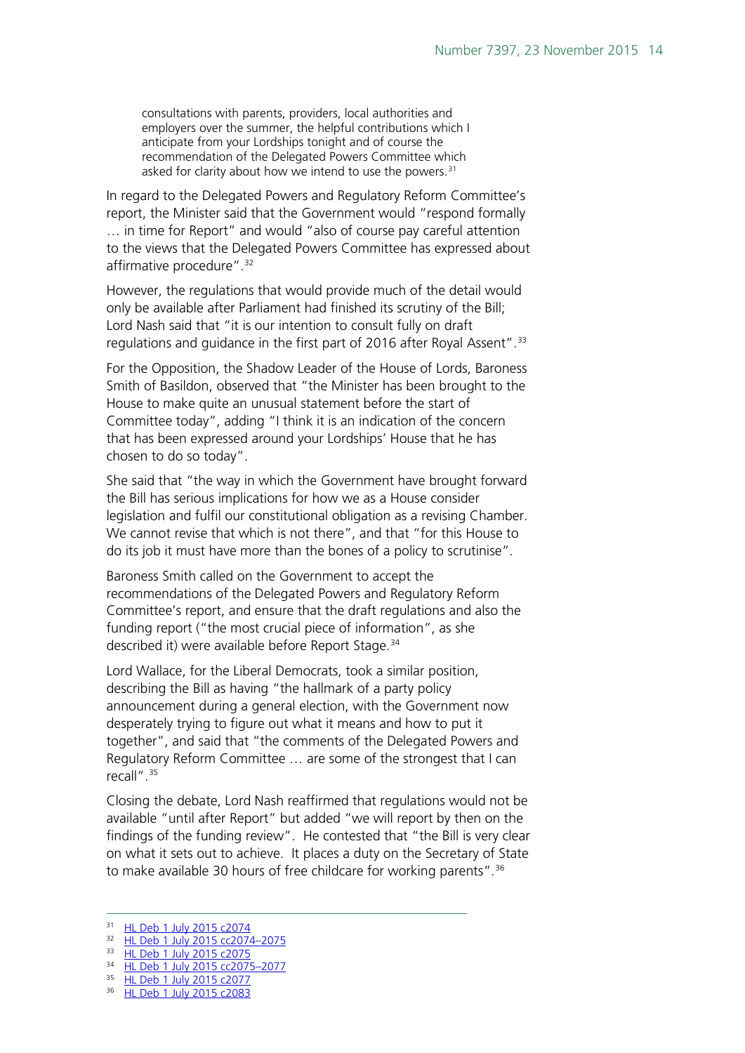consultations with parents, providers, local authorities and employers over the summer, the helpful contributions which I anticipate from your Lordships tonight and of course the recommendation of the Delegated Powers Committee which asked for clarity about how we intend to use the powers. [31](#page-13-0)

In regard to the Delegated Powers and Regulatory Reform Committee's report, the Minister said that the Government would "respond formally … in time for Report" and would "also of course pay careful attention to the views that the Delegated Powers Committee has expressed about affirmative procedure".<sup>[32](#page-13-1)</sup>

However, the regulations that would provide much of the detail would only be available after Parliament had finished its scrutiny of the Bill; Lord Nash said that "it is our intention to consult fully on draft regulations and guidance in the first part of 2016 after Royal Assent".<sup>[33](#page-13-2)</sup>

For the Opposition, the Shadow Leader of the House of Lords, Baroness Smith of Basildon, observed that "the Minister has been brought to the House to make quite an unusual statement before the start of Committee today", adding "I think it is an indication of the concern that has been expressed around your Lordships' House that he has chosen to do so today".

She said that "the way in which the Government have brought forward the Bill has serious implications for how we as a House consider legislation and fulfil our constitutional obligation as a revising Chamber. We cannot revise that which is not there", and that "for this House to do its job it must have more than the bones of a policy to scrutinise".

Baroness Smith called on the Government to accept the recommendations of the Delegated Powers and Regulatory Reform Committee's report, and ensure that the draft regulations and also the funding report ("the most crucial piece of information", as she described it) were available before Report Stage. [34](#page-13-3)

Lord Wallace, for the Liberal Democrats, took a similar position, describing the Bill as having "the hallmark of a party policy announcement during a general election, with the Government now desperately trying to figure out what it means and how to put it together", and said that "the comments of the Delegated Powers and Regulatory Reform Committee … are some of the strongest that I can recall".<sup>[35](#page-13-4)</sup>

Closing the debate, Lord Nash reaffirmed that regulations would not be available "until after Report" but added "we will report by then on the findings of the funding review". He contested that "the Bill is very clear on what it sets out to achieve. It places a duty on the Secretary of State to make available 30 hours of free childcare for working parents".<sup>[36](#page-13-5)</sup>

<span id="page-13-0"></span><sup>31</sup> [HL Deb 1 July 2015 c2074](http://www.publications.parliament.uk/pa/ld201516/ldhansrd/text/150701-0001.htm#15070130000453)

<span id="page-13-1"></span><sup>32</sup> [HL Deb 1 July 2015 cc2074–2075](http://www.publications.parliament.uk/pa/ld201516/ldhansrd/text/150701-0001.htm#15070130000453)

<span id="page-13-2"></span><sup>33</sup> [HL Deb 1 July 2015 c2075](http://www.publications.parliament.uk/pa/ld201516/ldhansrd/text/150701-0001.htm#15070130000453)

<span id="page-13-4"></span><span id="page-13-3"></span><sup>34</sup> [HL Deb 1 July 2015 cc2075–2077](http://www.publications.parliament.uk/pa/ld201516/ldhansrd/text/150701-0001.htm#15070130000453) 35 [HL Deb 1 July 2015 c2077](http://www.publications.parliament.uk/pa/ld201516/ldhansrd/text/150701-0001.htm#15070130000453)

<span id="page-13-5"></span><sup>36</sup> [HL Deb 1 July 2015 c2083](http://www.publications.parliament.uk/pa/ld201516/ldhansrd/text/150701-0001.htm#15070130000453)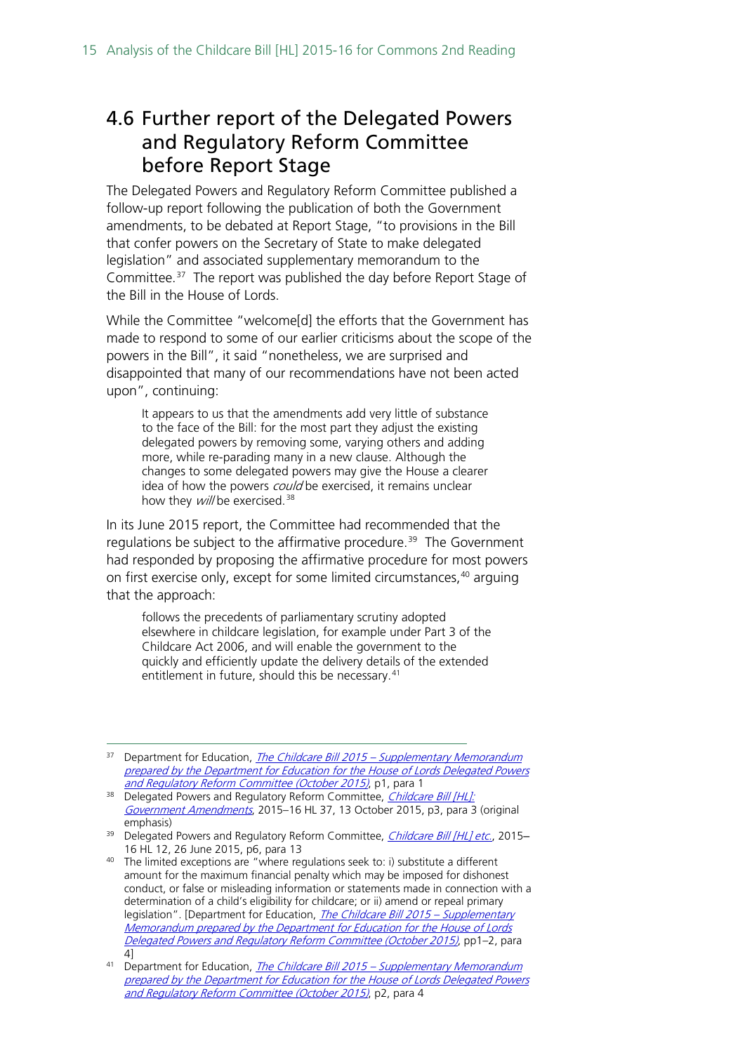## <span id="page-14-0"></span>4.6 Further report of the Delegated Powers and Regulatory Reform Committee before Report Stage

The Delegated Powers and Regulatory Reform Committee published a follow-up report following the publication of both the Government amendments, to be debated at Report Stage, "to provisions in the Bill that confer powers on the Secretary of State to make delegated legislation" and associated supplementary memorandum to the Committee. [37](#page-14-1) The report was published the day before Report Stage of the Bill in the House of Lords.

While the Committee "welcome[d] the efforts that the Government has made to respond to some of our earlier criticisms about the scope of the powers in the Bill", it said "nonetheless, we are surprised and disappointed that many of our recommendations have not been acted upon", continuing:

It appears to us that the amendments add very little of substance to the face of the Bill: for the most part they adjust the existing delegated powers by removing some, varying others and adding more, while re-parading many in a new clause. Although the changes to some delegated powers may give the House a clearer idea of how the powers could be exercised, it remains unclear how they will be exercised.<sup>[38](#page-14-2)</sup>

In its June 2015 report, the Committee had recommended that the regulations be subject to the affirmative procedure.<sup>39</sup> The Government had responded by proposing the affirmative procedure for most powers on first exercise only, except for some limited circumstances,<sup>40</sup> arguing that the approach:

follows the precedents of parliamentary scrutiny adopted elsewhere in childcare legislation, for example under Part 3 of the Childcare Act 2006, and will enable the government to the quickly and efficiently update the delivery details of the extended entitlement in future, should this be necessary. [41](#page-14-5)

<span id="page-14-1"></span><sup>&</sup>lt;sup>37</sup> Department for Education, *The Childcare Bill 2015 – Supplementary Memorandum* prepared by the Department for Education for the House of Lords Delegated Powers [and Regulatory Reform Committee \(October 2015\)](http://www.parliament.uk/documents/lords-committees/delegated-powers/Supplementary_Delegated_Powers_Memo_Childcare.pdf), p1, para 1

<span id="page-14-2"></span><sup>38</sup> Delegated Powers and Regulatory Reform Committee, Childcare Bill [HL]: [Government Amendments](http://www.publications.parliament.uk/pa/ld201516/ldselect/lddelreg/37/37.pdf), 2015-16 HL 37, 13 October 2015, p3, para 3 (original emphasis)

<span id="page-14-3"></span><sup>&</sup>lt;sup>39</sup> Delegated Powers and Regulatory Reform Committee, *[Childcare Bill \[HL\] etc.](http://www.publications.parliament.uk/pa/ld201516/ldselect/lddelreg/12/12.pdf)*, 2015-16 HL 12, 26 June 2015, p6, para 13

<span id="page-14-4"></span> $40$  The limited exceptions are "where regulations seek to: i) substitute a different amount for the maximum financial penalty which may be imposed for dishonest conduct, or false or misleading information or statements made in connection with a determination of a child's eligibility for childcare; or ii) amend or repeal primary legislation". [Department for Education, *[The Childcare Bill 2015 –](http://www.parliament.uk/documents/lords-committees/delegated-powers/Supplementary_Delegated_Powers_Memo_Childcare.pdf) Supplementary* Memorandum prepared by the Department for Education for the House of Lords [Delegated Powers and Regulatory Reform Committee \(October 2015\)](http://www.parliament.uk/documents/lords-committees/delegated-powers/Supplementary_Delegated_Powers_Memo_Childcare.pdf), pp1–2, para 4]

<span id="page-14-5"></span><sup>&</sup>lt;sup>41</sup> Department for Education, The Childcare Bill 2015 – Supplementary Memorandum [prepared by the Department for Education for the House of Lords Delegated Powers](http://www.parliament.uk/documents/lords-committees/delegated-powers/Supplementary_Delegated_Powers_Memo_Childcare.pdf)  [and Regulatory Reform Committee \(October 2015\)](http://www.parliament.uk/documents/lords-committees/delegated-powers/Supplementary_Delegated_Powers_Memo_Childcare.pdf), p2, para 4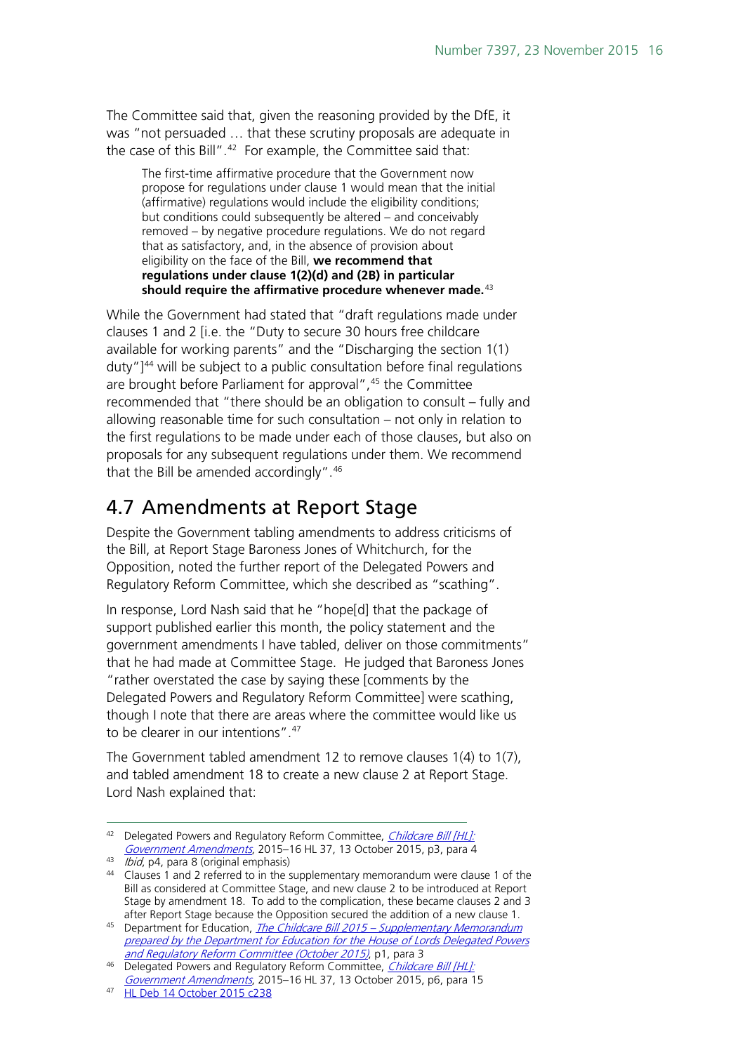The Committee said that, given the reasoning provided by the DfE, it was "not persuaded … that these scrutiny proposals are adequate in the case of this Bill".<sup>[42](#page-15-1)</sup> For example, the Committee said that:

The first-time affirmative procedure that the Government now propose for regulations under clause 1 would mean that the initial (affirmative) regulations would include the eligibility conditions; but conditions could subsequently be altered – and conceivably removed – by negative procedure regulations. We do not regard that as satisfactory, and, in the absence of provision about eligibility on the face of the Bill, **we recommend that regulations under clause 1(2)(d) and (2B) in particular should require the affirmative procedure whenever made.**[43](#page-15-2)

While the Government had stated that "draft regulations made under clauses 1 and 2 [i.e. the "Duty to secure 30 hours free childcare available for working parents" and the "Discharging the section 1(1) duty"] $44$  will be subject to a public consultation before final regulations are brought before Parliament for approval", <sup>[45](#page-15-4)</sup> the Committee recommended that "there should be an obligation to consult – fully and allowing reasonable time for such consultation – not only in relation to the first regulations to be made under each of those clauses, but also on proposals for any subsequent regulations under them. We recommend that the Bill be amended accordingly". [46](#page-15-5)

### <span id="page-15-0"></span>4.7 Amendments at Report Stage

Despite the Government tabling amendments to address criticisms of the Bill, at Report Stage Baroness Jones of Whitchurch, for the Opposition, noted the further report of the Delegated Powers and Regulatory Reform Committee, which she described as "scathing".

In response, Lord Nash said that he "hope[d] that the package of support published earlier this month, the policy statement and the government amendments I have tabled, deliver on those commitments" that he had made at Committee Stage. He judged that Baroness Jones "rather overstated the case by saying these [comments by the Delegated Powers and Regulatory Reform Committee] were scathing, though I note that there are areas where the committee would like us to be clearer in our intentions".[47](#page-15-6) 

The Government tabled amendment 12 to remove clauses 1(4) to 1(7), and tabled amendment 18 to create a new clause 2 at Report Stage. Lord Nash explained that:

<span id="page-15-1"></span><sup>42</sup> Delegated Powers and Regulatory Reform Committee, Childcare Bill [HL]: [Government Amendments](http://www.publications.parliament.uk/pa/ld201516/ldselect/lddelreg/37/37.pdf), 2015–16 HL 37, 13 October 2015, p3, para 4

<span id="page-15-2"></span> $43$  *Ibid*, p4, para 8 (original emphasis)

<span id="page-15-3"></span><sup>44</sup> Clauses 1 and 2 referred to in the supplementary memorandum were clause 1 of the Bill as considered at Committee Stage, and new clause 2 to be introduced at Report Stage by amendment 18. To add to the complication, these became clauses 2 and 3 after Report Stage because the Opposition secured the addition of a new clause 1.

<span id="page-15-4"></span><sup>&</sup>lt;sup>45</sup> Department for Education, *The Childcare Bill 2015 – Supplementary Memorandum* prepared by the Department for Education, for the House of Lords Delegated Powers [and Regulatory Reform Committee \(October 2015\)](http://www.parliament.uk/documents/lords-committees/delegated-powers/Supplementary_Delegated_Powers_Memo_Childcare.pdf), p1, para 3

<span id="page-15-5"></span><sup>&</sup>lt;sup>46</sup> Delegated Powers and Regulatory Reform Committee, *Childcare Bill [HL]*: [Government Amendments](http://www.publications.parliament.uk/pa/ld201516/ldselect/lddelreg/37/37.pdf), 2015–16 HL 37, 13 October 2015, p6, para 15

<span id="page-15-6"></span><sup>47</sup> [HL Deb 14 October 2015 c238](http://www.publications.parliament.uk/pa/ld201516/ldhansrd/text/151014-0001.htm#15101443000833)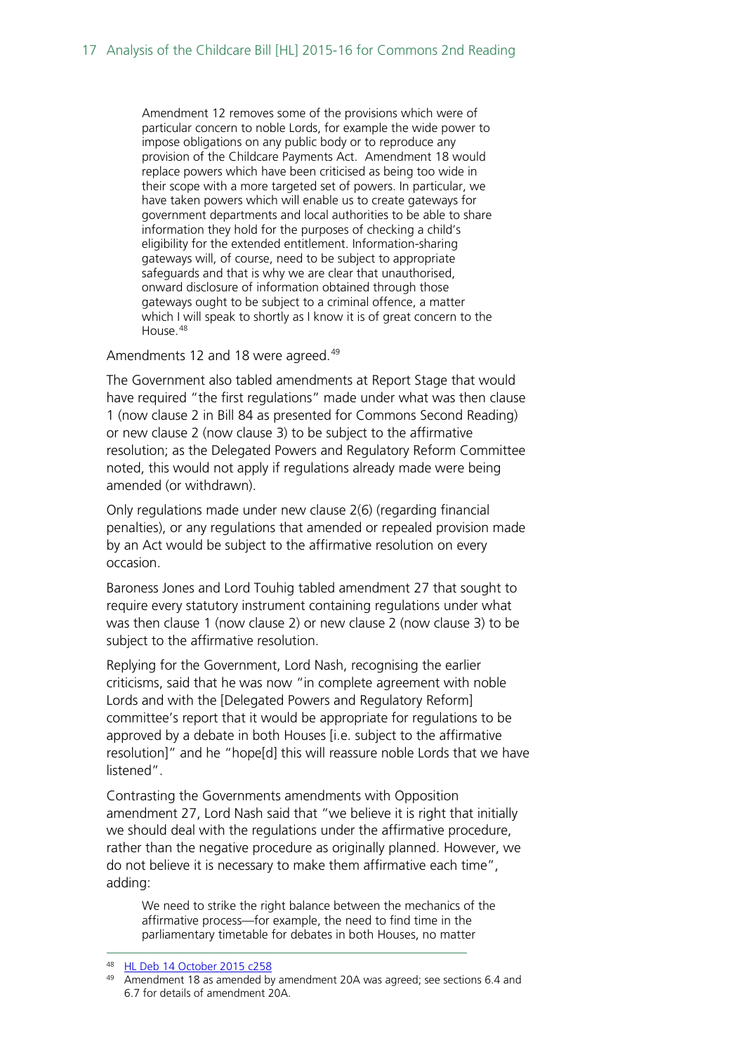Amendment 12 removes some of the provisions which were of particular concern to noble Lords, for example the wide power to impose obligations on any public body or to reproduce any provision of the Childcare Payments Act. Amendment 18 would replace powers which have been criticised as being too wide in their scope with a more targeted set of powers. In particular, we have taken powers which will enable us to create gateways for government departments and local authorities to be able to share information they hold for the purposes of checking a child's eligibility for the extended entitlement. Information-sharing gateways will, of course, need to be subject to appropriate safeguards and that is why we are clear that unauthorised, onward disclosure of information obtained through those gateways ought to be subject to a criminal offence, a matter which I will speak to shortly as I know it is of great concern to the House.<sup>[48](#page-16-0)</sup>

Amendments 12 and 18 were agreed.<sup>[49](#page-16-1)</sup>

The Government also tabled amendments at Report Stage that would have required "the first regulations" made under what was then clause 1 (now clause 2 in Bill 84 as presented for Commons Second Reading) or new clause 2 (now clause 3) to be subject to the affirmative resolution; as the Delegated Powers and Regulatory Reform Committee noted, this would not apply if regulations already made were being amended (or withdrawn).

Only regulations made under new clause 2(6) (regarding financial penalties), or any regulations that amended or repealed provision made by an Act would be subject to the affirmative resolution on every occasion.

Baroness Jones and Lord Touhig tabled amendment 27 that sought to require every statutory instrument containing regulations under what was then clause 1 (now clause 2) or new clause 2 (now clause 3) to be subject to the affirmative resolution.

Replying for the Government, Lord Nash, recognising the earlier criticisms, said that he was now "in complete agreement with noble Lords and with the [Delegated Powers and Regulatory Reform] committee's report that it would be appropriate for regulations to be approved by a debate in both Houses [i.e. subject to the affirmative resolution]" and he "hope[d] this will reassure noble Lords that we have listened".

Contrasting the Governments amendments with Opposition amendment 27, Lord Nash said that "we believe it is right that initially we should deal with the regulations under the affirmative procedure, rather than the negative procedure as originally planned. However, we do not believe it is necessary to make them affirmative each time", adding:

We need to strike the right balance between the mechanics of the affirmative process—for example, the need to find time in the parliamentary timetable for debates in both Houses, no matter

 <sup>48</sup> [HL Deb 14 October 2015 c258](http://www.publications.parliament.uk/pa/ld201516/ldhansrd/text/151014-0001.htm#15101443000833)

<span id="page-16-1"></span><span id="page-16-0"></span><sup>&</sup>lt;sup>49</sup> Amendment 18 as amended by amendment 20A was agreed; see sections 6.4 and 6.7 for details of amendment 20A.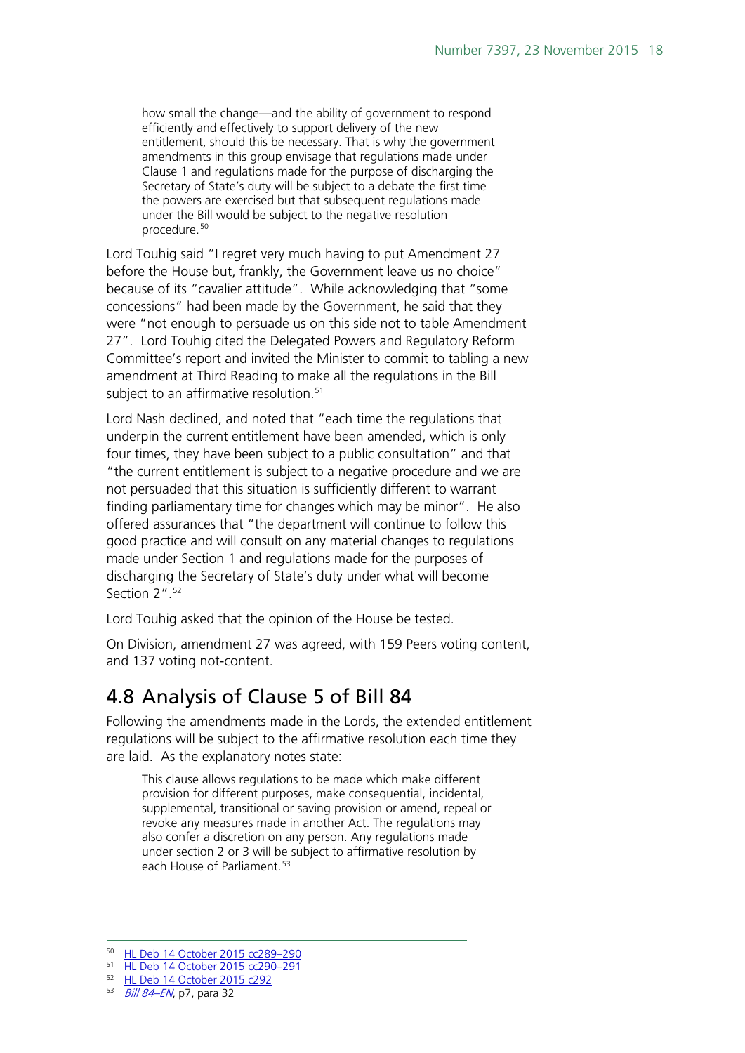how small the change—and the ability of government to respond efficiently and effectively to support delivery of the new entitlement, should this be necessary. That is why the government amendments in this group envisage that regulations made under Clause 1 and regulations made for the purpose of discharging the Secretary of State's duty will be subject to a debate the first time the powers are exercised but that subsequent regulations made under the Bill would be subject to the negative resolution procedure.[50](#page-17-1)

Lord Touhig said "I regret very much having to put Amendment 27 before the House but, frankly, the Government leave us no choice" because of its "cavalier attitude". While acknowledging that "some concessions" had been made by the Government, he said that they were "not enough to persuade us on this side not to table Amendment 27". Lord Touhig cited the Delegated Powers and Regulatory Reform Committee's report and invited the Minister to commit to tabling a new amendment at Third Reading to make all the regulations in the Bill subject to an affirmative resolution. [51](#page-17-2) 

Lord Nash declined, and noted that "each time the regulations that underpin the current entitlement have been amended, which is only four times, they have been subject to a public consultation" and that "the current entitlement is subject to a negative procedure and we are not persuaded that this situation is sufficiently different to warrant finding parliamentary time for changes which may be minor". He also offered assurances that "the department will continue to follow this good practice and will consult on any material changes to regulations made under Section 1 and regulations made for the purposes of discharging the Secretary of State's duty under what will become Section 2". [52](#page-17-3)

Lord Touhig asked that the opinion of the House be tested.

On Division, amendment 27 was agreed, with 159 Peers voting content, and 137 voting not-content.

## <span id="page-17-0"></span>4.8 Analysis of Clause 5 of Bill 84

Following the amendments made in the Lords, the extended entitlement regulations will be subject to the affirmative resolution each time they are laid. As the explanatory notes state:

This clause allows regulations to be made which make different provision for different purposes, make consequential, incidental, supplemental, transitional or saving provision or amend, repeal or revoke any measures made in another Act. The regulations may also confer a discretion on any person. Any regulations made under section 2 or 3 will be subject to affirmative resolution by each House of Parliament.<sup>[53](#page-17-4)</sup>

 <sup>50</sup> [HL Deb 14 October 2015 cc289–290](http://www.publications.parliament.uk/pa/ld201516/ldhansrd/text/151014-0002.htm)

<span id="page-17-2"></span><span id="page-17-1"></span><sup>51</sup> [HL Deb 14 October 2015 cc290–291](http://www.publications.parliament.uk/pa/ld201516/ldhansrd/text/151014-0002.htm)

<span id="page-17-3"></span><sup>52</sup> [HL Deb 14 October 2015 c292](http://www.publications.parliament.uk/pa/ld201516/ldhansrd/text/151014-0002.htm)

<span id="page-17-4"></span><sup>53</sup> [Bill 84–EN](http://www.publications.parliament.uk/pa/bills/cbill/2015-2016/0084/en/15084en.pdf), p7, para 32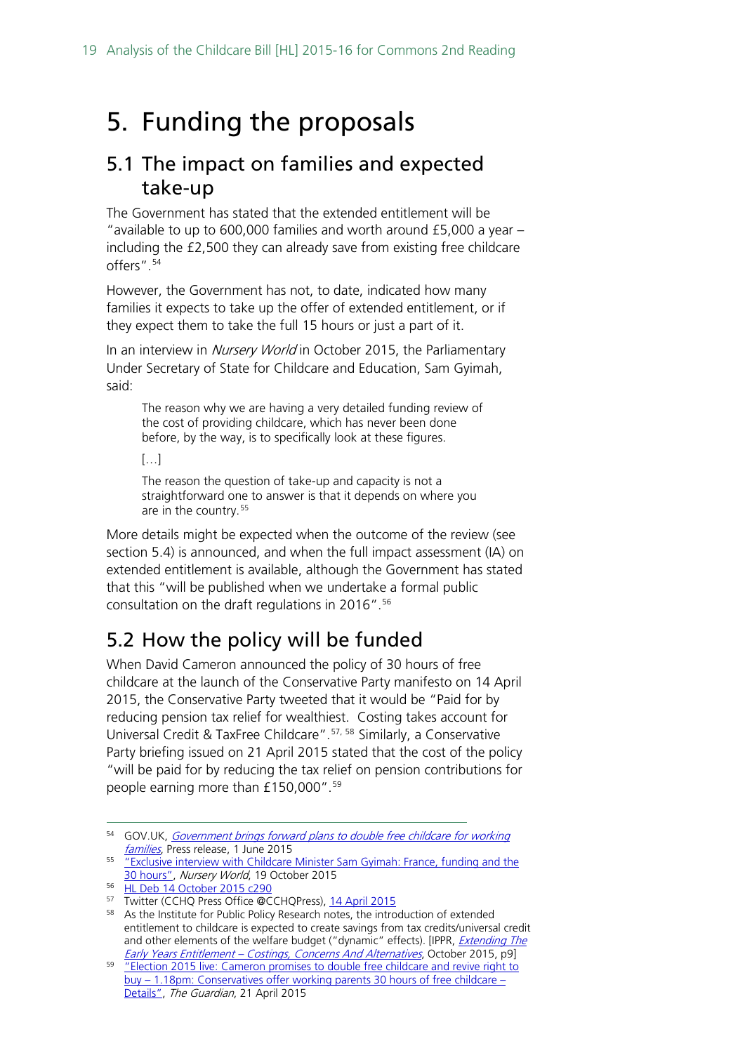## <span id="page-18-0"></span>5. Funding the proposals

#### <span id="page-18-1"></span>5.1 The impact on families and expected take-up

The Government has stated that the extended entitlement will be "available to up to 600,000 families and worth around £5,000 a year – including the £2,500 they can already save from existing free childcare offers". [54](#page-18-3) 

However, the Government has not, to date, indicated how many families it expects to take up the offer of extended entitlement, or if they expect them to take the full 15 hours or just a part of it.

In an interview in Nursery World in October 2015, the Parliamentary Under Secretary of State for Childcare and Education, Sam Gyimah, said:

The reason why we are having a very detailed funding review of the cost of providing childcare, which has never been done before, by the way, is to specifically look at these figures.

[…]

The reason the question of take-up and capacity is not a straightforward one to answer is that it depends on where you are in the country.<sup>[55](#page-18-4)</sup>

More details might be expected when the outcome of the review (see section 5.4) is announced, and when the full impact assessment (IA) on extended entitlement is available, although the Government has stated that this "will be published when we undertake a formal public consultation on the draft regulations in 2016".<sup>[56](#page-18-5)</sup>

## <span id="page-18-2"></span>5.2 How the policy will be funded

When David Cameron announced the policy of 30 hours of free childcare at the launch of the Conservative Party manifesto on 14 April 2015, the Conservative Party tweeted that it would be "Paid for by reducing pension tax relief for wealthiest. Costing takes account for Universal Credit & TaxFree Childcare". [57,](#page-18-6) [58](#page-18-7) Similarly, a Conservative Party briefing issued on 21 April 2015 stated that the cost of the policy "will be paid for by reducing the tax relief on pension contributions for people earning more than £150,000". [59](#page-18-8)

<span id="page-18-3"></span><sup>&</sup>lt;sup>54</sup> GOV.UK, *Government brings forward plans to double free childcare for working* [families](https://www.gov.uk/government/news/government-brings-forward-plans-to-double-free-childcare-for-working-families), Press release, 1 June 2015

<span id="page-18-4"></span><sup>&</sup>lt;sup>55</sup> "Exclusive interview with Childcare Minister Sam Gyimah: France, funding and the [30 hours",](http://www.nurseryworld.co.uk/nursery-world/news/1154315/exclusive-interview-with-childcare-minister-sam-gyimah-france-funding-and-the-30-hours) Nursery World, 19 October 2015

<span id="page-18-5"></span><sup>56</sup> [HL Deb 14 October 2015 c290](http://www.publications.parliament.uk/pa/ld201516/ldhansrd/text/151014-0002.htm)

<span id="page-18-6"></span><sup>&</sup>lt;sup>57</sup> Twitter (CCHQ Press Office @CCHQPress), [14 April 2015](https://twitter.com/CCHQPress/status/587943341960069120/photo/1?ref_src=twsrc%5Etfw)

<span id="page-18-7"></span><sup>58</sup> As the Institute for Public Policy Research notes, the introduction of extended entitlement to childcare is expected to create savings from tax credits/universal credit and other elements of the welfare budget ("dynamic" effects). [IPPR, *Extending The* Early Years Entitlement - [Costings, Concerns And Alternatives](http://www.ippr.org/files/publications/pdf/extending-the-early-years-entitlement-costings-concerns-and-alternatives-oct2015.pdf?noredirect=1), October 2015, p9]

<span id="page-18-8"></span><sup>&</sup>lt;sup>59</sup> "Election 2015 live: Cameron promises to double free childcare and revive right to buy – 1.18pm: [Conservatives offer working parents 30 hours of free childcare –](http://www.theguardian.com/politics/live/2015/apr/14/election-2015-live-conservative-manifesto-david-cameron-right-to-buy) [Details",](http://www.theguardian.com/politics/live/2015/apr/14/election-2015-live-conservative-manifesto-david-cameron-right-to-buy) The Guardian, 21 April 2015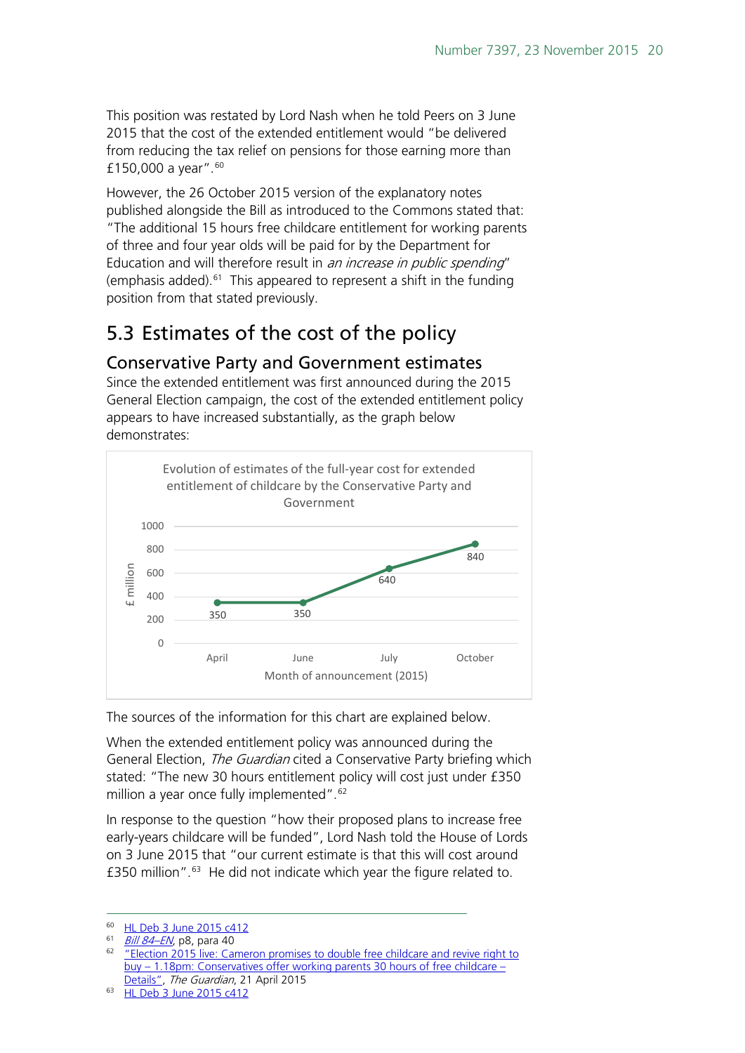This position was restated by Lord Nash when he told Peers on 3 June 2015 that the cost of the extended entitlement would "be delivered from reducing the tax relief on pensions for those earning more than £150,000 a year". $60$ 

However, the 26 October 2015 version of the explanatory notes published alongside the Bill as introduced to the Commons stated that: "The additional 15 hours free childcare entitlement for working parents of three and four year olds will be paid for by the Department for Education and will therefore result in *an increase in public spending*" (emphasis added). $61$  This appeared to represent a shift in the funding position from that stated previously.

## <span id="page-19-0"></span>5.3 Estimates of the cost of the policy

#### <span id="page-19-1"></span>Conservative Party and Government estimates

Since the extended entitlement was first announced during the 2015 General Election campaign, the cost of the extended entitlement policy appears to have increased substantially, as the graph below demonstrates:



The sources of the information for this chart are explained below.

When the extended entitlement policy was announced during the General Election, *The Guardian* cited a Conservative Party briefing which stated: "The new 30 hours entitlement policy will cost just under £350 million a year once fully implemented".<sup>[62](#page-19-4)</sup>

In response to the question "how their proposed plans to increase free early-years childcare will be funded", Lord Nash told the House of Lords on 3 June 2015 that "our current estimate is that this will cost around £350 million".[63](#page-19-5) He did not indicate which year the figure related to.

<span id="page-19-3"></span><span id="page-19-2"></span> $\frac{60}{61}$  [HL Deb 3 June 2015 c412](http://www.publications.parliament.uk/pa/ld201516/ldhansrd/text/150603-0001.htm#15060326000397)

 $Bill 84$ – $EN$ , p8, para 40

<span id="page-19-4"></span><sup>62</sup> ["Election 2015 live: Cameron promises to double free childcare and revive right to](http://www.theguardian.com/politics/live/2015/apr/14/election-2015-live-conservative-manifesto-david-cameron-right-to-buy)  buy – 1.18pm: [Conservatives offer working parents 30 hours of free childcare –](http://www.theguardian.com/politics/live/2015/apr/14/election-2015-live-conservative-manifesto-david-cameron-right-to-buy) Details", The Guardian, 21 April 2015<br><sup>63</sup> [HL Deb 3 June 2015 c412](http://www.publications.parliament.uk/pa/ld201516/ldhansrd/text/150603-0001.htm#15060326000397)

<span id="page-19-5"></span>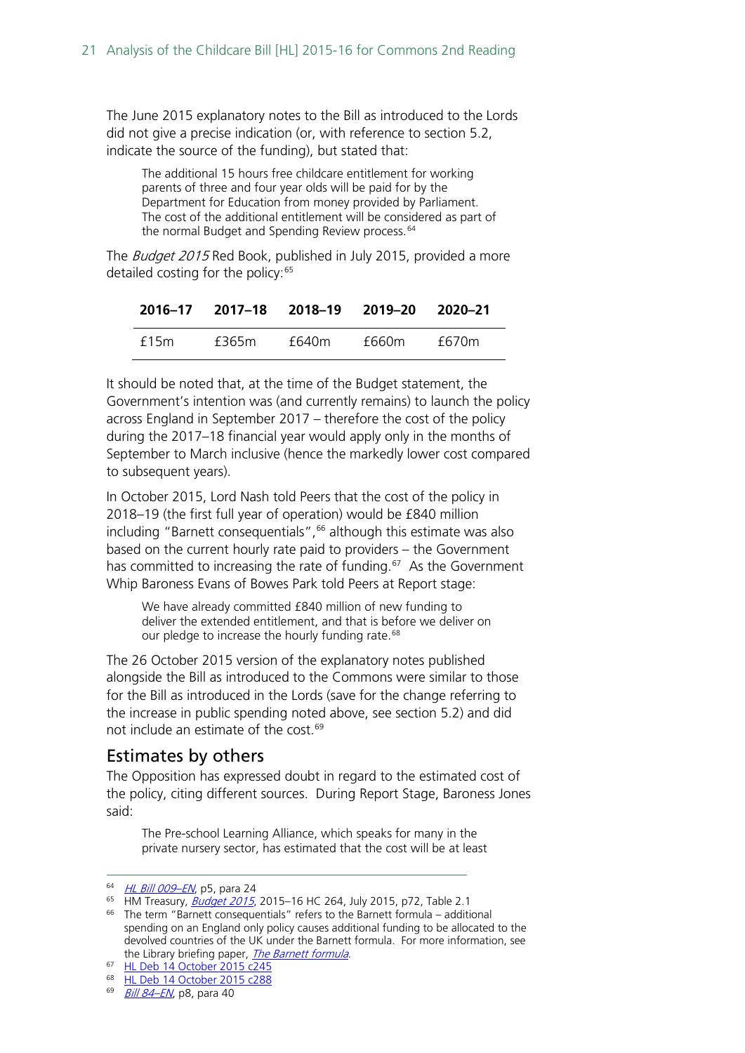The June 2015 explanatory notes to the Bill as introduced to the Lords did not give a precise indication (or, with reference to section 5.2, indicate the source of the funding), but stated that:

The additional 15 hours free childcare entitlement for working parents of three and four year olds will be paid for by the Department for Education from money provided by Parliament. The cost of the additional entitlement will be considered as part of the normal Budget and Spending Review process.<sup>[64](#page-20-1)</sup>

The *Budget 2015* Red Book, published in July 2015, provided a more detailed costing for the policy:  $65$ 

|      |       |       | 2016–17 2017–18 2018–19 2019–20 2020–21 |       |
|------|-------|-------|-----------------------------------------|-------|
| f15m | f365m | f640m | f660m                                   | f670m |

It should be noted that, at the time of the Budget statement, the Government's intention was (and currently remains) to launch the policy across England in September 2017 – therefore the cost of the policy during the 2017–18 financial year would apply only in the months of September to March inclusive (hence the markedly lower cost compared to subsequent years).

In October 2015, Lord Nash told Peers that the cost of the policy in 2018–19 (the first full year of operation) would be £840 million including "Barnett consequentials",<sup>[66](#page-20-3)</sup> although this estimate was also based on the current hourly rate paid to providers – the Government has committed to increasing the rate of funding. [67](#page-20-4) As the Government Whip Baroness Evans of Bowes Park told Peers at Report stage:

We have already committed £840 million of new funding to deliver the extended entitlement, and that is before we deliver on our pledge to increase the hourly funding rate.<sup>[68](#page-20-5)</sup>

The 26 October 2015 version of the explanatory notes published alongside the Bill as introduced to the Commons were similar to those for the Bill as introduced in the Lords (save for the change referring to the increase in public spending noted above, see section 5.2) and did not include an estimate of the cost. [69](#page-20-6) 

#### <span id="page-20-0"></span>Estimates by others

The Opposition has expressed doubt in regard to the estimated cost of the policy, citing different sources. During Report Stage, Baroness Jones said:

The Pre-school Learning Alliance, which speaks for many in the private nursery sector, has estimated that the cost will be at least

<span id="page-20-1"></span><sup>64</sup> HL Bill 009-EN, p5, para 24

<span id="page-20-2"></span><sup>&</sup>lt;sup>65</sup> HM Treasury, **[Budget 2015](https://www.gov.uk/government/uploads/system/uploads/attachment_data/file/443232/50325_Summer_Budget_15_Web_Accessible.pdf)**, 2015-16 HC 264, July 2015, p72, Table 2.1

<span id="page-20-3"></span><sup>66</sup> The term "Barnett consequentials" refers to the Barnett formula – additional spending on an England only policy causes additional funding to be allocated to the devolved countries of the UK under the Barnett formula. For more information, see the Library briefing paper, *[The Barnett formula](http://researchbriefings.files.parliament.uk/documents/CBP-7386/CBP-7386.pdf)*.

<span id="page-20-4"></span><sup>67</sup> [HL Deb 14 October 2015 c245](http://www.publications.parliament.uk/pa/ld201516/ldhansrd/text/151014-0001.htm#15101443000833)

<span id="page-20-5"></span><sup>68</sup> [HL Deb 14 October 2015 c288](http://www.publications.parliament.uk/pa/ld201516/ldhansrd/text/151014-0002.htm#15101455000057)

<span id="page-20-6"></span><sup>69</sup> Bill 84-EN, p8, para 40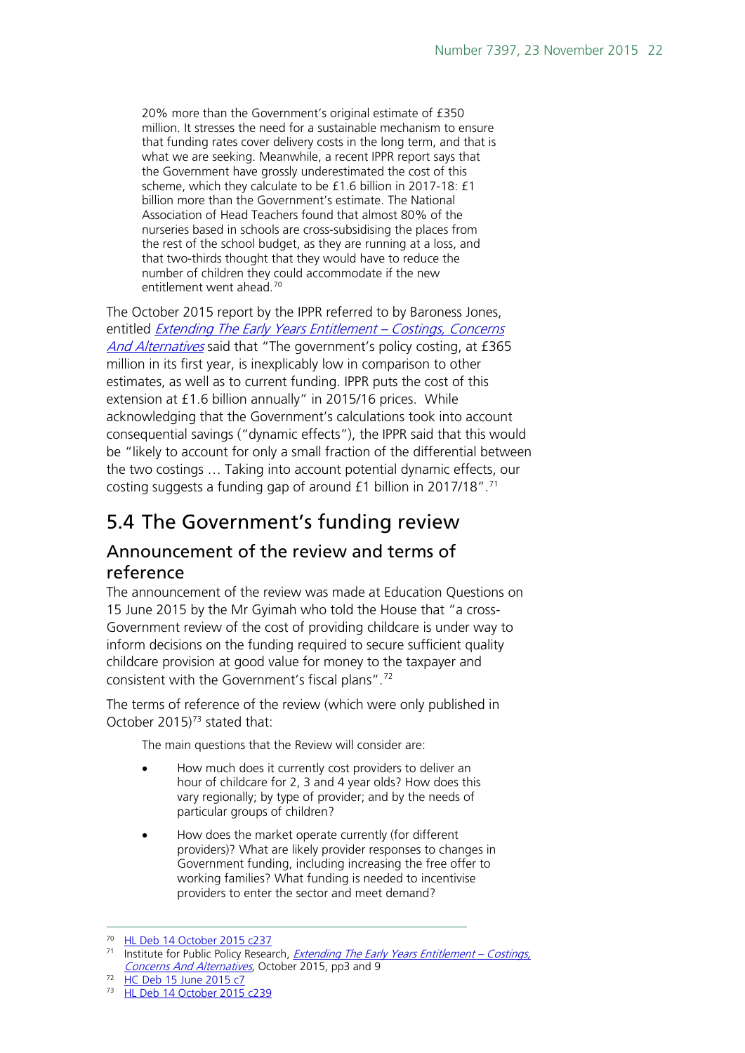20% more than the Government's original estimate of £350 million. It stresses the need for a sustainable mechanism to ensure that funding rates cover delivery costs in the long term, and that is what we are seeking. Meanwhile, a recent IPPR report says that the Government have grossly underestimated the cost of this scheme, which they calculate to be £1.6 billion in 2017-18: £1 billion more than the Government's estimate. The National Association of Head Teachers found that almost 80% of the nurseries based in schools are cross-subsidising the places from the rest of the school budget, as they are running at a loss, and that two-thirds thought that they would have to reduce the number of children they could accommodate if the new entitlement went ahead.<sup>[70](#page-21-2)</sup>

The October 2015 report by the IPPR referred to by Baroness Jones, entitled [Extending The Early Years Entitlement –](http://www.ippr.org/files/publications/pdf/extending-the-early-years-entitlement-costings-concerns-and-alternatives-oct2015.pdf?noredirect=1) Costings, Concerns [And Alternatives](http://www.ippr.org/files/publications/pdf/extending-the-early-years-entitlement-costings-concerns-and-alternatives-oct2015.pdf?noredirect=1) said that "The government's policy costing, at £365 million in its first year, is inexplicably low in comparison to other estimates, as well as to current funding. IPPR puts the cost of this extension at £1.6 billion annually" in 2015/16 prices. While acknowledging that the Government's calculations took into account consequential savings ("dynamic effects"), the IPPR said that this would be "likely to account for only a small fraction of the differential between the two costings … Taking into account potential dynamic effects, our costing suggests a funding gap of around  $£1$  billion in 2017/18".<sup>[71](#page-21-3)</sup>

## <span id="page-21-0"></span>5.4 The Government's funding review

#### <span id="page-21-1"></span>Announcement of the review and terms of reference

The announcement of the review was made at Education Questions on 15 June 2015 by the Mr Gyimah who told the House that "a cross-Government review of the cost of providing childcare is under way to inform decisions on the funding required to secure sufficient quality childcare provision at good value for money to the taxpayer and consistent with the Government's fiscal plans".[72](#page-21-4)

The terms of reference of the review (which were only published in October 2015)<sup>[73](#page-21-5)</sup> stated that:

The main questions that the Review will consider are:

- How much does it currently cost providers to deliver an hour of childcare for 2, 3 and 4 year olds? How does this vary regionally; by type of provider; and by the needs of particular groups of children?
- How does the market operate currently (for different providers)? What are likely provider responses to changes in Government funding, including increasing the free offer to working families? What funding is needed to incentivise providers to enter the sector and meet demand?

<span id="page-21-2"></span> <sup>70</sup> [HL Deb 14 October 2015 c237](http://www.publications.parliament.uk/pa/ld201516/ldhansrd/text/151014-0001.htm#15101443000833)

<span id="page-21-3"></span><sup>&</sup>lt;sup>71</sup> Institute for Public Policy Research, *[Extending The Early Years Entitlement –](http://www.ippr.org/files/publications/pdf/extending-the-early-years-entitlement-costings-concerns-and-alternatives-oct2015.pdf?noredirect=1) Costings*, [Concerns And Alternatives](http://www.ippr.org/files/publications/pdf/extending-the-early-years-entitlement-costings-concerns-and-alternatives-oct2015.pdf?noredirect=1), October 2015, pp3 and 9

<span id="page-21-4"></span><sup>72</sup> [HC Deb 15 June 2015 c7](http://www.publications.parliament.uk/pa/cm201516/cmhansrd/cm150615/debtext/150615-0001.htm#15061516000020)

<span id="page-21-5"></span><sup>73</sup> [HL Deb 14 October 2015 c239](http://www.publications.parliament.uk/pa/ld201516/ldhansrd/text/151014-0001.htm)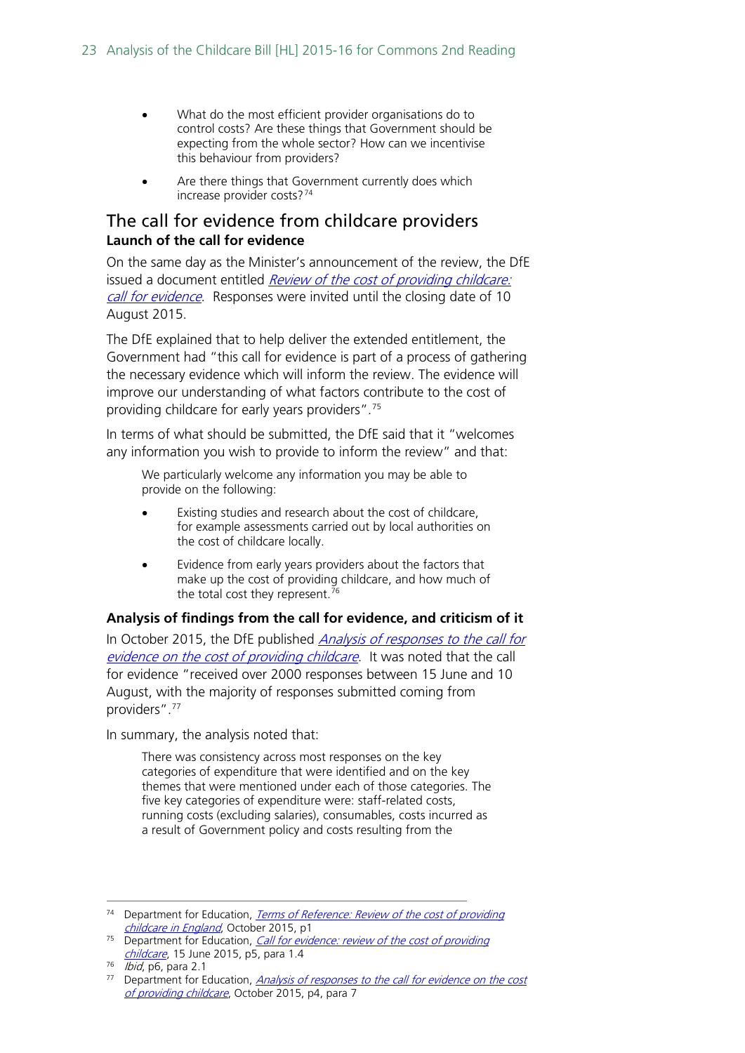- What do the most efficient provider organisations do to control costs? Are these things that Government should be expecting from the whole sector? How can we incentivise this behaviour from providers?
- Are there things that Government currently does which increase provider costs?[74](#page-22-1)

#### <span id="page-22-0"></span>The call for evidence from childcare providers **Launch of the call for evidence**

On the same day as the Minister's announcement of the review, the DfE issued a document entitled Review of the cost of providing childcare: [call for evidence](https://www.gov.uk/government/consultations/cost-of-providing-childcare-review-call-for-evidence). Responses were invited until the closing date of 10 August 2015.

The DfE explained that to help deliver the extended entitlement, the Government had "this call for evidence is part of a process of gathering the necessary evidence which will inform the review. The evidence will improve our understanding of what factors contribute to the cost of providing childcare for early years providers". [75](#page-22-2)

In terms of what should be submitted, the DfE said that it "welcomes any information you wish to provide to inform the review" and that:

We particularly welcome any information you may be able to provide on the following:

- Existing studies and research about the cost of childcare, for example assessments carried out by local authorities on the cost of childcare locally.
- Evidence from early years providers about the factors that make up the cost of providing childcare, and how much of the total cost they represent.<sup>[76](#page-22-3)</sup>

#### **Analysis of findings from the call for evidence, and criticism of it**

In October 2015, the DfE published *Analysis of responses to the call for* [evidence on the cost of providing childcare](https://www.gov.uk/government/uploads/system/uploads/attachment_data/file/465448/The_cost_of_providing_childcare_analysis_of_responses.pdf). It was noted that the call for evidence "received over 2000 responses between 15 June and 10 August, with the majority of responses submitted coming from providers". [77](#page-22-4)

In summary, the analysis noted that:

There was consistency across most responses on the key categories of expenditure that were identified and on the key themes that were mentioned under each of those categories. The five key categories of expenditure were: staff-related costs, running costs (excluding salaries), consumables, costs incurred as a result of Government policy and costs resulting from the

<span id="page-22-1"></span><sup>&</sup>lt;sup>74</sup> Department for Education, *Terms of Reference: Review of the cost of providing* [childcare in England](https://www.gov.uk/government/uploads/system/uploads/attachment_data/file/465449/Review_of_the_cost_of_providing_childcare_in_England_terms_of_reference_for_web.pdf), October 2015, p1

<span id="page-22-2"></span><sup>&</sup>lt;sup>75</sup> Department for Education, *Call for evidence: review of the cost of providing* [childcare](https://www.gov.uk/government/uploads/system/uploads/attachment_data/file/435115/Cost_of_childcare_call_for_evidence_-_consultation_document.pdf), 15 June 2015, p5, para 1.4

<span id="page-22-3"></span> $76$  *Ibid*, p6, para 2.1

<span id="page-22-4"></span><sup>&</sup>lt;sup>77</sup> Department for Education, Analysis of responses to the call for evidence on the cost [of providing childcare](https://www.gov.uk/government/uploads/system/uploads/attachment_data/file/465448/The_cost_of_providing_childcare_analysis_of_responses.pdf), October 2015, p4, para 7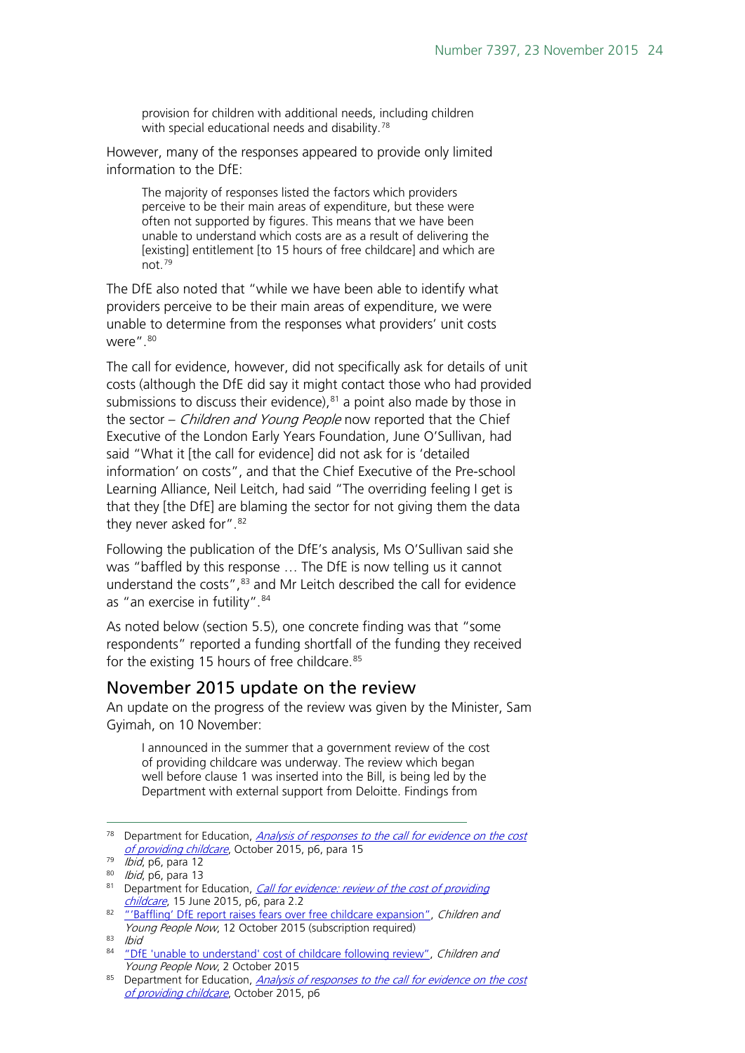provision for children with additional needs, including children with special educational needs and disability.<sup>[78](#page-23-1)</sup>

However, many of the responses appeared to provide only limited information to the DfE:

The majority of responses listed the factors which providers perceive to be their main areas of expenditure, but these were often not supported by figures. This means that we have been unable to understand which costs are as a result of delivering the [existing] entitlement [to 15 hours of free childcare] and which are not.[79](#page-23-2)

The DfE also noted that "while we have been able to identify what providers perceive to be their main areas of expenditure, we were unable to determine from the responses what providers' unit costs were".[80](#page-23-3)

The call for evidence, however, did not specifically ask for details of unit costs (although the DfE did say it might contact those who had provided submissions to discuss their evidence), [81](#page-23-4) a point also made by those in the sector – *Children and Young People* now reported that the Chief Executive of the London Early Years Foundation, June O'Sullivan, had said "What it [the call for evidence] did not ask for is 'detailed information' on costs", and that the Chief Executive of the Pre-school Learning Alliance, Neil Leitch, had said "The overriding feeling I get is that they [the DfE] are blaming the sector for not giving them the data they never asked for". [82](#page-23-5)

Following the publication of the DfE's analysis, Ms O'Sullivan said she was "baffled by this response … The DfE is now telling us it cannot understand the costs",<sup>[83](#page-23-6)</sup> and Mr Leitch described the call for evidence as "an exercise in futility". [84](#page-23-7)

As noted below (section 5.5), one concrete finding was that "some respondents" reported a funding shortfall of the funding they received for the existing 15 hours of free childcare.<sup>[85](#page-23-8)</sup>

#### <span id="page-23-0"></span>November 2015 update on the review

An update on the progress of the review was given by the Minister, Sam Gyimah, on 10 November:

I announced in the summer that a government review of the cost of providing childcare was underway. The review which began well before clause 1 was inserted into the Bill, is being led by the Department with external support from Deloitte. Findings from

<span id="page-23-1"></span><sup>&</sup>lt;sup>78</sup> Department for Education, *Analysis of responses to the call for evidence on the cost* [of providing childcare](https://www.gov.uk/government/uploads/system/uploads/attachment_data/file/465448/The_cost_of_providing_childcare_analysis_of_responses.pdf), October 2015, p6, para 15

 $\overline{79}$  *Ibid*, p6, para 12

<span id="page-23-3"></span><span id="page-23-2"></span><sup>80</sup> *Ibid*, p6, para 13

<span id="page-23-4"></span><sup>81</sup> Department for Education, Call for evidence: review of the cost of providing *[childcare](https://www.gov.uk/government/uploads/system/uploads/attachment_data/file/435115/Cost_of_childcare_call_for_evidence_-_consultation_document.pdf)*, 15 June 2015, p6, para 2.2

<span id="page-23-5"></span><sup>&</sup>lt;sup>82</sup> ["'Baffling' DfE report raises fears over free childcare expansion",](http://www.cypnow.co.uk/cyp/analysis/1154197/baffling-dfe-report-raises-fears-over-free-childcare-expansion) Children and Young People Now, 12 October 2015 (subscription required)

<span id="page-23-6"></span> $83$  Ibid

<span id="page-23-7"></span><sup>84</sup> ["DfE 'unable to understand' cost of childcare following review",](http://www.cypnow.co.uk/cyp/news/1154119/dfe-unable-to-understand-cost-of-childcare-following-review) Children and Young People Now, 2 October 2015

<span id="page-23-8"></span><sup>&</sup>lt;sup>85</sup> Department for Education, Analysis of responses to the call for evidence on the cost [of providing childcare](https://www.gov.uk/government/uploads/system/uploads/attachment_data/file/465448/The_cost_of_providing_childcare_analysis_of_responses.pdf), October 2015, p6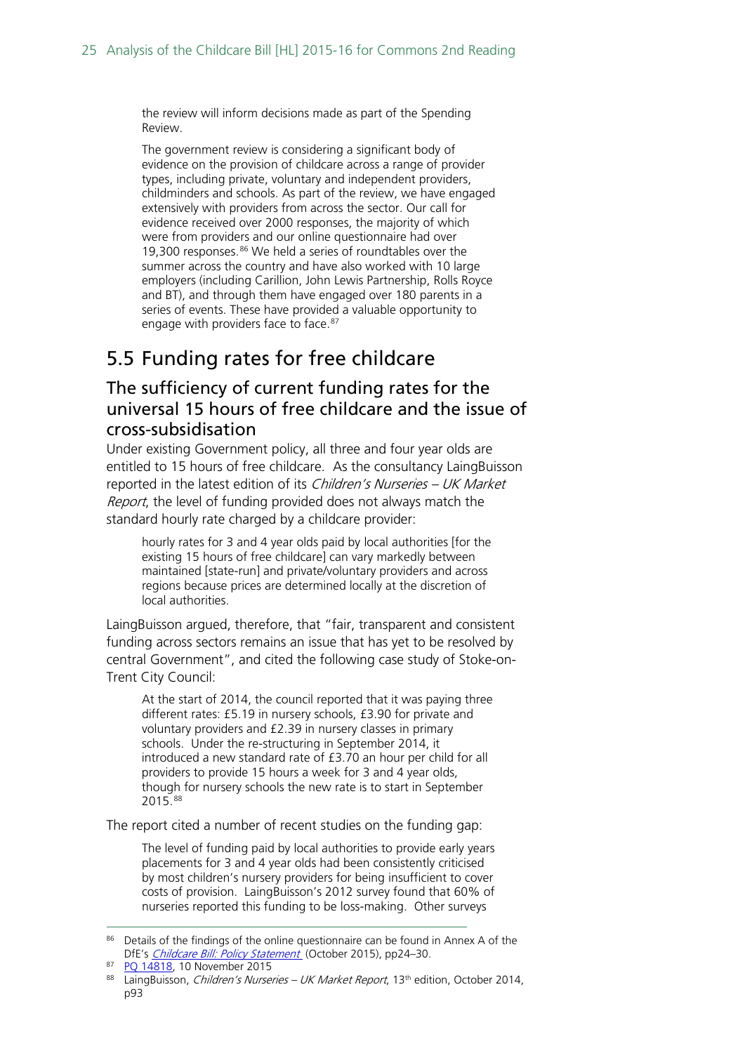the review will inform decisions made as part of the Spending Review.

The government review is considering a significant body of evidence on the provision of childcare across a range of provider types, including private, voluntary and independent providers, childminders and schools. As part of the review, we have engaged extensively with providers from across the sector. Our call for evidence received over 2000 responses, the majority of which were from providers and our online questionnaire had over 19,300 responses.<sup>[86](#page-24-2)</sup> We held a series of roundtables over the summer across the country and have also worked with 10 large employers (including Carillion, John Lewis Partnership, Rolls Royce and BT), and through them have engaged over 180 parents in a series of events. These have provided a valuable opportunity to engage with providers face to face.<sup>[87](#page-24-3)</sup>

## <span id="page-24-0"></span>5.5 Funding rates for free childcare

#### <span id="page-24-1"></span>The sufficiency of current funding rates for the universal 15 hours of free childcare and the issue of cross-subsidisation

Under existing Government policy, all three and four year olds are entitled to 15 hours of free childcare. As the consultancy LaingBuisson reported in the latest edition of its Children's Nurseries - UK Market Report, the level of funding provided does not always match the standard hourly rate charged by a childcare provider:

hourly rates for 3 and 4 year olds paid by local authorities [for the existing 15 hours of free childcare] can vary markedly between maintained [state-run] and private/voluntary providers and across regions because prices are determined locally at the discretion of local authorities.

LaingBuisson argued, therefore, that "fair, transparent and consistent funding across sectors remains an issue that has yet to be resolved by central Government", and cited the following case study of Stoke-on-Trent City Council:

At the start of 2014, the council reported that it was paying three different rates: £5.19 in nursery schools, £3.90 for private and voluntary providers and £2.39 in nursery classes in primary schools. Under the re-structuring in September 2014, it introduced a new standard rate of £3.70 an hour per child for all providers to provide 15 hours a week for 3 and 4 year olds, though for nursery schools the new rate is to start in September 2015.[88](#page-24-4)

The report cited a number of recent studies on the funding gap:

The level of funding paid by local authorities to provide early years placements for 3 and 4 year olds had been consistently criticised by most children's nursery providers for being insufficient to cover costs of provision. LaingBuisson's 2012 survey found that 60% of nurseries reported this funding to be loss-making. Other surveys

<span id="page-24-2"></span><sup>86</sup> Details of the findings of the online questionnaire can be found in Annex A of the DfE's *[Childcare Bill: Policy Statement](https://www.gov.uk/government/uploads/system/uploads/attachment_data/file/465446/Childcare_Bill_Policy_statement.pdf)* (October 2015), pp24-30.

<span id="page-24-3"></span><sup>87</sup> PO 14818, 10 November 2015

<span id="page-24-4"></span><sup>88</sup> LaingBuisson, Children's Nurseries - UK Market Report, 13<sup>th</sup> edition, October 2014, p93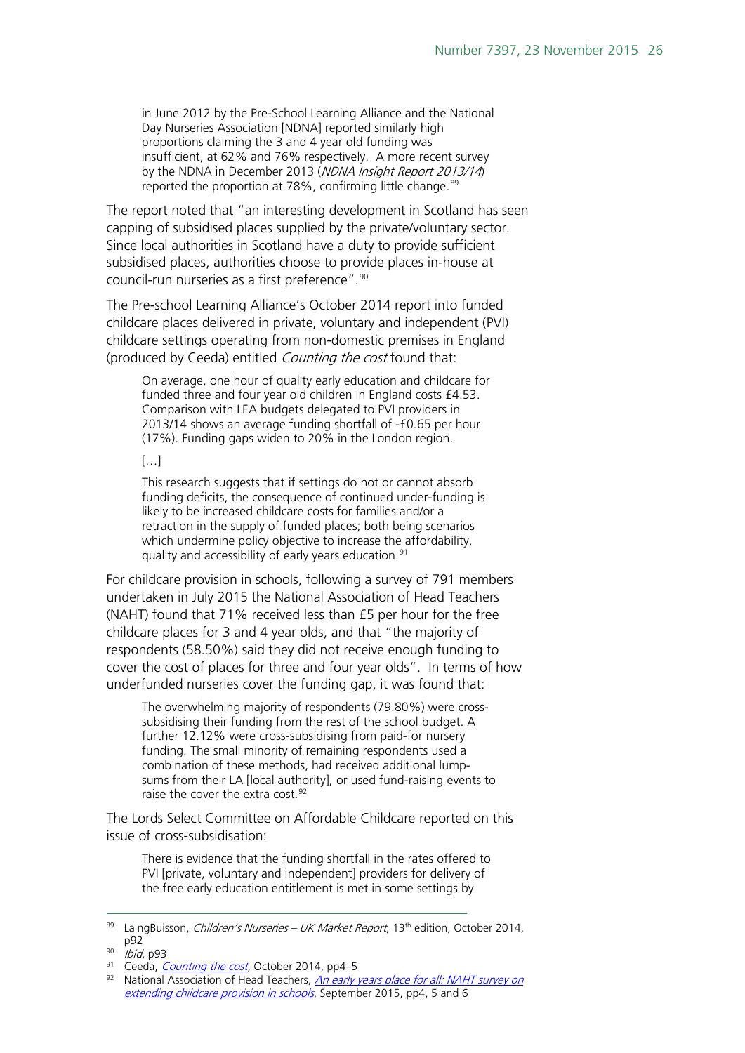in June 2012 by the Pre-School Learning Alliance and the National Day Nurseries Association [NDNA] reported similarly high proportions claiming the 3 and 4 year old funding was insufficient, at 62% and 76% respectively. A more recent survey by the NDNA in December 2013 (NDNA Insight Report 2013/14) reported the proportion at 78%, confirming little change.<sup>89</sup>

The report noted that "an interesting development in Scotland has seen capping of subsidised places supplied by the private/voluntary sector. Since local authorities in Scotland have a duty to provide sufficient subsidised places, authorities choose to provide places in-house at council-run nurseries as a first preference".[90](#page-25-1)

The Pre-school Learning Alliance's October 2014 report into funded childcare places delivered in private, voluntary and independent (PVI) childcare settings operating from non-domestic premises in England (produced by Ceeda) entitled Counting the cost found that:

On average, one hour of quality early education and childcare for funded three and four year old children in England costs £4.53. Comparison with LEA budgets delegated to PVI providers in 2013/14 shows an average funding shortfall of -£0.65 per hour (17%). Funding gaps widen to 20% in the London region.

 $[...]$ 

This research suggests that if settings do not or cannot absorb funding deficits, the consequence of continued under-funding is likely to be increased childcare costs for families and/or a retraction in the supply of funded places; both being scenarios which undermine policy objective to increase the affordability, quality and accessibility of early years education.<sup>[91](#page-25-2)</sup>

For childcare provision in schools, following a survey of 791 members undertaken in July 2015 the National Association of Head Teachers (NAHT) found that 71% received less than £5 per hour for the free childcare places for 3 and 4 year olds, and that "the majority of respondents (58.50%) said they did not receive enough funding to cover the cost of places for three and four year olds". In terms of how underfunded nurseries cover the funding gap, it was found that:

The overwhelming majority of respondents (79.80%) were crosssubsidising their funding from the rest of the school budget. A further 12.12% were cross-subsidising from paid-for nursery funding. The small minority of remaining respondents used a combination of these methods, had received additional lumpsums from their LA [local authority], or used fund-raising events to raise the cover the extra cost.<sup>[92](#page-25-3)</sup>

The Lords Select Committee on Affordable Childcare reported on this issue of cross-subsidisation:

There is evidence that the funding shortfall in the rates offered to PVI [private, voluntary and independent] providers for delivery of the free early education entitlement is met in some settings by

<span id="page-25-0"></span><sup>&</sup>lt;sup>89</sup> LaingBuisson, *Children's Nurseries – UK Market Report*, 13<sup>th</sup> edition, October 2014, p92

<span id="page-25-1"></span><sup>90</sup> *Ibid*, p93

<span id="page-25-2"></span><sup>91</sup> Ceeda, *[Counting the cost](https://www.pre-school.org.uk/document/7905)*, October 2014, pp4-5

<span id="page-25-3"></span><sup>92</sup> National Association of Head Teachers, An early years place for all: NAHT survey on [extending childcare provision in schools](http://www.naht.org.uk/_resources/assets/attachment/full/0/47298.pdf), September 2015, pp4, 5 and 6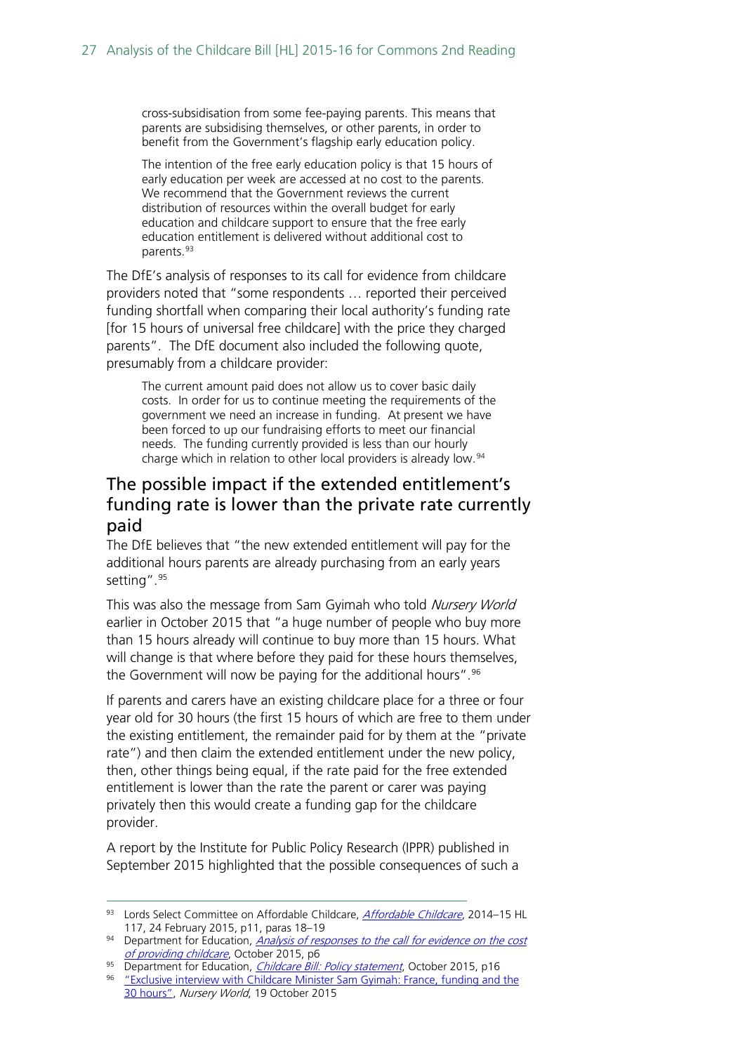cross-subsidisation from some fee-paying parents. This means that parents are subsidising themselves, or other parents, in order to benefit from the Government's flagship early education policy.

The intention of the free early education policy is that 15 hours of early education per week are accessed at no cost to the parents. We recommend that the Government reviews the current distribution of resources within the overall budget for early education and childcare support to ensure that the free early education entitlement is delivered without additional cost to parents.<sup>[93](#page-26-1)</sup>

The DfE's analysis of responses to its call for evidence from childcare providers noted that "some respondents … reported their perceived funding shortfall when comparing their local authority's funding rate [for 15 hours of universal free childcare] with the price they charged parents". The DfE document also included the following quote, presumably from a childcare provider:

The current amount paid does not allow us to cover basic daily costs. In order for us to continue meeting the requirements of the government we need an increase in funding. At present we have been forced to up our fundraising efforts to meet our financial needs. The funding currently provided is less than our hourly charge which in relation to other local providers is already low.<sup>[94](#page-26-2)</sup>

#### <span id="page-26-0"></span>The possible impact if the extended entitlement's funding rate is lower than the private rate currently paid

The DfE believes that "the new extended entitlement will pay for the additional hours parents are already purchasing from an early years setting". <sup>[95](#page-26-3)</sup>

This was also the message from Sam Gyimah who told Nursery World earlier in October 2015 that "a huge number of people who buy more than 15 hours already will continue to buy more than 15 hours. What will change is that where before they paid for these hours themselves, the Government will now be paying for the additional hours".<sup>[96](#page-26-4)</sup>

If parents and carers have an existing childcare place for a three or four year old for 30 hours (the first 15 hours of which are free to them under the existing entitlement, the remainder paid for by them at the "private rate") and then claim the extended entitlement under the new policy, then, other things being equal, if the rate paid for the free extended entitlement is lower than the rate the parent or carer was paying privately then this would create a funding gap for the childcare provider.

A report by the Institute for Public Policy Research (IPPR) published in September 2015 highlighted that the possible consequences of such a

<span id="page-26-1"></span><sup>93</sup> Lords Select Committee on [Affordable Childcare](http://www.publications.parliament.uk/pa/ld201415/ldselect/ldaffchild/117/117.pdf), **Affordable Childcare**, 2014-15 HL 117, 24 February 2015, p11, paras 18–19

<span id="page-26-2"></span> $94$  Department for Education, Analysis of responses to the call for evidence on the cost [of providing childcare](https://www.gov.uk/government/uploads/system/uploads/attachment_data/file/465448/The_cost_of_providing_childcare_analysis_of_responses.pdf), October 2015, p6

<span id="page-26-3"></span><sup>95</sup> Department for Education, *[Childcare Bill: Policy statement](https://www.gov.uk/government/uploads/system/uploads/attachment_data/file/465446/Childcare_Bill_Policy_statement.pdf)*, October 2015, p16

<span id="page-26-4"></span><sup>&</sup>lt;sup>96</sup> "Exclusive interview with Childcare Minister Sam Gyimah: France, funding and the [30 hours",](http://www.nurseryworld.co.uk/nursery-world/news/1154315/exclusive-interview-with-childcare-minister-sam-gyimah-france-funding-and-the-30-hours) Nursery World, 19 October 2015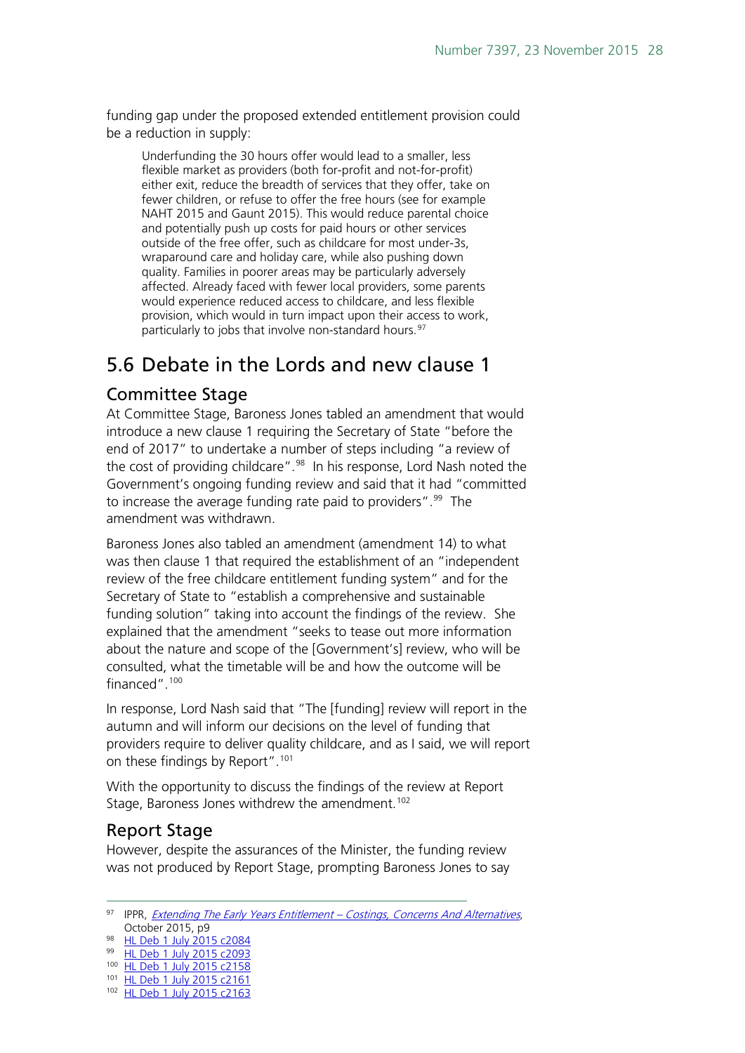funding gap under the proposed extended entitlement provision could be a reduction in supply:

Underfunding the 30 hours offer would lead to a smaller, less flexible market as providers (both for-profit and not-for-profit) either exit, reduce the breadth of services that they offer, take on fewer children, or refuse to offer the free hours (see for example NAHT 2015 and Gaunt 2015). This would reduce parental choice and potentially push up costs for paid hours or other services outside of the free offer, such as childcare for most under-3s, wraparound care and holiday care, while also pushing down quality. Families in poorer areas may be particularly adversely affected. Already faced with fewer local providers, some parents would experience reduced access to childcare, and less flexible provision, which would in turn impact upon their access to work, particularly to jobs that involve non-standard hours.<sup>[97](#page-27-3)</sup>

### <span id="page-27-0"></span>5.6 Debate in the Lords and new clause 1

#### <span id="page-27-1"></span>Committee Stage

At Committee Stage, Baroness Jones tabled an amendment that would introduce a new clause 1 requiring the Secretary of State "before the end of 2017" to undertake a number of steps including "a review of the cost of providing childcare".<sup>98</sup> In his response, Lord Nash noted the Government's ongoing funding review and said that it had "committed to increase the average funding rate paid to providers".<sup>99</sup> The amendment was withdrawn.

Baroness Jones also tabled an amendment (amendment 14) to what was then clause 1 that required the establishment of an "independent review of the free childcare entitlement funding system" and for the Secretary of State to "establish a comprehensive and sustainable funding solution" taking into account the findings of the review. She explained that the amendment "seeks to tease out more information about the nature and scope of the [Government's] review, who will be consulted, what the timetable will be and how the outcome will be financed". [100](#page-27-6)

In response, Lord Nash said that "The [funding] review will report in the autumn and will inform our decisions on the level of funding that providers require to deliver quality childcare, and as I said, we will report on these findings by Report".[101](#page-27-7) 

With the opportunity to discuss the findings of the review at Report Stage, Baroness Jones withdrew the amendment.<sup>[102](#page-27-8)</sup>

#### <span id="page-27-2"></span>Report Stage

However, despite the assurances of the Minister, the funding review was not produced by Report Stage, prompting Baroness Jones to say

<span id="page-27-3"></span><sup>97</sup> IPPR, *[Extending The Early Years Entitlement –](http://www.ippr.org/files/publications/pdf/extending-the-early-years-entitlement-costings-concerns-and-alternatives-oct2015.pdf?noredirect=1) Costings, Concerns And Alternatives*, October 2015, p9

<span id="page-27-4"></span><sup>98</sup> [HL Deb 1 July 2015 c2084](http://www.publications.parliament.uk/pa/ld201516/ldhansrd/text/150701-0001.htm)

<span id="page-27-5"></span><sup>99</sup> [HL Deb 1 July 2015 c2093](http://www.publications.parliament.uk/pa/ld201516/ldhansrd/text/150701-0001.htm)

<span id="page-27-6"></span><sup>100</sup> [HL Deb 1 July 2015 c2158](http://www.publications.parliament.uk/pa/ld201516/ldhansrd/text/150701-0003.htm)

<span id="page-27-7"></span><sup>101</sup> [HL Deb 1 July 2015 c2161](http://www.publications.parliament.uk/pa/ld201516/ldhansrd/text/150701-0003.htm)

<span id="page-27-8"></span><sup>102</sup> [HL Deb 1 July 2015 c2163](http://www.publications.parliament.uk/pa/ld201516/ldhansrd/text/150701-0003.htm)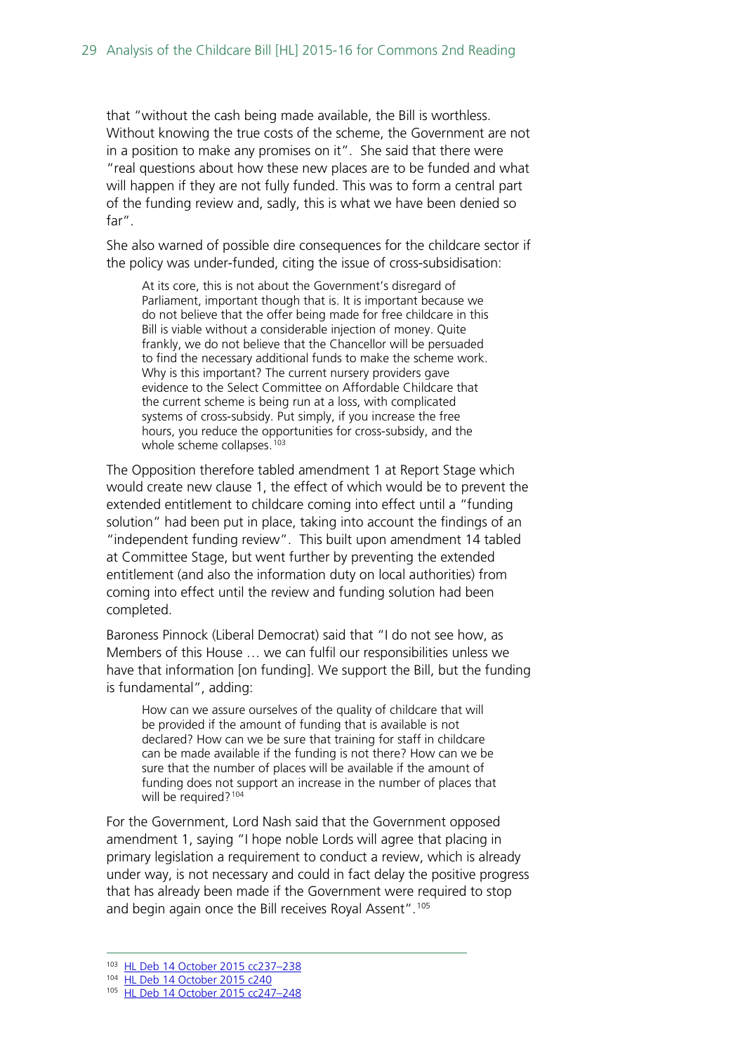that "without the cash being made available, the Bill is worthless. Without knowing the true costs of the scheme, the Government are not in a position to make any promises on it". She said that there were "real questions about how these new places are to be funded and what will happen if they are not fully funded. This was to form a central part of the funding review and, sadly, this is what we have been denied so far".

She also warned of possible dire consequences for the childcare sector if the policy was under-funded, citing the issue of cross-subsidisation:

At its core, this is not about the Government's disregard of Parliament, important though that is. It is important because we do not believe that the offer being made for free childcare in this Bill is viable without a considerable injection of money. Quite frankly, we do not believe that the Chancellor will be persuaded to find the necessary additional funds to make the scheme work. Why is this important? The current nursery providers gave evidence to the Select Committee on Affordable Childcare that the current scheme is being run at a loss, with complicated systems of cross-subsidy. Put simply, if you increase the free hours, you reduce the opportunities for cross-subsidy, and the whole scheme collapses.<sup>[103](#page-28-0)</sup>

The Opposition therefore tabled amendment 1 at Report Stage which would create new clause 1, the effect of which would be to prevent the extended entitlement to childcare coming into effect until a "funding solution" had been put in place, taking into account the findings of an "independent funding review". This built upon amendment 14 tabled at Committee Stage, but went further by preventing the extended entitlement (and also the information duty on local authorities) from coming into effect until the review and funding solution had been completed.

Baroness Pinnock (Liberal Democrat) said that "I do not see how, as Members of this House … we can fulfil our responsibilities unless we have that information [on funding]. We support the Bill, but the funding is fundamental", adding:

How can we assure ourselves of the quality of childcare that will be provided if the amount of funding that is available is not declared? How can we be sure that training for staff in childcare can be made available if the funding is not there? How can we be sure that the number of places will be available if the amount of funding does not support an increase in the number of places that will be required?<sup>[104](#page-28-1)</sup>

For the Government, Lord Nash said that the Government opposed amendment 1, saying "I hope noble Lords will agree that placing in primary legislation a requirement to conduct a review, which is already under way, is not necessary and could in fact delay the positive progress that has already been made if the Government were required to stop and begin again once the Bill receives Royal Assent".<sup>[105](#page-28-2)</sup>

<span id="page-28-0"></span> <sup>103</sup> [HL Deb 14 October 2015 cc237–238](http://www.publications.parliament.uk/pa/ld201516/ldhansrd/text/151014-0001.htm#15101443000833)

<span id="page-28-1"></span><sup>104</sup> [HL Deb 14 October 2015 c240](http://www.publications.parliament.uk/pa/ld201516/ldhansrd/text/151014-0001.htm#15101443000833)

<span id="page-28-2"></span><sup>105</sup> HL Deb 14 October 2015 cc247-248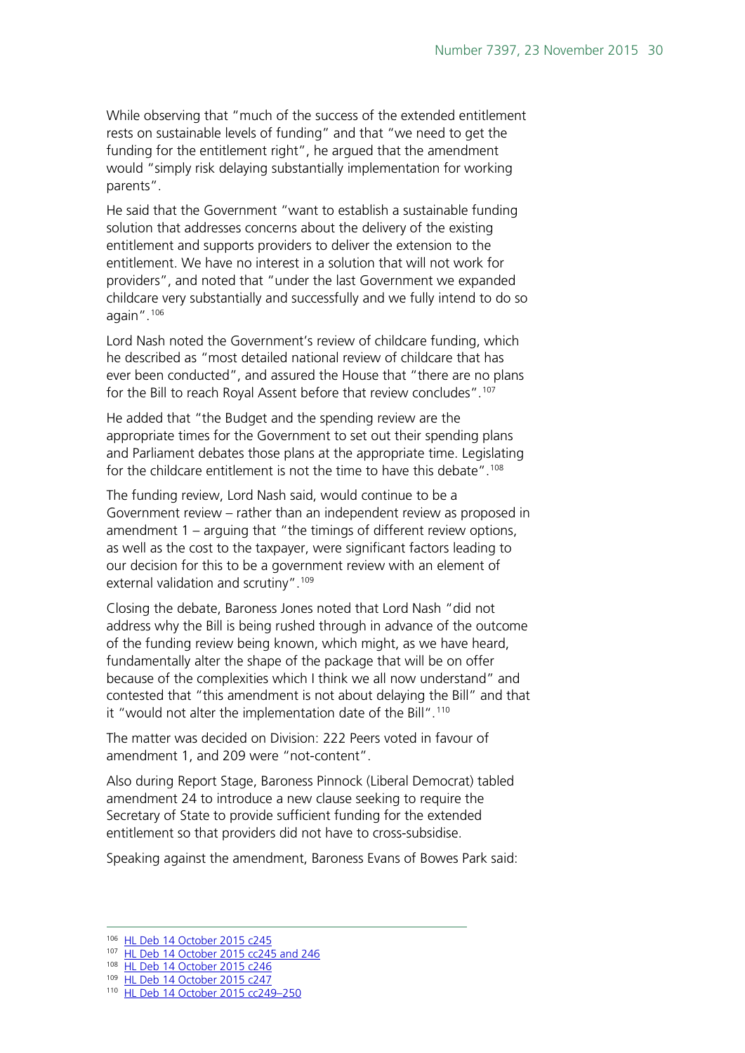While observing that "much of the success of the extended entitlement rests on sustainable levels of funding" and that "we need to get the funding for the entitlement right", he argued that the amendment would "simply risk delaying substantially implementation for working parents".

He said that the Government "want to establish a sustainable funding solution that addresses concerns about the delivery of the existing entitlement and supports providers to deliver the extension to the entitlement. We have no interest in a solution that will not work for providers", and noted that "under the last Government we expanded childcare very substantially and successfully and we fully intend to do so again". [106](#page-29-0)

Lord Nash noted the Government's review of childcare funding, which he described as "most detailed national review of childcare that has ever been conducted", and assured the House that "there are no plans for the Bill to reach Royal Assent before that review concludes".<sup>[107](#page-29-1)</sup>

He added that "the Budget and the spending review are the appropriate times for the Government to set out their spending plans and Parliament debates those plans at the appropriate time. Legislating for the childcare entitlement is not the time to have this debate". [108](#page-29-2)

The funding review, Lord Nash said, would continue to be a Government review – rather than an independent review as proposed in amendment 1 – arguing that "the timings of different review options, as well as the cost to the taxpayer, were significant factors leading to our decision for this to be a government review with an element of external validation and scrutiny".[109](#page-29-3)

Closing the debate, Baroness Jones noted that Lord Nash "did not address why the Bill is being rushed through in advance of the outcome of the funding review being known, which might, as we have heard, fundamentally alter the shape of the package that will be on offer because of the complexities which I think we all now understand" and contested that "this amendment is not about delaying the Bill" and that it "would not alter the implementation date of the Bill". [110](#page-29-4)

The matter was decided on Division: 222 Peers voted in favour of amendment 1, and 209 were "not-content".

Also during Report Stage, Baroness Pinnock (Liberal Democrat) tabled amendment 24 to introduce a new clause seeking to require the Secretary of State to provide sufficient funding for the extended entitlement so that providers did not have to cross-subsidise.

Speaking against the amendment, Baroness Evans of Bowes Park said:

<span id="page-29-1"></span><span id="page-29-0"></span> <sup>106</sup> [HL Deb 14 October 2015 c245](http://www.publications.parliament.uk/pa/ld201516/ldhansrd/text/151014-0001.htm#15101443000833)

<sup>107</sup> [HL Deb 14 October 2015 cc245 and 246](http://www.publications.parliament.uk/pa/ld201516/ldhansrd/text/151014-0001.htm#15101443000833)

<span id="page-29-2"></span><sup>108</sup> [HL Deb 14 October 2015 c246](http://www.publications.parliament.uk/pa/ld201516/ldhansrd/text/151014-0001.htm#15101443000833)

<span id="page-29-3"></span><sup>109</sup> [HL Deb 14 October 2015 c247](http://www.publications.parliament.uk/pa/ld201516/ldhansrd/text/151014-0001.htm#15101443000833)

<span id="page-29-4"></span><sup>110</sup> [HL Deb 14 October 2015 cc249–250](http://www.publications.parliament.uk/pa/ld201516/ldhansrd/text/151014-0001.htm#15101443000833)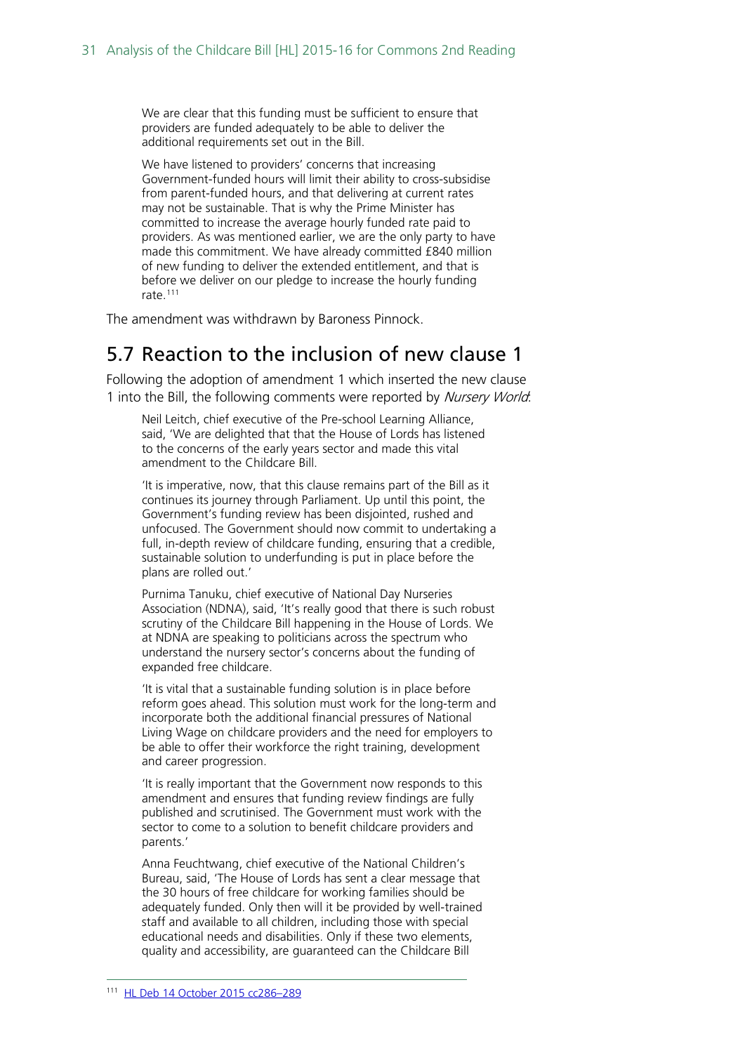We are clear that this funding must be sufficient to ensure that providers are funded adequately to be able to deliver the additional requirements set out in the Bill.

We have listened to providers' concerns that increasing Government-funded hours will limit their ability to cross-subsidise from parent-funded hours, and that delivering at current rates may not be sustainable. That is why the Prime Minister has committed to increase the average hourly funded rate paid to providers. As was mentioned earlier, we are the only party to have made this commitment. We have already committed £840 million of new funding to deliver the extended entitlement, and that is before we deliver on our pledge to increase the hourly funding rate.[111](#page-30-1)

The amendment was withdrawn by Baroness Pinnock.

#### <span id="page-30-0"></span>5.7 Reaction to the inclusion of new clause 1

Following the adoption of amendment 1 which inserted the new clause 1 into the Bill, the following comments were reported by Nursery World.

Neil Leitch, chief executive of the Pre-school Learning Alliance, said, 'We are delighted that that the House of Lords has listened to the concerns of the early years sector and made this vital amendment to the Childcare Bill.

'It is imperative, now, that this clause remains part of the Bill as it continues its journey through Parliament. Up until this point, the Government's funding review has been disjointed, rushed and unfocused. The Government should now commit to undertaking a full, in-depth review of childcare funding, ensuring that a credible, sustainable solution to underfunding is put in place before the plans are rolled out.'

Purnima Tanuku, chief executive of National Day Nurseries Association (NDNA), said, 'It's really good that there is such robust scrutiny of the Childcare Bill happening in the House of Lords. We at NDNA are speaking to politicians across the spectrum who understand the nursery sector's concerns about the funding of expanded free childcare.

'It is vital that a sustainable funding solution is in place before reform goes ahead. This solution must work for the long-term and incorporate both the additional financial pressures of National Living Wage on childcare providers and the need for employers to be able to offer their workforce the right training, development and career progression.

'It is really important that the Government now responds to this amendment and ensures that funding review findings are fully published and scrutinised. The Government must work with the sector to come to a solution to benefit childcare providers and parents.'

<span id="page-30-1"></span>Anna Feuchtwang, chief executive of the National Children's Bureau, said, 'The House of Lords has sent a clear message that the 30 hours of free childcare for working families should be adequately funded. Only then will it be provided by well-trained staff and available to all children, including those with special educational needs and disabilities. Only if these two elements, quality and accessibility, are guaranteed can the Childcare Bill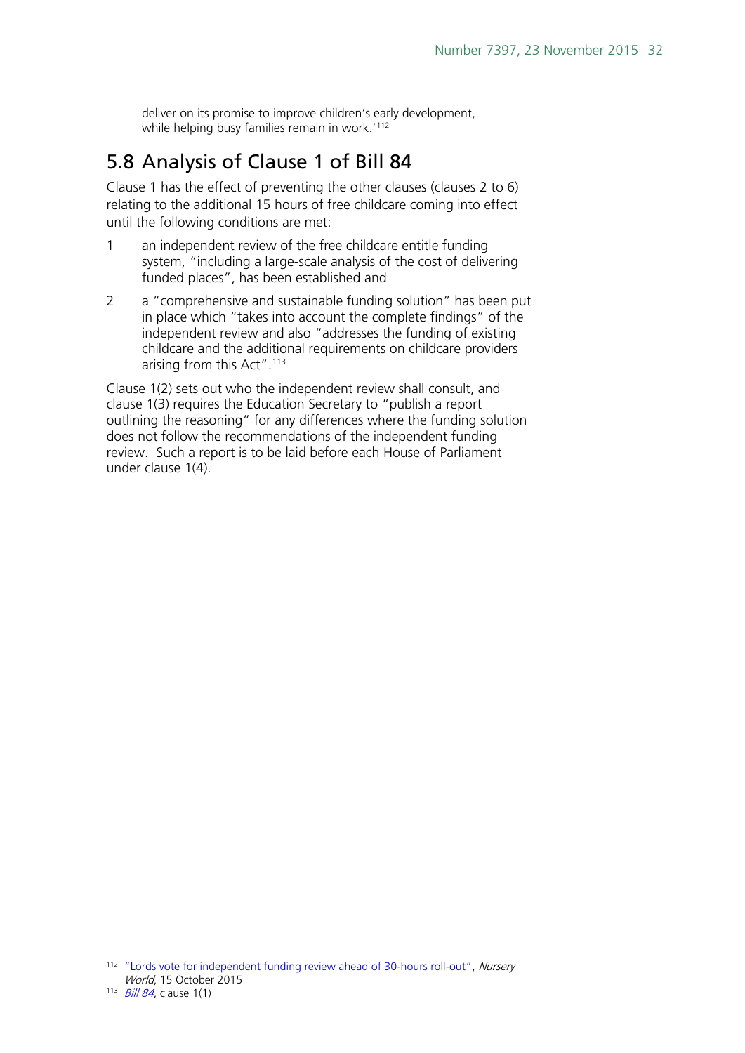deliver on its promise to improve children's early development, while helping busy families remain in work.'<sup>[112](#page-31-1)</sup>

## <span id="page-31-0"></span>5.8 Analysis of Clause 1 of Bill 84

Clause 1 has the effect of preventing the other clauses (clauses 2 to 6) relating to the additional 15 hours of free childcare coming into effect until the following conditions are met:

- 1 an independent review of the free childcare entitle funding system, "including a large-scale analysis of the cost of delivering funded places", has been established and
- 2 a "comprehensive and sustainable funding solution" has been put in place which "takes into account the complete findings" of the independent review and also "addresses the funding of existing childcare and the additional requirements on childcare providers arising from this Act".[113](#page-31-2)

Clause 1(2) sets out who the independent review shall consult, and clause 1(3) requires the Education Secretary to "publish a report outlining the reasoning" for any differences where the funding solution does not follow the recommendations of the independent funding review. Such a report is to be laid before each House of Parliament under clause 1(4).

<span id="page-31-1"></span><sup>&</sup>lt;sup>112</sup> ["Lords vote for independent funding review ahead of 30-hours roll-out",](http://www.nurseryworld.co.uk/nursery-world/news/1154267/lords-vote-for-independent-funding-review-ahead-of-30-hours-roll-out) Nursery World, 15 October 2015

<span id="page-31-2"></span> $113$   $B||184$ , clause 1(1)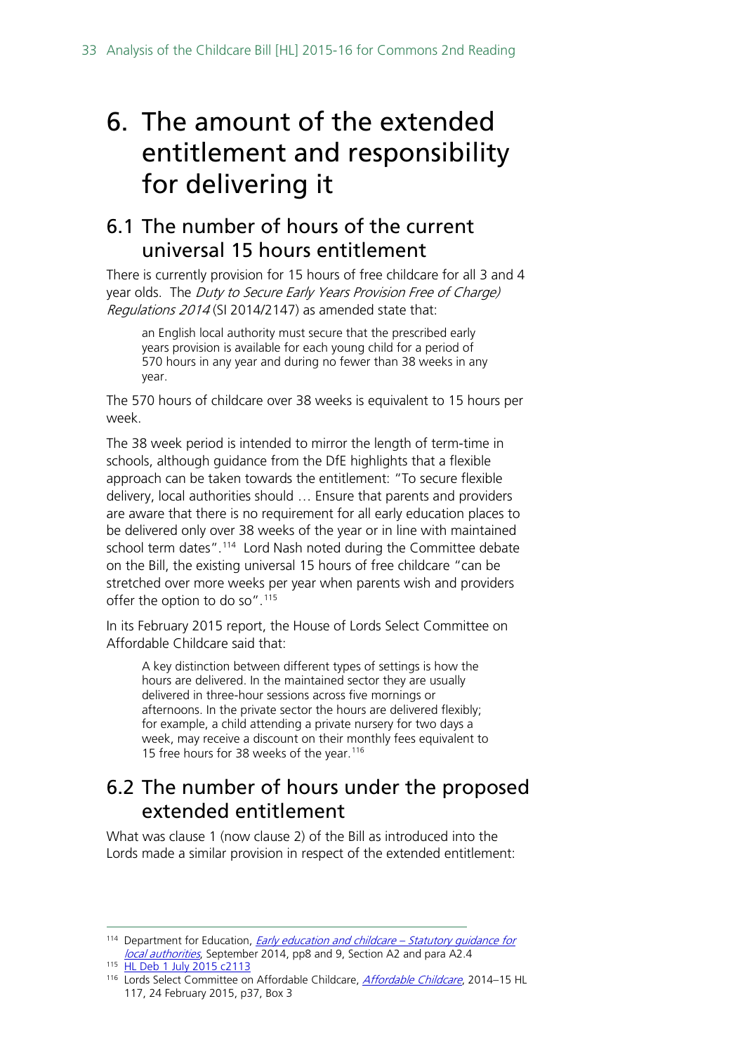## <span id="page-32-0"></span>6. The amount of the extended entitlement and responsibility for delivering it

### <span id="page-32-1"></span>6.1 The number of hours of the current universal 15 hours entitlement

There is currently provision for 15 hours of free childcare for all 3 and 4 year olds. The Duty to Secure Early Years Provision Free of Charge) Regulations 2014 (SI 2014/2147) as amended state that:

an English local authority must secure that the prescribed early years provision is available for each young child for a period of 570 hours in any year and during no fewer than 38 weeks in any year.

The 570 hours of childcare over 38 weeks is equivalent to 15 hours per week.

The 38 week period is intended to mirror the length of term-time in schools, although guidance from the DfE highlights that a flexible approach can be taken towards the entitlement: "To secure flexible delivery, local authorities should … Ensure that parents and providers are aware that there is no requirement for all early education places to be delivered only over 38 weeks of the year or in line with maintained school term dates". [114](#page-32-3) Lord Nash noted during the Committee debate on the Bill, the existing universal 15 hours of free childcare "can be stretched over more weeks per year when parents wish and providers offer the option to do so".<sup>[115](#page-32-4)</sup>

In its February 2015 report, the House of Lords Select Committee on Affordable Childcare said that:

A key distinction between different types of settings is how the hours are delivered. In the maintained sector they are usually delivered in three-hour sessions across five mornings or afternoons. In the private sector the hours are delivered flexibly; for example, a child attending a private nursery for two days a week, may receive a discount on their monthly fees equivalent to 15 free hours for 38 weeks of the year. [116](#page-32-5)

### <span id="page-32-2"></span>6.2 The number of hours under the proposed extended entitlement

What was clause 1 (now clause 2) of the Bill as introduced into the Lords made a similar provision in respect of the extended entitlement:

<span id="page-32-3"></span><sup>&</sup>lt;sup>114</sup> Department for Education, *[Early education and childcare –](https://www.gov.uk/government/uploads/system/uploads/attachment_data/file/351592/early_education_and_childcare_statutory_guidance_2014.pdf) Statutory quidance for* [local authorities](https://www.gov.uk/government/uploads/system/uploads/attachment_data/file/351592/early_education_and_childcare_statutory_guidance_2014.pdf), September 2014, pp8 and 9, Section A2 and para A2.4

<span id="page-32-4"></span><sup>115</sup> [HL Deb 1 July 2015 c2113](http://www.publications.parliament.uk/pa/ld201516/ldhansrd/text/150701-0002.htm)

<span id="page-32-5"></span><sup>116</sup> Lords Select Committee on [Affordable Childcare](http://www.publications.parliament.uk/pa/ld201415/ldselect/ldaffchild/117/117.pdf), Affordable Childcare, 2014-15 HL 117, 24 February 2015, p37, Box 3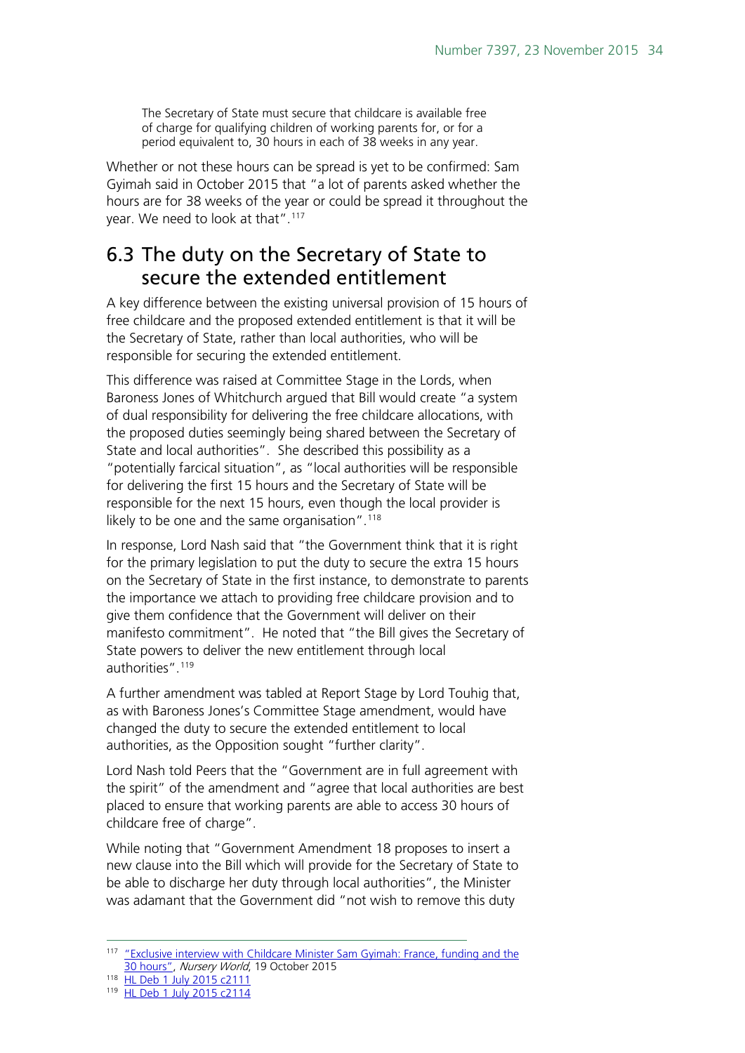The Secretary of State must secure that childcare is available free of charge for qualifying children of working parents for, or for a period equivalent to, 30 hours in each of 38 weeks in any year.

Whether or not these hours can be spread is yet to be confirmed: Sam Gyimah said in October 2015 that "a lot of parents asked whether the hours are for 38 weeks of the year or could be spread it throughout the year. We need to look at that". [117](#page-33-1)

## <span id="page-33-0"></span>6.3 The duty on the Secretary of State to secure the extended entitlement

A key difference between the existing universal provision of 15 hours of free childcare and the proposed extended entitlement is that it will be the Secretary of State, rather than local authorities, who will be responsible for securing the extended entitlement.

This difference was raised at Committee Stage in the Lords, when Baroness Jones of Whitchurch argued that Bill would create "a system of dual responsibility for delivering the free childcare allocations, with the proposed duties seemingly being shared between the Secretary of State and local authorities". She described this possibility as a "potentially farcical situation", as "local authorities will be responsible for delivering the first 15 hours and the Secretary of State will be responsible for the next 15 hours, even though the local provider is likely to be one and the same organisation".<sup>[118](#page-33-2)</sup>

In response, Lord Nash said that "the Government think that it is right for the primary legislation to put the duty to secure the extra 15 hours on the Secretary of State in the first instance, to demonstrate to parents the importance we attach to providing free childcare provision and to give them confidence that the Government will deliver on their manifesto commitment". He noted that "the Bill gives the Secretary of State powers to deliver the new entitlement through local authorities".<sup>[119](#page-33-3)</sup>

A further amendment was tabled at Report Stage by Lord Touhig that, as with Baroness Jones's Committee Stage amendment, would have changed the duty to secure the extended entitlement to local authorities, as the Opposition sought "further clarity".

Lord Nash told Peers that the "Government are in full agreement with the spirit" of the amendment and "agree that local authorities are best placed to ensure that working parents are able to access 30 hours of childcare free of charge".

While noting that "Government Amendment 18 proposes to insert a new clause into the Bill which will provide for the Secretary of State to be able to discharge her duty through local authorities", the Minister was adamant that the Government did "not wish to remove this duty

<span id="page-33-1"></span><sup>&</sup>lt;sup>117</sup> ["Exclusive interview with Childcare Minister Sam Gyimah: France,](http://www.nurseryworld.co.uk/nursery-world/news/1154315/exclusive-interview-with-childcare-minister-sam-gyimah-france-funding-and-the-30-hours) funding and the [30 hours",](http://www.nurseryworld.co.uk/nursery-world/news/1154315/exclusive-interview-with-childcare-minister-sam-gyimah-france-funding-and-the-30-hours) Nursery World, 19 October 2015

<span id="page-33-3"></span><span id="page-33-2"></span><sup>118</sup> [HL Deb 1 July 2015 c2111](http://www.publications.parliament.uk/pa/ld201516/ldhansrd/text/150701-0002.htm)

<sup>119</sup> [HL Deb 1 July 2015 c2114](http://www.publications.parliament.uk/pa/ld201516/ldhansrd/text/150701-0002.htm)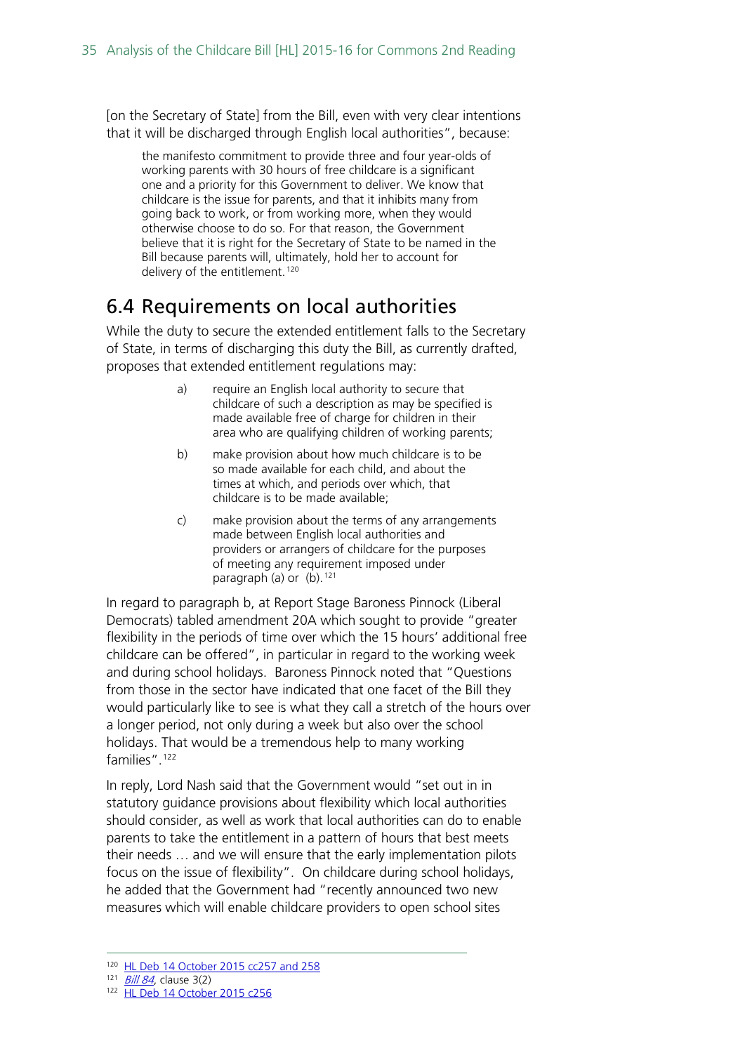[on the Secretary of State] from the Bill, even with very clear intentions that it will be discharged through English local authorities", because:

the manifesto commitment to provide three and four year-olds of working parents with 30 hours of free childcare is a significant one and a priority for this Government to deliver. We know that childcare is the issue for parents, and that it inhibits many from going back to work, or from working more, when they would otherwise choose to do so. For that reason, the Government believe that it is right for the Secretary of State to be named in the Bill because parents will, ultimately, hold her to account for delivery of the entitlement.<sup>[120](#page-34-1)</sup>

## <span id="page-34-0"></span>6.4 Requirements on local authorities

While the duty to secure the extended entitlement falls to the Secretary of State, in terms of discharging this duty the Bill, as currently drafted, proposes that extended entitlement regulations may:

- a) require an English local authority to secure that childcare of such a description as may be specified is made available free of charge for children in their area who are qualifying children of working parents;
- b) make provision about how much childcare is to be so made available for each child, and about the times at which, and periods over which, that childcare is to be made available;
- c) make provision about the terms of any arrangements made between English local authorities and providers or arrangers of childcare for the purposes of meeting any requirement imposed under paragraph (a) or  $(b)$ . <sup>[121](#page-34-2)</sup>

In regard to paragraph b, at Report Stage Baroness Pinnock (Liberal Democrats) tabled amendment 20A which sought to provide "greater flexibility in the periods of time over which the 15 hours' additional free childcare can be offered", in particular in regard to the working week and during school holidays. Baroness Pinnock noted that "Questions from those in the sector have indicated that one facet of the Bill they would particularly like to see is what they call a stretch of the hours over a longer period, not only during a week but also over the school holidays. That would be a tremendous help to many working families".<sup>[122](#page-34-3)</sup>

In reply, Lord Nash said that the Government would "set out in in statutory guidance provisions about flexibility which local authorities should consider, as well as work that local authorities can do to enable parents to take the entitlement in a pattern of hours that best meets their needs … and we will ensure that the early implementation pilots focus on the issue of flexibility". On childcare during school holidays, he added that the Government had "recently announced two new measures which will enable childcare providers to open school sites

<span id="page-34-1"></span> <sup>120</sup> [HL Deb 14 October 2015 cc257 and 258](http://www.publications.parliament.uk/pa/ld201516/ldhansrd/text/151014-0001.htm#15101443000833)

<span id="page-34-3"></span><span id="page-34-2"></span> $121$  [Bill 84](http://www.publications.parliament.uk/pa/bills/cbill/2015-2016/0084/cbill_2015-20160084_en_2.htm#pb1-l1g3), clause 3(2)

<sup>122</sup> [HL Deb 14 October 2015 c256](http://www.publications.parliament.uk/pa/ld201516/ldhansrd/text/151014-0001.htm#15101443000833)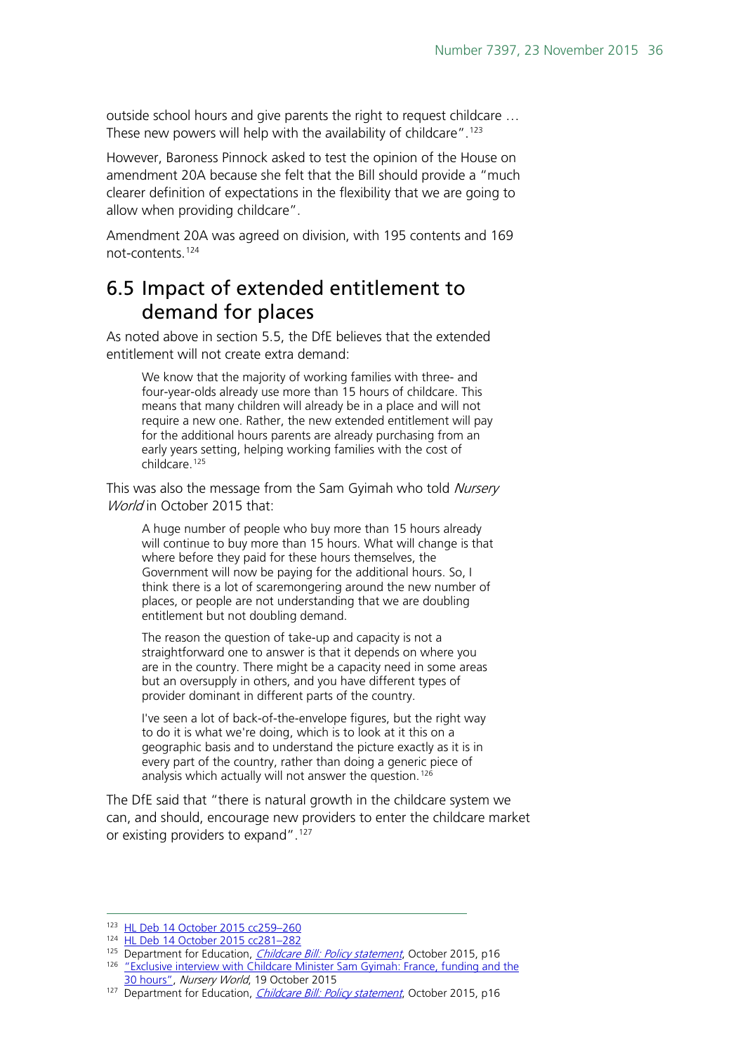outside school hours and give parents the right to request childcare … These new powers will help with the availability of childcare".<sup>[123](#page-35-1)</sup>

However, Baroness Pinnock asked to test the opinion of the House on amendment 20A because she felt that the Bill should provide a "much clearer definition of expectations in the flexibility that we are going to allow when providing childcare".

Amendment 20A was agreed on division, with 195 contents and 169 not-contents.[124](#page-35-2)

#### <span id="page-35-0"></span>6.5 Impact of extended entitlement to demand for places

As noted above in section 5.5, the DfE believes that the extended entitlement will not create extra demand:

We know that the majority of working families with three- and four-year-olds already use more than 15 hours of childcare. This means that many children will already be in a place and will not require a new one. Rather, the new extended entitlement will pay for the additional hours parents are already purchasing from an early years setting, helping working families with the cost of childcare.<sup>[125](#page-35-3)</sup>

This was also the message from the Sam Gyimah who told Nursery World in October 2015 that:

A huge number of people who buy more than 15 hours already will continue to buy more than 15 hours. What will change is that where before they paid for these hours themselves, the Government will now be paying for the additional hours. So, I think there is a lot of scaremongering around the new number of places, or people are not understanding that we are doubling entitlement but not doubling demand.

The reason the question of take-up and capacity is not a straightforward one to answer is that it depends on where you are in the country. There might be a capacity need in some areas but an oversupply in others, and you have different types of provider dominant in different parts of the country.

I've seen a lot of back-of-the-envelope figures, but the right way to do it is what we're doing, which is to look at it this on a geographic basis and to understand the picture exactly as it is in every part of the country, rather than doing a generic piece of analysis which actually will not answer the question.<sup>[126](#page-35-4)</sup>

The DfE said that "there is natural growth in the childcare system we can, and should, encourage new providers to enter the childcare market or existing providers to expand".<sup>127</sup>

<span id="page-35-1"></span><sup>123</sup> HL Deb 14 October 2015 cc259-260

<span id="page-35-2"></span><sup>124</sup> [HL Deb 14 October 2015 cc281–282](http://www.publications.parliament.uk/pa/ld201516/ldhansrd/text/151014-0002.htm)

<span id="page-35-4"></span><span id="page-35-3"></span><sup>&</sup>lt;sup>125</sup> Department for Education, *[Childcare Bill: Policy statement](https://www.gov.uk/government/uploads/system/uploads/attachment_data/file/465446/Childcare_Bill_Policy_statement.pdf)*, October 2015, p16 <sup>126</sup> "Exclusive interview with Childcare Minister Sam Gyimah: France, funding and the [30 hours",](http://www.nurseryworld.co.uk/nursery-world/news/1154315/exclusive-interview-with-childcare-minister-sam-gyimah-france-funding-and-the-30-hours) Nursery World, 19 October 2015

<span id="page-35-5"></span><sup>127</sup> Department for Education, *[Childcare Bill: Policy statement](https://www.gov.uk/government/uploads/system/uploads/attachment_data/file/465446/Childcare_Bill_Policy_statement.pdf)*, October 2015, p16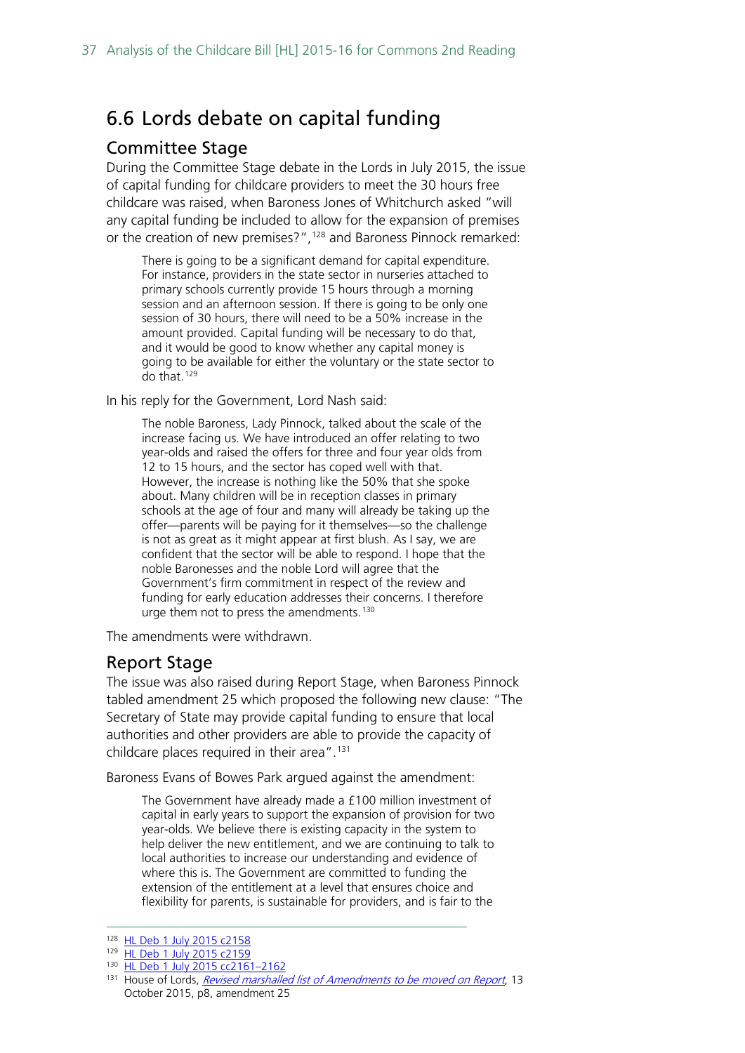## <span id="page-36-0"></span>6.6 Lords debate on capital funding

#### <span id="page-36-1"></span>Committee Stage

During the Committee Stage debate in the Lords in July 2015, the issue of capital funding for childcare providers to meet the 30 hours free childcare was raised, when Baroness Jones of Whitchurch asked "will any capital funding be included to allow for the expansion of premises or the creation of new premises?",<sup>[128](#page-36-3)</sup> and Baroness Pinnock remarked:

There is going to be a significant demand for capital expenditure. For instance, providers in the state sector in nurseries attached to primary schools currently provide 15 hours through a morning session and an afternoon session. If there is going to be only one session of 30 hours, there will need to be a 50% increase in the amount provided. Capital funding will be necessary to do that, and it would be good to know whether any capital money is going to be available for either the voluntary or the state sector to do that.[129](#page-36-4)

In his reply for the Government, Lord Nash said:

The noble Baroness, Lady Pinnock, talked about the scale of the increase facing us. We have introduced an offer relating to two year-olds and raised the offers for three and four year olds from 12 to 15 hours, and the sector has coped well with that. However, the increase is nothing like the 50% that she spoke about. Many children will be in reception classes in primary schools at the age of four and many will already be taking up the offer—parents will be paying for it themselves—so the challenge is not as great as it might appear at first blush. As I say, we are confident that the sector will be able to respond. I hope that the noble Baronesses and the noble Lord will agree that the Government's firm commitment in respect of the review and funding for early education addresses their concerns. I therefore urge them not to press the amendments.<sup>[130](#page-36-5)</sup>

The amendments were withdrawn.

#### <span id="page-36-2"></span>Report Stage

The issue was also raised during Report Stage, when Baroness Pinnock tabled amendment 25 which proposed the following new clause: "The Secretary of State may provide capital funding to ensure that local authorities and other providers are able to provide the capacity of childcare places required in their area".<sup>[131](#page-36-6)</sup>

Baroness Evans of Bowes Park argued against the amendment:

The Government have already made a £100 million investment of capital in early years to support the expansion of provision for two year-olds. We believe there is existing capacity in the system to help deliver the new entitlement, and we are continuing to talk to local authorities to increase our understanding and evidence of where this is. The Government are committed to funding the extension of the entitlement at a level that ensures choice and flexibility for parents, is sustainable for providers, and is fair to the

<span id="page-36-4"></span><span id="page-36-3"></span><sup>128</sup> [HL Deb 1 July 2015 c2158](http://www.publications.parliament.uk/pa/ld201516/ldhansrd/text/150701-0003.htm)

<sup>129</sup> [HL Deb 1 July 2015](http://www.publications.parliament.uk/pa/ld201516/ldhansrd/text/150701-0003.htm) c2159

<span id="page-36-5"></span><sup>130</sup> HL Deb 1 July 2015 cc2161-2162

<span id="page-36-6"></span><sup>&</sup>lt;sup>131</sup> House of Lords, [Revised marshalled list of Amendments to be moved on Report](http://www.publications.parliament.uk/pa/bills/lbill/2015-2016/0054/amend/ml054-I-rev.pdf), 13 October 2015, p8, amendment 25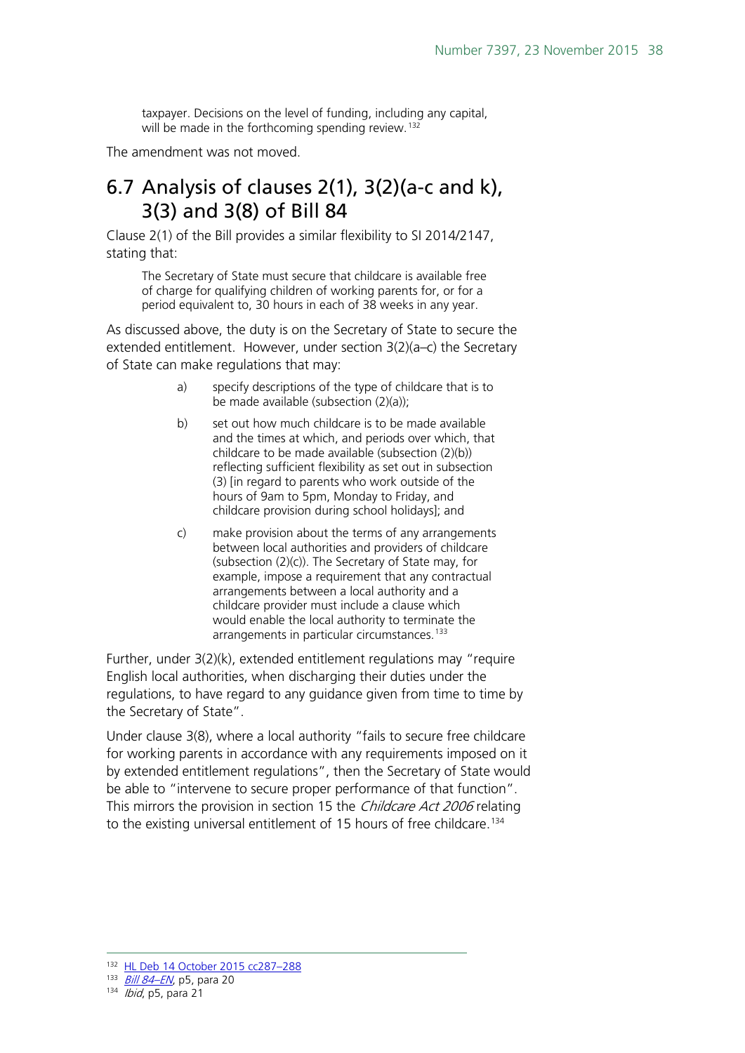taxpayer. Decisions on the level of funding, including any capital, will be made in the forthcoming spending review.<sup>[132](#page-37-1)</sup>

The amendment was not moved.

### <span id="page-37-0"></span>6.7 Analysis of clauses 2(1), 3(2)(a-c and k), 3(3) and 3(8) of Bill 84

Clause 2(1) of the Bill provides a similar flexibility to SI 2014/2147, stating that:

The Secretary of State must secure that childcare is available free of charge for qualifying children of working parents for, or for a period equivalent to, 30 hours in each of 38 weeks in any year.

As discussed above, the duty is on the Secretary of State to secure the extended entitlement. However, under section 3(2)(a–c) the Secretary of State can make regulations that may:

- a) specify descriptions of the type of childcare that is to be made available (subsection (2)(a));
- b) set out how much childcare is to be made available and the times at which, and periods over which, that childcare to be made available (subsection (2)(b)) reflecting sufficient flexibility as set out in subsection (3) [in regard to parents who work outside of the hours of 9am to 5pm, Monday to Friday, and childcare provision during school holidays]; and
- c) make provision about the terms of any arrangements between local authorities and providers of childcare (subsection (2)(c)). The Secretary of State may, for example, impose a requirement that any contractual arrangements between a local authority and a childcare provider must include a clause which would enable the local authority to terminate the arrangements in particular circumstances.<sup>[133](#page-37-2)</sup>

Further, under 3(2)(k), extended entitlement regulations may "require English local authorities, when discharging their duties under the regulations, to have regard to any guidance given from time to time by the Secretary of State".

Under clause 3(8), where a local authority "fails to secure free childcare for working parents in accordance with any requirements imposed on it by extended entitlement regulations", then the Secretary of State would be able to "intervene to secure proper performance of that function". This mirrors the provision in section 15 the *Childcare Act 2006* relating to the existing universal entitlement of 15 hours of free childcare. [134](#page-37-3)

<span id="page-37-2"></span><span id="page-37-1"></span> <sup>132</sup> [HL Deb 14 October](http://www.publications.parliament.uk/pa/ld201516/ldhansrd/text/151014-0002.htm) 2015 cc287–288

<span id="page-37-3"></span> $134$  *Ibid*, p5, para 21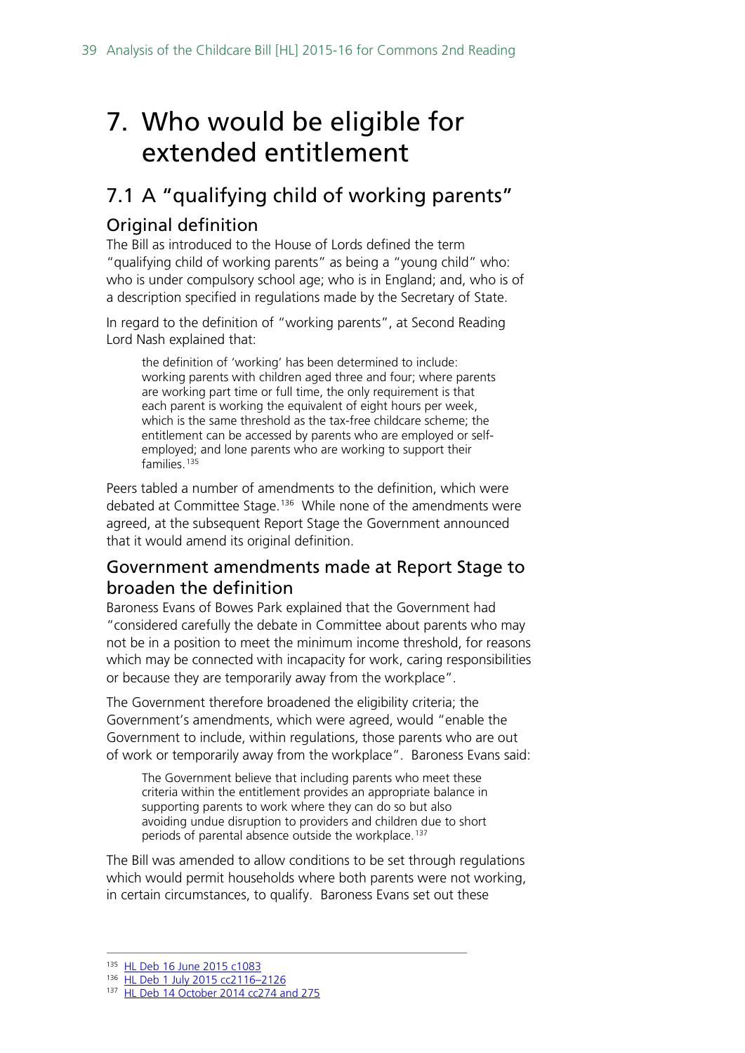## <span id="page-38-0"></span>7. Who would be eligible for extended entitlement

## <span id="page-38-1"></span>7.1 A "qualifying child of working parents"

#### <span id="page-38-2"></span>Original definition

The Bill as introduced to the House of Lords defined the term "qualifying child of working parents" as being a "young child" who: who is under compulsory school age; who is in England; and, who is of a description specified in regulations made by the Secretary of State.

In regard to the definition of "working parents", at Second Reading Lord Nash explained that:

the definition of 'working' has been determined to include: working parents with children aged three and four; where parents are working part time or full time, the only requirement is that each parent is working the equivalent of eight hours per week, which is the same threshold as the tax-free childcare scheme; the entitlement can be accessed by parents who are employed or selfemployed; and lone parents who are working to support their families.<sup>[135](#page-38-4)</sup>

Peers tabled a number of amendments to the definition, which were debated at Committee Stage. [136](#page-38-5) While none of the amendments were agreed, at the subsequent Report Stage the Government announced that it would amend its original definition.

#### <span id="page-38-3"></span>Government amendments made at Report Stage to broaden the definition

Baroness Evans of Bowes Park explained that the Government had "considered carefully the debate in Committee about parents who may not be in a position to meet the minimum income threshold, for reasons which may be connected with incapacity for work, caring responsibilities or because they are temporarily away from the workplace".

The Government therefore broadened the eligibility criteria; the Government's amendments, which were agreed, would "enable the Government to include, within regulations, those parents who are out of work or temporarily away from the workplace". Baroness Evans said:

The Government believe that including parents who meet these criteria within the entitlement provides an appropriate balance in supporting parents to work where they can do so but also avoiding undue disruption to providers and children due to short periods of parental absence outside the workplace. [137](#page-38-6)

The Bill was amended to allow conditions to be set through regulations which would permit households where both parents were not working, in certain circumstances, to qualify. Baroness Evans set out these

<span id="page-38-4"></span> <sup>135</sup> [HL Deb 16 June 2015 c1083](http://www.publications.parliament.uk/pa/ld201516/ldhansrd/text/150616-0001.htm#15061659000409)

<span id="page-38-5"></span><sup>136</sup> [HL Deb 1 July 2015 cc2116–2126](http://www.publications.parliament.uk/pa/ld201516/ldhansrd/text/150701-0002.htm)

<span id="page-38-6"></span><sup>137</sup> [HL Deb 14 October 2014 cc274](http://www.publications.parliament.uk/pa/ld201516/ldhansrd/text/151014-0002.htm) and 275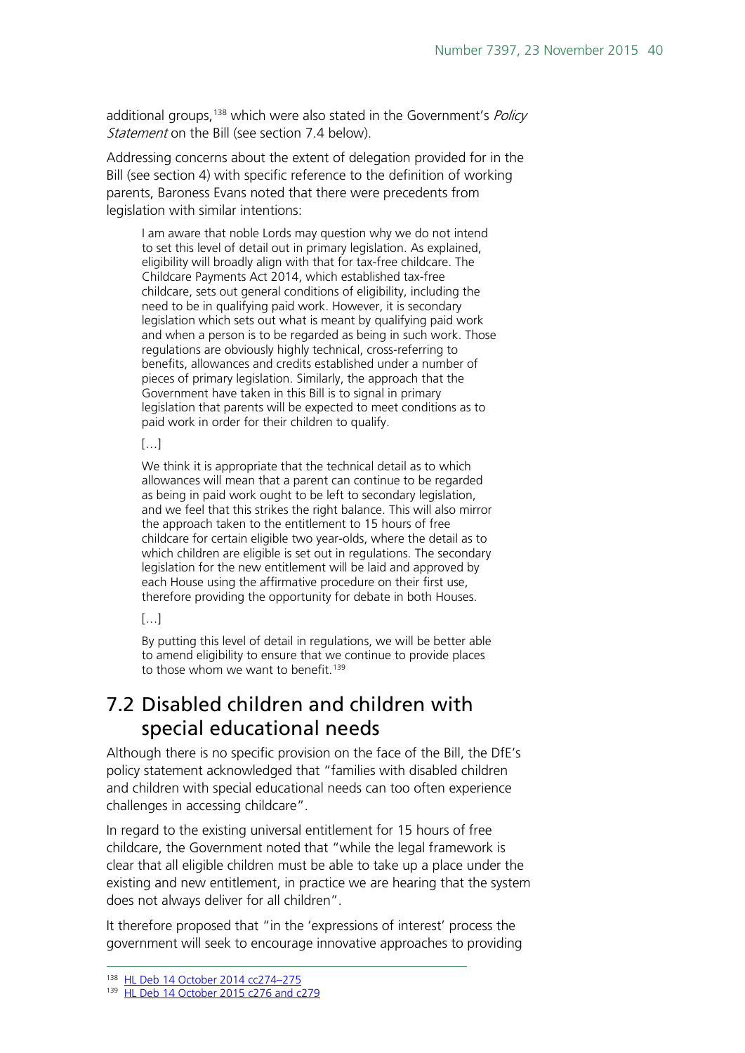additional groups,<sup>[138](#page-39-1)</sup> which were also stated in the Government's Policy Statement on the Bill (see section 7.4 below).

Addressing concerns about the extent of delegation provided for in the Bill (see section 4) with specific reference to the definition of working parents, Baroness Evans noted that there were precedents from legislation with similar intentions:

I am aware that noble Lords may question why we do not intend to set this level of detail out in primary legislation. As explained, eligibility will broadly align with that for tax-free childcare. The Childcare Payments Act 2014, which established tax-free childcare, sets out general conditions of eligibility, including the need to be in qualifying paid work. However, it is secondary legislation which sets out what is meant by qualifying paid work and when a person is to be regarded as being in such work. Those regulations are obviously highly technical, cross-referring to benefits, allowances and credits established under a number of pieces of primary legislation. Similarly, the approach that the Government have taken in this Bill is to signal in primary legislation that parents will be expected to meet conditions as to paid work in order for their children to qualify.

#### $[...]$

We think it is appropriate that the technical detail as to which allowances will mean that a parent can continue to be regarded as being in paid work ought to be left to secondary legislation, and we feel that this strikes the right balance. This will also mirror the approach taken to the entitlement to 15 hours of free childcare for certain eligible two year-olds, where the detail as to which children are eligible is set out in regulations. The secondary legislation for the new entitlement will be laid and approved by each House using the affirmative procedure on their first use, therefore providing the opportunity for debate in both Houses.

#### […]

By putting this level of detail in regulations, we will be better able to amend eligibility to ensure that we continue to provide places to those whom we want to benefit.<sup>[139](#page-39-2)</sup>

### <span id="page-39-0"></span>7.2 Disabled children and children with special educational needs

Although there is no specific provision on the face of the Bill, the DfE's policy statement acknowledged that "families with disabled children and children with special educational needs can too often experience challenges in accessing childcare".

In regard to the existing universal entitlement for 15 hours of free childcare, the Government noted that "while the legal framework is clear that all eligible children must be able to take up a place under the existing and new entitlement, in practice we are hearing that the system does not always deliver for all children".

It therefore proposed that "in the 'expressions of interest' process the government will seek to encourage innovative approaches to providing

<span id="page-39-1"></span> <sup>138</sup> [HL Deb 14 October 2014 cc274–275](http://www.publications.parliament.uk/pa/ld201516/ldhansrd/text/151014-0002.htm)

<span id="page-39-2"></span><sup>139</sup> [HL Deb 14 October 2015 c276 and c279](http://www.publications.parliament.uk/pa/ld201516/ldhansrd/text/151014-0002.htm)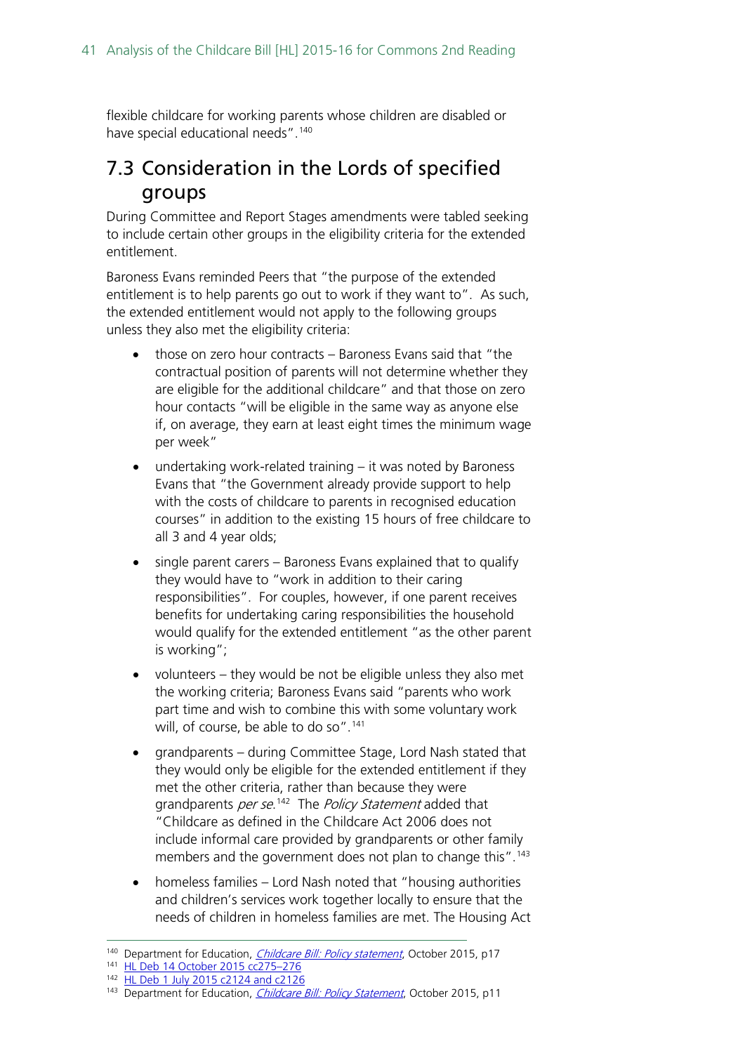flexible childcare for working parents whose children are disabled or have special educational needs". [140](#page-40-1)

## <span id="page-40-0"></span>7.3 Consideration in the Lords of specified groups

During Committee and Report Stages amendments were tabled seeking to include certain other groups in the eligibility criteria for the extended entitlement.

Baroness Evans reminded Peers that "the purpose of the extended entitlement is to help parents go out to work if they want to". As such, the extended entitlement would not apply to the following groups unless they also met the eligibility criteria:

- those on zero hour contracts Baroness Evans said that "the contractual position of parents will not determine whether they are eligible for the additional childcare" and that those on zero hour contacts "will be eligible in the same way as anyone else if, on average, they earn at least eight times the minimum wage per week"
- undertaking work-related training it was noted by Baroness Evans that "the Government already provide support to help with the costs of childcare to parents in recognised education courses" in addition to the existing 15 hours of free childcare to all 3 and 4 year olds;
- single parent carers Baroness Evans explained that to qualify they would have to "work in addition to their caring responsibilities". For couples, however, if one parent receives benefits for undertaking caring responsibilities the household would qualify for the extended entitlement "as the other parent is working";
- volunteers they would be not be eligible unless they also met the working criteria; Baroness Evans said "parents who work part time and wish to combine this with some voluntary work will, of course, be able to do so".<sup>[141](#page-40-2)</sup>
- grandparents during Committee Stage, Lord Nash stated that they would only be eligible for the extended entitlement if they met the other criteria, rather than because they were grandparents *per se*.<sup>142</sup> The *Policy Statement* added that "Childcare as defined in the Childcare Act 2006 does not include informal care provided by grandparents or other family members and the government does not plan to change this". [143](#page-40-4)
- homeless families Lord Nash noted that "housing authorities and children's services work together locally to ensure that the needs of children in homeless families are met. The Housing Act

<span id="page-40-1"></span><sup>&</sup>lt;sup>140</sup> Department for Education, *[Childcare Bill: Policy statement](https://www.gov.uk/government/uploads/system/uploads/attachment_data/file/465446/Childcare_Bill_Policy_statement.pdf)*, October 2015, p17

<span id="page-40-2"></span><sup>141</sup> [HL Deb 14 October 2015 cc275–276](http://www.publications.parliament.uk/pa/ld201516/ldhansrd/text/151014-0002.htm)

<span id="page-40-3"></span><sup>142</sup> [HL Deb 1 July 2015 c2124 and c2126](http://www.publications.parliament.uk/pa/ld201516/ldhansrd/text/150701-0002.htm)

<span id="page-40-4"></span><sup>&</sup>lt;sup>143</sup> Department for Education, *[Childcare Bill: Policy Statement](https://www.gov.uk/government/uploads/system/uploads/attachment_data/file/465446/Childcare_Bill_Policy_statement.pdf)*, October 2015, p11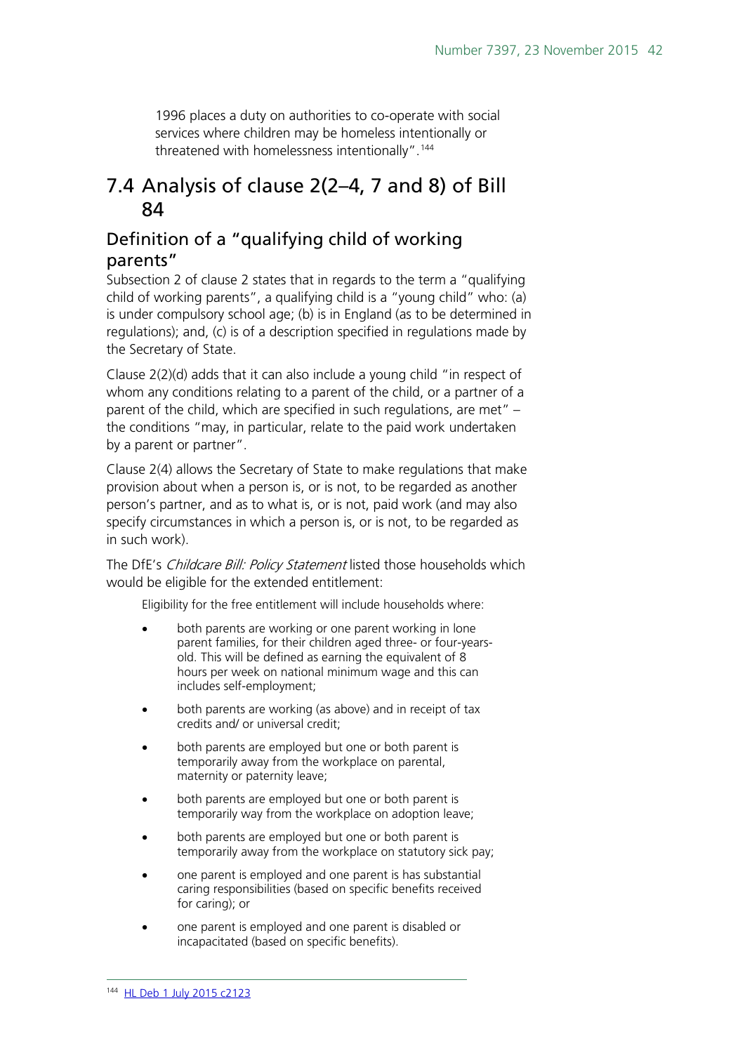1996 places a duty on authorities to co-operate with social services where children may be homeless intentionally or threatened with homelessness intentionally".<sup>[144](#page-41-2)</sup>

### <span id="page-41-0"></span>7.4 Analysis of clause 2(2–4, 7 and 8) of Bill 84

#### <span id="page-41-1"></span>Definition of a "qualifying child of working parents"

Subsection 2 of clause 2 states that in regards to the term a "qualifying child of working parents", a qualifying child is a "young child" who: (a) is under compulsory school age; (b) is in England (as to be determined in regulations); and, (c) is of a description specified in regulations made by the Secretary of State.

Clause 2(2)(d) adds that it can also include a young child "in respect of whom any conditions relating to a parent of the child, or a partner of a parent of the child, which are specified in such regulations, are met" – the conditions "may, in particular, relate to the paid work undertaken by a parent or partner".

Clause 2(4) allows the Secretary of State to make regulations that make provision about when a person is, or is not, to be regarded as another person's partner, and as to what is, or is not, paid work (and may also specify circumstances in which a person is, or is not, to be regarded as in such work).

The DfE's Childcare Bill: Policy Statement listed those households which would be eligible for the extended entitlement:

Eligibility for the free entitlement will include households where:

- both parents are working or one parent working in lone parent families, for their children aged three- or four-yearsold. This will be defined as earning the equivalent of 8 hours per week on national minimum wage and this can includes self-employment;
- both parents are working (as above) and in receipt of tax credits and/ or universal credit;
- both parents are employed but one or both parent is temporarily away from the workplace on parental, maternity or paternity leave;
- both parents are employed but one or both parent is temporarily way from the workplace on adoption leave;
- both parents are employed but one or both parent is temporarily away from the workplace on statutory sick pay;
- one parent is employed and one parent is has substantial caring responsibilities (based on specific benefits received for caring); or
- <span id="page-41-2"></span>• one parent is employed and one parent is disabled or incapacitated (based on specific benefits).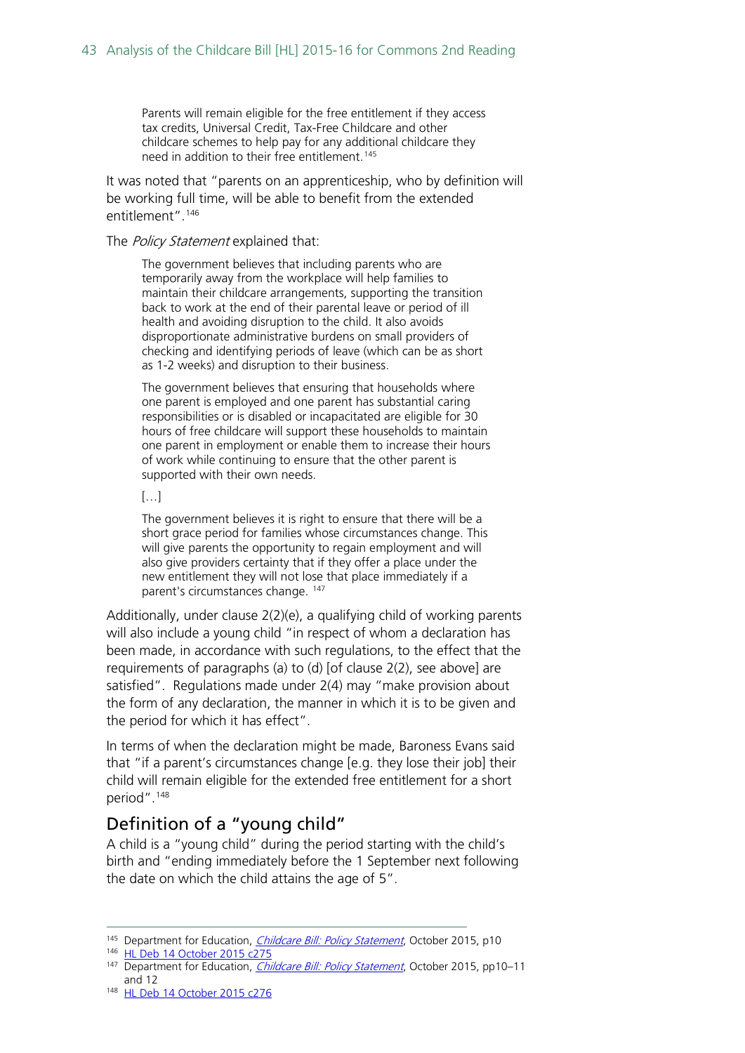Parents will remain eligible for the free entitlement if they access tax credits, Universal Credit, Tax-Free Childcare and other childcare schemes to help pay for any additional childcare they need in addition to their free entitlement.<sup>[145](#page-42-1)</sup>

It was noted that "parents on an apprenticeship, who by definition will be working full time, will be able to benefit from the extended entitlement".<sup>[146](#page-42-2)</sup>

#### The Policy Statement explained that:

The government believes that including parents who are temporarily away from the workplace will help families to maintain their childcare arrangements, supporting the transition back to work at the end of their parental leave or period of ill health and avoiding disruption to the child. It also avoids disproportionate administrative burdens on small providers of checking and identifying periods of leave (which can be as short as 1-2 weeks) and disruption to their business.

The government believes that ensuring that households where one parent is employed and one parent has substantial caring responsibilities or is disabled or incapacitated are eligible for 30 hours of free childcare will support these households to maintain one parent in employment or enable them to increase their hours of work while continuing to ensure that the other parent is supported with their own needs.

#### […]

The government believes it is right to ensure that there will be a short grace period for families whose circumstances change. This will give parents the opportunity to regain employment and will also give providers certainty that if they offer a place under the new entitlement they will not lose that place immediately if a parent's circumstances change. [147](#page-42-3)

Additionally, under clause 2(2)(e), a qualifying child of working parents will also include a young child "in respect of whom a declaration has been made, in accordance with such regulations, to the effect that the requirements of paragraphs (a) to (d) [of clause 2(2), see above] are satisfied". Regulations made under 2(4) may "make provision about the form of any declaration, the manner in which it is to be given and the period for which it has effect".

In terms of when the declaration might be made, Baroness Evans said that "if a parent's circumstances change [e.g. they lose their job] their child will remain eligible for the extended free entitlement for a short period".[148](#page-42-4)

#### <span id="page-42-0"></span>Definition of a "young child"

A child is a "young child" during the period starting with the child's birth and "ending immediately before the 1 September next following the date on which the child attains the age of 5".

<span id="page-42-2"></span><span id="page-42-1"></span><sup>145</sup> Department for Education, *[Childcare Bill: Policy Statement](https://www.gov.uk/government/uploads/system/uploads/attachment_data/file/465446/Childcare_Bill_Policy_statement.pdf)*, October 2015, p10

<sup>146</sup> [HL Deb 14 October 2015 c275](http://www.publications.parliament.uk/pa/ld201516/ldhansrd/text/151014-0002.htm)

<span id="page-42-4"></span>148 [HL Deb 14 October 2015 c276](http://www.publications.parliament.uk/pa/ld201516/ldhansrd/text/151014-0002.htm)

<span id="page-42-3"></span><sup>&</sup>lt;sup>147</sup> Department for Education, *[Childcare Bill: Policy Statement](https://www.gov.uk/government/uploads/system/uploads/attachment_data/file/465446/Childcare_Bill_Policy_statement.pdf)*, October 2015, pp10–11 and 12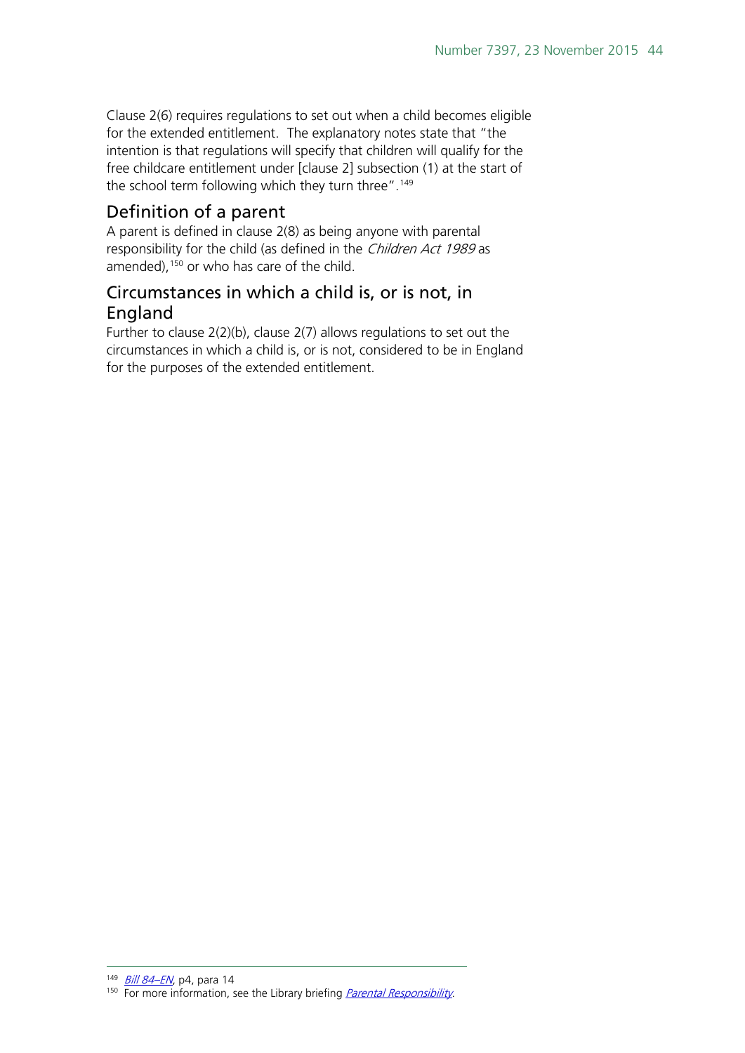Clause 2(6) requires regulations to set out when a child becomes eligible for the extended entitlement. The explanatory notes state that "the intention is that regulations will specify that children will qualify for the free childcare entitlement under [clause 2] subsection (1) at the start of the school term following which they turn three".<sup>[149](#page-43-2)</sup>

#### <span id="page-43-0"></span>Definition of a parent

A parent is defined in clause 2(8) as being anyone with parental responsibility for the child (as defined in the Children Act 1989 as amended),<sup>[150](#page-43-3)</sup> or who has care of the child.

#### <span id="page-43-1"></span>Circumstances in which a child is, or is not, in England

Further to clause  $2(2)(b)$ , clause  $2(7)$  allows regulations to set out the circumstances in which a child is, or is not, considered to be in England for the purposes of the extended entitlement.

<span id="page-43-3"></span><span id="page-43-2"></span><sup>149</sup> [Bill 84–EN](http://www.publications.parliament.uk/pa/bills/cbill/2015-2016/0084/en/15084en.pdf), p4, para 14 <sup>150</sup> For more information, see the Library briefing *[Parental Responsibility](http://researchbriefings.files.parliament.uk/documents/SN02827/SN02827.pdf)*.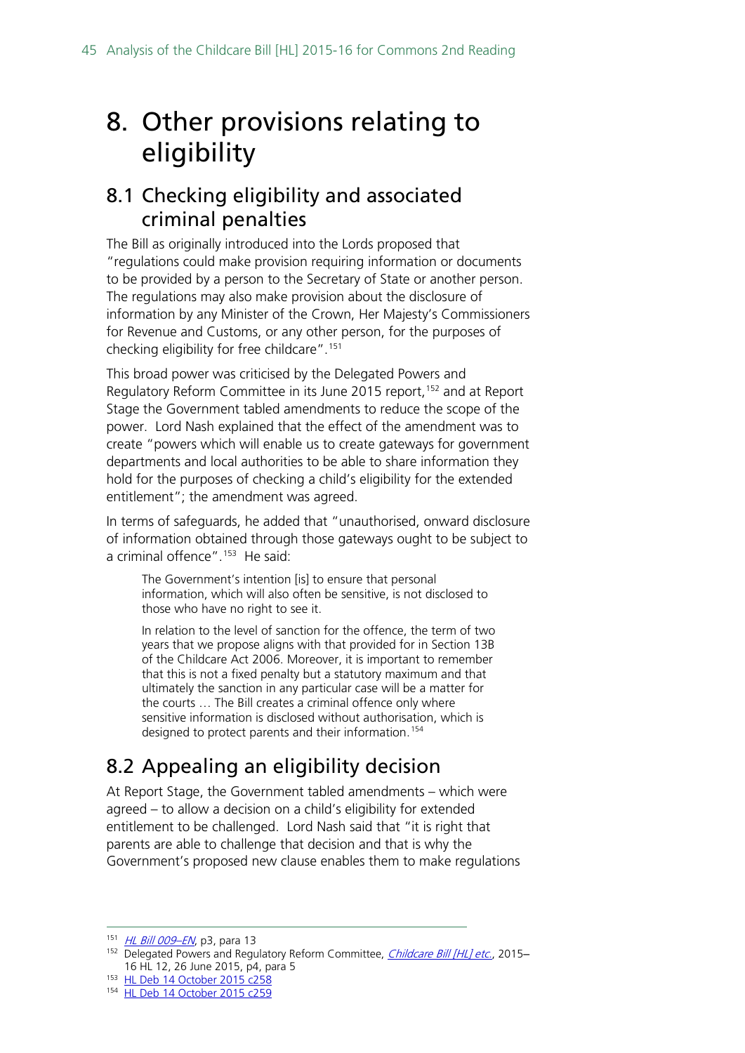## <span id="page-44-0"></span>8. Other provisions relating to eligibility

### <span id="page-44-1"></span>8.1 Checking eligibility and associated criminal penalties

The Bill as originally introduced into the Lords proposed that "regulations could make provision requiring information or documents to be provided by a person to the Secretary of State or another person. The regulations may also make provision about the disclosure of information by any Minister of the Crown, Her Majesty's Commissioners for Revenue and Customs, or any other person, for the purposes of checking eligibility for free childcare".[151](#page-44-3)

This broad power was criticised by the Delegated Powers and Regulatory Reform Committee in its June 2015 report,<sup>[152](#page-44-4)</sup> and at Report Stage the Government tabled amendments to reduce the scope of the power. Lord Nash explained that the effect of the amendment was to create "powers which will enable us to create gateways for government departments and local authorities to be able to share information they hold for the purposes of checking a child's eligibility for the extended entitlement"; the amendment was agreed.

In terms of safeguards, he added that "unauthorised, onward disclosure of information obtained through those gateways ought to be subject to a criminal offence".<sup>153</sup> He said:

The Government's intention [is] to ensure that personal information, which will also often be sensitive, is not disclosed to those who have no right to see it.

In relation to the level of sanction for the offence, the term of two years that we propose aligns with that provided for in Section 13B of the Childcare Act 2006. Moreover, it is important to remember that this is not a fixed penalty but a statutory maximum and that ultimately the sanction in any particular case will be a matter for the courts … The Bill creates a criminal offence only where sensitive information is disclosed without authorisation, which is designed to protect parents and their information.<sup>[154](#page-44-6)</sup>

## <span id="page-44-2"></span>8.2 Appealing an eligibility decision

At Report Stage, the Government tabled amendments – which were agreed – to allow a decision on a child's eligibility for extended entitlement to be challenged. Lord Nash said that "it is right that parents are able to challenge that decision and that is why the Government's proposed new clause enables them to make regulations

<span id="page-44-3"></span><sup>151</sup> HL Bill 009-EN, p3, para 13

<span id="page-44-4"></span><sup>&</sup>lt;sup>152</sup> Delegated Powers and Regulatory Reform Committee, *[Childcare Bill \[HL\] etc.](http://www.publications.parliament.uk/pa/ld201516/ldselect/lddelreg/12/12.pdf)*, 2015– 16 HL 12, 26 June 2015, p4, para 5

<span id="page-44-6"></span><span id="page-44-5"></span><sup>153</sup> [HL Deb 14 October 2015 c258](http://www.publications.parliament.uk/pa/ld201516/ldhansrd/text/151014-0001.htm#15101443000833)

<sup>154</sup> [HL Deb 14 October 2015 c259](http://www.publications.parliament.uk/pa/ld201516/ldhansrd/text/151014-0001.htm#15101443000833)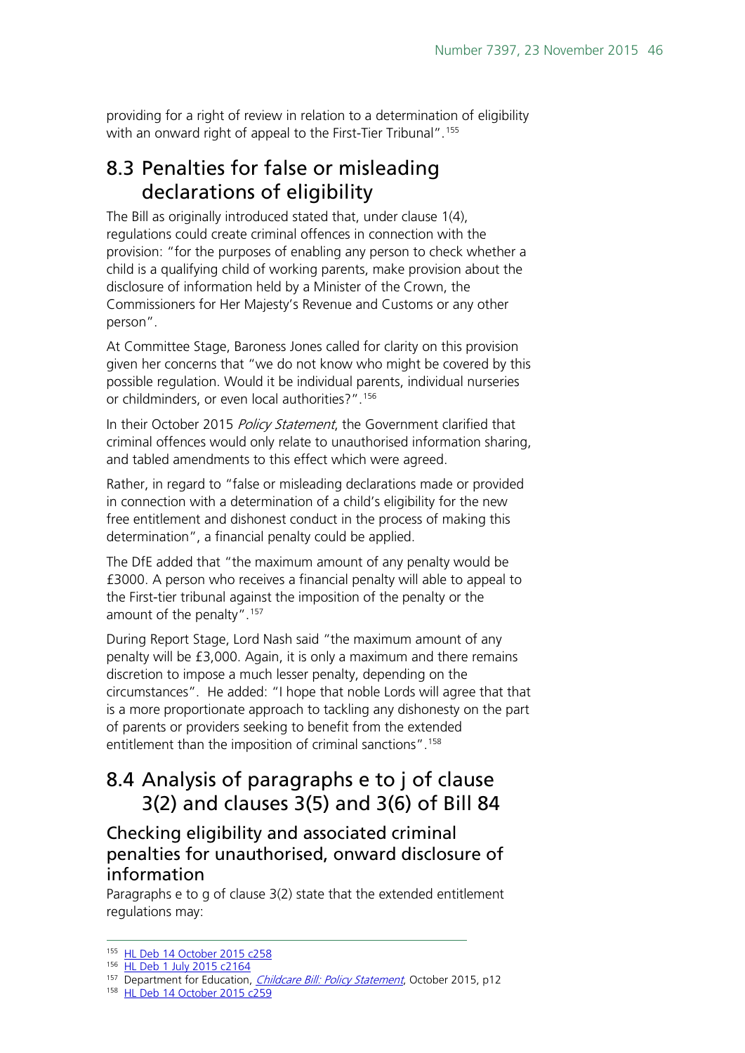providing for a right of review in relation to a determination of eligibility with an onward right of appeal to the First-Tier Tribunal". [155](#page-45-3)

### <span id="page-45-0"></span>8.3 Penalties for false or misleading declarations of eligibility

The Bill as originally introduced stated that, under clause 1(4), regulations could create criminal offences in connection with the provision: "for the purposes of enabling any person to check whether a child is a qualifying child of working parents, make provision about the disclosure of information held by a Minister of the Crown, the Commissioners for Her Majesty's Revenue and Customs or any other person".

At Committee Stage, Baroness Jones called for clarity on this provision given her concerns that "we do not know who might be covered by this possible regulation. Would it be individual parents, individual nurseries or childminders, or even local authorities?".[156](#page-45-4)

In their October 2015 Policy Statement, the Government clarified that criminal offences would only relate to unauthorised information sharing, and tabled amendments to this effect which were agreed.

Rather, in regard to "false or misleading declarations made or provided in connection with a determination of a child's eligibility for the new free entitlement and dishonest conduct in the process of making this determination", a financial penalty could be applied.

The DfE added that "the maximum amount of any penalty would be £3000. A person who receives a financial penalty will able to appeal to the First-tier tribunal against the imposition of the penalty or the amount of the penalty". [157](#page-45-5)

During Report Stage, Lord Nash said "the maximum amount of any penalty will be £3,000. Again, it is only a maximum and there remains discretion to impose a much lesser penalty, depending on the circumstances". He added: "I hope that noble Lords will agree that that is a more proportionate approach to tackling any dishonesty on the part of parents or providers seeking to benefit from the extended entitlement than the imposition of criminal sanctions".<sup>[158](#page-45-6)</sup>

## <span id="page-45-1"></span>8.4 Analysis of paragraphs e to j of clause 3(2) and clauses 3(5) and 3(6) of Bill 84

#### <span id="page-45-2"></span>Checking eligibility and associated criminal penalties for unauthorised, onward disclosure of information

Paragraphs e to g of clause 3(2) state that the extended entitlement regulations may:

<span id="page-45-4"></span><span id="page-45-3"></span><sup>155</sup> [HL Deb 14 October 2015 c258](http://www.publications.parliament.uk/pa/ld201516/ldhansrd/text/151014-0001.htm)

<sup>156</sup> [HL Deb 1 July 2015 c2164](http://www.publications.parliament.uk/pa/ld201516/ldhansrd/text/150701-0003.htm)

<span id="page-45-5"></span><sup>&</sup>lt;sup>157</sup> Department for Education, *[Childcare Bill: Policy Statement](https://www.gov.uk/government/uploads/system/uploads/attachment_data/file/465446/Childcare_Bill_Policy_statement.pdf)*, October 2015, p12

<span id="page-45-6"></span><sup>158</sup> [HL Deb 14 October 2015 c259](http://www.publications.parliament.uk/pa/ld201516/ldhansrd/text/151014-0001.htm#15101443000833)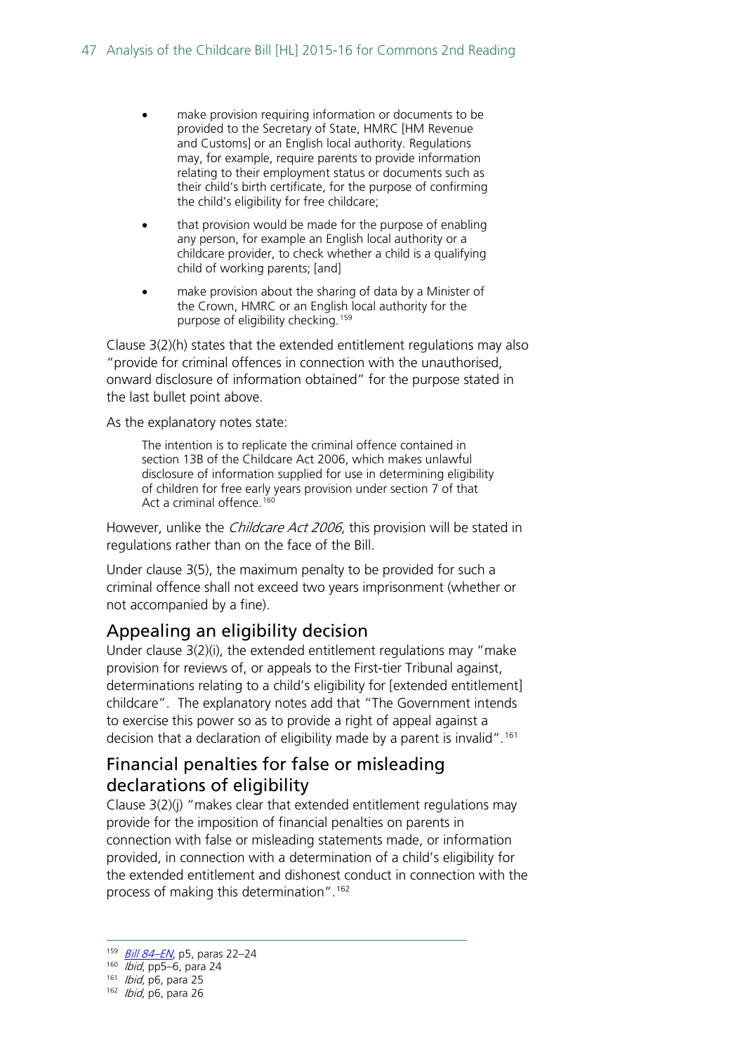- make provision requiring information or documents to be provided to the Secretary of State, HMRC [HM Revenue and Customs] or an English local authority. Regulations may, for example, require parents to provide information relating to their employment status or documents such as their child's birth certificate, for the purpose of confirming the child's eligibility for free childcare;
- that provision would be made for the purpose of enabling any person, for example an English local authority or a childcare provider, to check whether a child is a qualifying child of working parents; [and]
- make provision about the sharing of data by a Minister of the Crown, HMRC or an English local authority for the purpose of eligibility checking.[159](#page-46-2)

Clause 3(2)(h) states that the extended entitlement regulations may also "provide for criminal offences in connection with the unauthorised, onward disclosure of information obtained" for the purpose stated in the last bullet point above.

As the explanatory notes state:

The intention is to replicate the criminal offence contained in section 13B of the Childcare Act 2006, which makes unlawful disclosure of information supplied for use in determining eligibility of children for free early years provision under section 7 of that Act a criminal offence.<sup>[160](#page-46-3)</sup>

However, unlike the *Childcare Act 2006*, this provision will be stated in regulations rather than on the face of the Bill.

Under clause 3(5), the maximum penalty to be provided for such a criminal offence shall not exceed two years imprisonment (whether or not accompanied by a fine).

#### <span id="page-46-0"></span>Appealing an eligibility decision

Under clause 3(2)(i), the extended entitlement regulations may "make provision for reviews of, or appeals to the First-tier Tribunal against, determinations relating to a child's eligibility for [extended entitlement] childcare". The explanatory notes add that "The Government intends to exercise this power so as to provide a right of appeal against a decision that a declaration of eligibility made by a parent is invalid".<sup>161</sup>

#### <span id="page-46-1"></span>Financial penalties for false or misleading declarations of eligibility

Clause 3(2)(j) "makes clear that extended entitlement regulations may provide for the imposition of financial penalties on parents in connection with false or misleading statements made, or information provided, in connection with a determination of a child's eligibility for the extended entitlement and dishonest conduct in connection with the process of making this determination".<sup>[162](#page-46-5)</sup>

<span id="page-46-2"></span><sup>159</sup> [Bill 84–EN](http://www.publications.parliament.uk/pa/bills/cbill/2015-2016/0084/en/15084en.pdf), p5, paras 22–24

 $160$  *Ibid*, pp5–6, para 24

<span id="page-46-4"></span><span id="page-46-3"></span><sup>161</sup> *Ibid*, p6, para 25

<span id="page-46-5"></span><sup>162</sup> *Ibid*, p6, para 26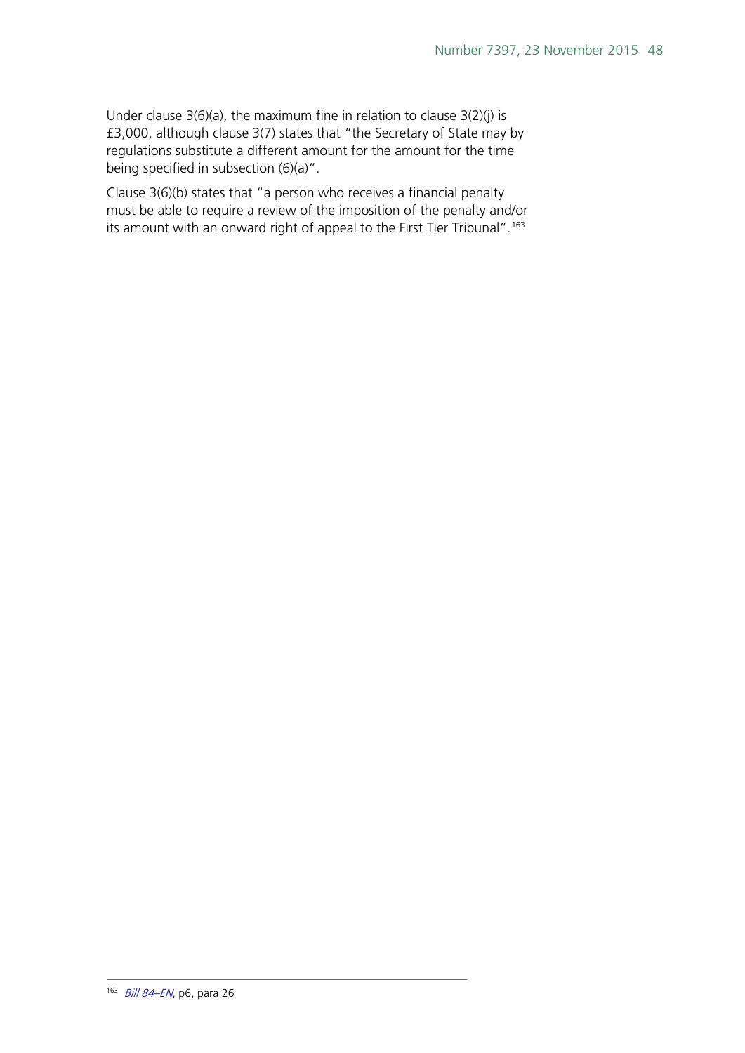Under clause  $3(6)(a)$ , the maximum fine in relation to clause  $3(2)(j)$  is £3,000, although clause 3(7) states that "the Secretary of State may by regulations substitute a different amount for the amount for the time being specified in subsection (6)(a)".

<span id="page-47-0"></span>Clause 3(6)(b) states that "a person who receives a financial penalty must be able to require a review of the imposition of the penalty and/or its amount with an onward right of appeal to the First Tier Tribunal".<sup>[163](#page-47-0)</sup>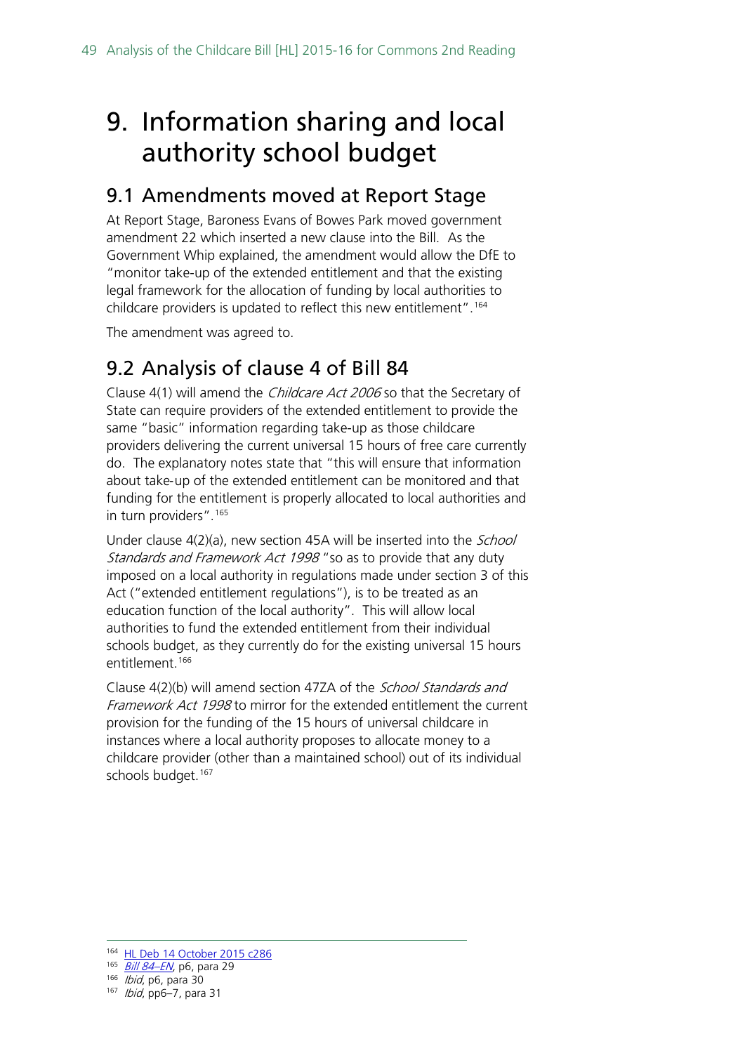## <span id="page-48-0"></span>9. Information sharing and local authority school budget

## <span id="page-48-1"></span>9.1 Amendments moved at Report Stage

At Report Stage, Baroness Evans of Bowes Park moved government amendment 22 which inserted a new clause into the Bill. As the Government Whip explained, the amendment would allow the DfE to "monitor take-up of the extended entitlement and that the existing legal framework for the allocation of funding by local authorities to childcare providers is updated to reflect this new entitlement".[164](#page-48-3)

The amendment was agreed to.

## <span id="page-48-2"></span>9.2 Analysis of clause 4 of Bill 84

Clause 4(1) will amend the Childcare Act 2006 so that the Secretary of State can require providers of the extended entitlement to provide the same "basic" information regarding take-up as those childcare providers delivering the current universal 15 hours of free care currently do. The explanatory notes state that "this will ensure that information about take‐up of the extended entitlement can be monitored and that funding for the entitlement is properly allocated to local authorities and in turn providers".[165](#page-48-4)

Under clause 4(2)(a), new section 45A will be inserted into the *School* Standards and Framework Act 1998 "so as to provide that any duty imposed on a local authority in regulations made under section 3 of this Act ("extended entitlement regulations"), is to be treated as an education function of the local authority". This will allow local authorities to fund the extended entitlement from their individual schools budget, as they currently do for the existing universal 15 hours entitlement.<sup>166</sup>

Clause 4(2)(b) will amend section 47ZA of the *School Standards and* Framework Act 1998 to mirror for the extended entitlement the current provision for the funding of the 15 hours of universal childcare in instances where a local authority proposes to allocate money to a childcare provider (other than a maintained school) out of its individual schools budget.<sup>[167](#page-48-6)</sup>

 <sup>164</sup> [HL Deb 14 October](http://www.publications.parliament.uk/pa/ld201516/ldhansrd/text/151014-0002.htm) 2015 c286

<span id="page-48-4"></span><span id="page-48-3"></span><sup>165</sup> Bill 84-EN, p6, para 29

<span id="page-48-6"></span><span id="page-48-5"></span><sup>166</sup> *Ibid*, p6, para 30

<sup>167</sup> *Ibid*, pp6-7, para 31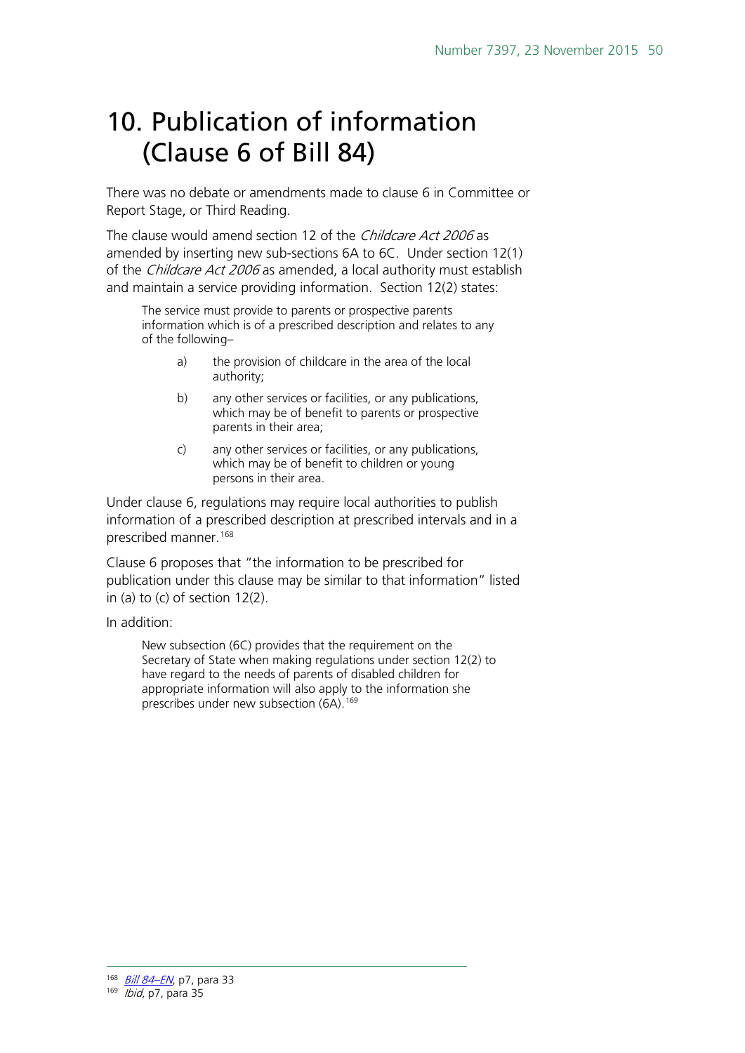## <span id="page-49-0"></span>10. Publication of information (Clause 6 of Bill 84)

There was no debate or amendments made to clause 6 in Committee or Report Stage, or Third Reading.

The clause would amend section 12 of the *Childcare Act 2006* as amended by inserting new sub-sections 6A to 6C. Under section 12(1) of the *Childcare Act 2006* as amended, a local authority must establish and maintain a service providing information. Section 12(2) states:

The service must provide to parents or prospective parents information which is of a prescribed description and relates to any of the following–

- a) the provision of childcare in the area of the local authority;
- b) any other services or facilities, or any publications, which may be of benefit to parents or prospective parents in their area;
- c) any other services or facilities, or any publications, which may be of benefit to children or young persons in their area.

Under clause 6, regulations may require local authorities to publish information of a prescribed description at prescribed intervals and in a prescribed manner.[168](#page-49-1) 

Clause 6 proposes that "the information to be prescribed for publication under this clause may be similar to that information" listed in (a) to (c) of section 12(2).

In addition:

New subsection (6C) provides that the requirement on the Secretary of State when making regulations under section 12(2) to have regard to the needs of parents of disabled children for appropriate information will also apply to the information she prescribes under new subsection (6A).<sup>[169](#page-49-2)</sup>

<span id="page-49-2"></span><span id="page-49-1"></span><sup>169</sup> *Ibid*, p7, para 35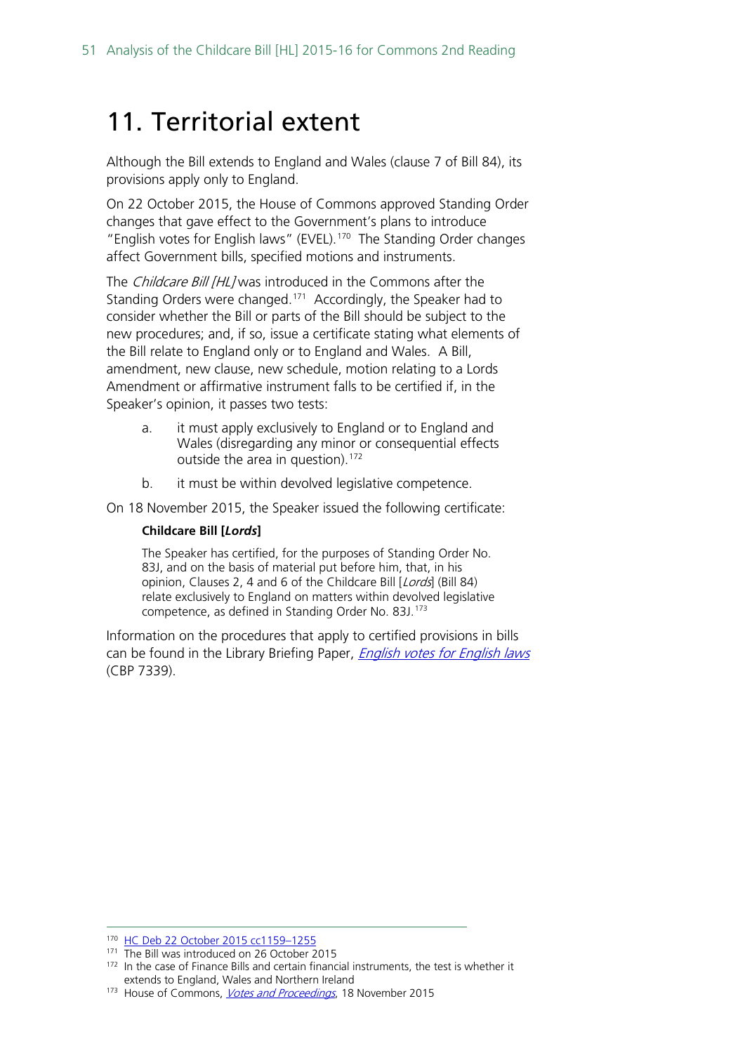## <span id="page-50-0"></span>11. Territorial extent

Although the Bill extends to England and Wales (clause 7 of Bill 84), its provisions apply only to England.

On 22 October 2015, the House of Commons approved Standing Order changes that gave effect to the Government's plans to introduce "English votes for English laws" (EVEL).[170](#page-50-1) The Standing Order changes affect Government bills, specified motions and instruments.

The Childcare Bill [HL] was introduced in the Commons after the Standing Orders were changed.<sup>171</sup> Accordingly, the Speaker had to consider whether the Bill or parts of the Bill should be subject to the new procedures; and, if so, issue a certificate stating what elements of the Bill relate to England only or to England and Wales. A Bill, amendment, new clause, new schedule, motion relating to a Lords Amendment or affirmative instrument falls to be certified if, in the Speaker's opinion, it passes two tests:

- a. it must apply exclusively to England or to England and Wales (disregarding any minor or consequential effects outside the area in question).<sup>[172](#page-50-3)</sup>
- b. it must be within devolved legislative competence.

On 18 November 2015, the Speaker issued the following certificate:

#### **Childcare Bill [***Lords***]**

The Speaker has certified, for the purposes of Standing Order No. 83J, and on the basis of material put before him, that, in his opinion, Clauses 2, 4 and 6 of the Childcare Bill [Lords] (Bill 84) relate exclusively to England on matters within devolved legislative competence, as defined in Standing Order No. 83J.[173](#page-50-4)

Information on the procedures that apply to certified provisions in bills can be found in the Library Briefing Paper, *[English votes for English laws](http://researchbriefings.parliament.uk/ResearchBriefing/Summary/CBP-7339)* (CBP 7339).

<span id="page-50-2"></span><span id="page-50-1"></span> <sup>170</sup> [HC Deb 22 October 2015 cc1159–1255](http://www.publications.parliament.uk/pa/cm201516/cmhansrd/cm151022/debtext/151022-0002.htm#15102253000003)

<sup>&</sup>lt;sup>171</sup> The Bill was introduced on 26 October 2015

<span id="page-50-3"></span><sup>&</sup>lt;sup>172</sup> In the case of Finance Bills and certain financial instruments, the test is whether it extends to England, Wales and Northern Ireland

<span id="page-50-4"></span><sup>173</sup> House of Commons, *[Votes and Proceedings](http://www.publications.parliament.uk/pa/cm201516/cmvote/151118v01.htm)*, 18 November 2015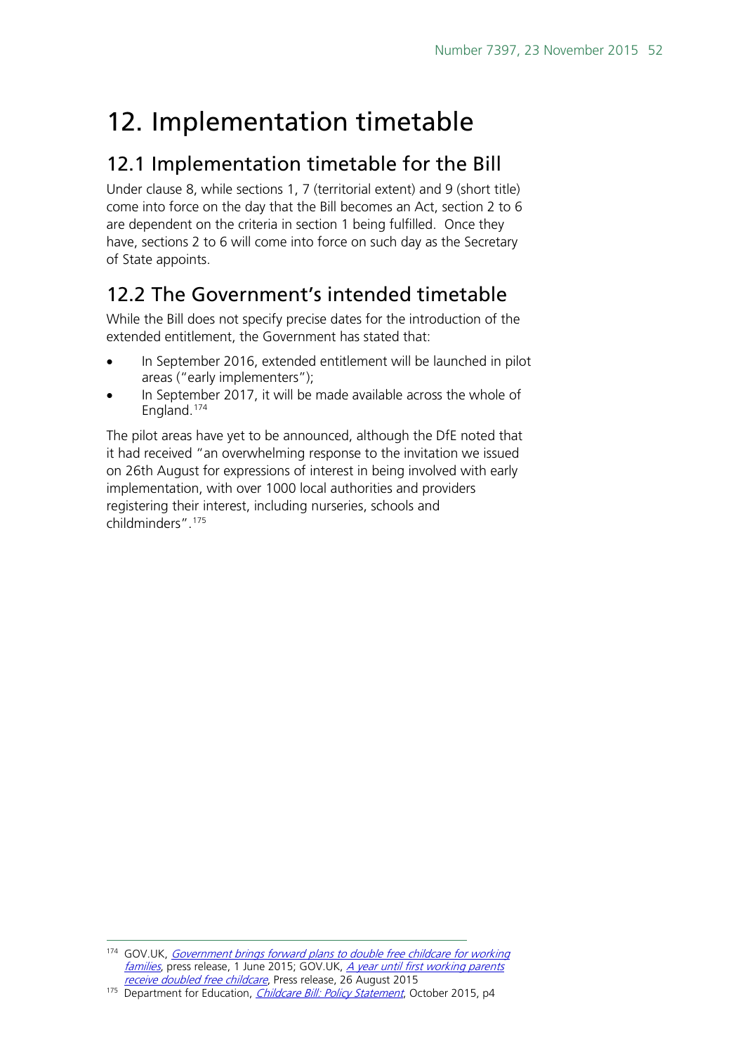## <span id="page-51-0"></span>12. Implementation timetable

### <span id="page-51-1"></span>12.1 Implementation timetable for the Bill

Under clause 8, while sections 1, 7 (territorial extent) and 9 (short title) come into force on the day that the Bill becomes an Act, section 2 to 6 are dependent on the criteria in section 1 being fulfilled. Once they have, sections 2 to 6 will come into force on such day as the Secretary of State appoints.

## <span id="page-51-2"></span>12.2 The Government's intended timetable

While the Bill does not specify precise dates for the introduction of the extended entitlement, the Government has stated that:

- In September 2016, extended entitlement will be launched in pilot areas ("early implementers");
- In September 2017, it will be made available across the whole of England.[174](#page-51-3)

The pilot areas have yet to be announced, although the DfE noted that it had received "an overwhelming response to the invitation we issued on 26th August for expressions of interest in being involved with early implementation, with over 1000 local authorities and providers registering their interest, including nurseries, schools and childminders". [175](#page-51-4)

<span id="page-51-3"></span><sup>174</sup> GOV.UK, Government brings forward plans to double free childcare for working [families](https://www.gov.uk/government/news/government-brings-forward-plans-to-double-free-childcare-for-working-families), press release, 1 June 2015; GOV.UK, *A year until first working parents* [receive doubled free childcare](https://www.gov.uk/government/news/a-year-until-first-working-parents-receive-doubled-free-childcare), Press release, 26 August 2015

<span id="page-51-4"></span><sup>175</sup> Department for Education, *[Childcare Bill: Policy Statement](https://www.gov.uk/government/uploads/system/uploads/attachment_data/file/465446/Childcare_Bill_Policy_statement.pdf)*, October 2015, p4